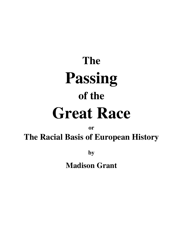# The Passing of the Great Race

or

The Racial Basis of European History

by

Madison Grant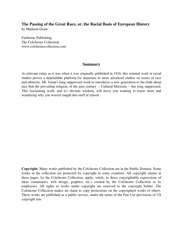#### The Passing of the Great Race, or, the Racial Basis of European History

by Madison Grant

Fairborne Publishing The Colchester Collection [www.colchestercollection.com](http://www.colchestercollection.com/)

#### **Summary**

As relevant today as it was when it was originally published in 1916, this seminal work in racial studies proves a dependable platform for departure to more advanced studies on issues of race and ethnicity. Mr. Grant's long suppressed work re-introduces a new generation to the truth about race that the prevailing religion, of the past century -- Cultural Marxism -- has long suppressed. This fascinating work, and it's obvious wisdom, will leave you wanting to know more and wondering why you weren't taught this stuff in school.

Copyright: Many works published by the Colchester Collection are in the Public Domain. Some works in the collection are protected by copyright in some countries. All copyright claims in these pages, by the Colchester Collection, apply, solely, to those copyrightable expressions of ideas (summaries, web design, graphics, etc.) created by the Colchester Collection or its employees. All rights to works under copyright are reserved to the copyright holder. The Colchester Collection makes no claim to copy protections on the copyrighted works of others. These works are published as a public service, under the terms of the Fair Use provisions of US copyright law.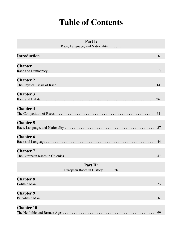## Table of Contents

| Part I:<br>Race, Language, and Nationality $5$ |                 |
|------------------------------------------------|-----------------|
|                                                |                 |
|                                                | 6               |
| <b>Chapter 1</b>                               |                 |
|                                                | $\overline{10}$ |
| <b>Chapter 2</b>                               |                 |
|                                                |                 |
| <b>Chapter 3</b>                               |                 |
|                                                | 26              |
|                                                |                 |
| <b>Chapter 4</b>                               | 31              |
|                                                |                 |
| <b>Chapter 5</b>                               | 37              |
|                                                |                 |
| <b>Chapter 6</b>                               | 44              |
|                                                |                 |
| <b>Chapter 7</b>                               |                 |
|                                                | 47              |
| Part II:                                       |                 |
| European Races in History $\dots \dots 56$     |                 |
|                                                |                 |
| <b>Chapter 8</b>                               | 57              |
|                                                |                 |
| <b>Chapter 9</b>                               | 61              |
|                                                |                 |
| <b>Chapter 10</b>                              | 69              |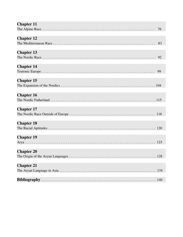| <b>Chapter 11</b> |    |
|-------------------|----|
|                   | 76 |
|                   |    |
| <b>Chapter 12</b> |    |
|                   |    |
| <b>Chapter 13</b> |    |
|                   |    |
|                   |    |
| <b>Chapter 14</b> |    |
|                   |    |
| <b>Chapter 15</b> |    |
|                   |    |
|                   |    |
| <b>Chapter 16</b> |    |
|                   |    |
| <b>Chapter 17</b> |    |
|                   |    |
|                   |    |
| <b>Chapter 18</b> |    |
|                   |    |
|                   |    |
| <b>Chapter 19</b> |    |
|                   |    |
|                   |    |
| <b>Chapter 20</b> |    |
|                   |    |
| <b>Chapter 21</b> |    |
|                   |    |
|                   |    |
|                   |    |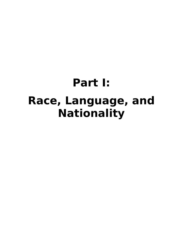## <span id="page-4-0"></span>**[Part I:](#page-4-0) [Race, Language, and](#page-4-0) [Nationality](#page-4-0)**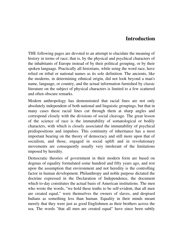#### <span id="page-5-0"></span>[Introduction](#page-5-0)

THE following pages are devoted to an attempt to elucidate the meaning of history in terms of race; that is, by the physical and psychical characters of the inhabitants of Europe instead of by their political grouping, or by their spoken language. Practically all historians, while using the word race, have relied on tribal or national names as its sole definition. The ancients, like the moderns, in determining ethnical origin, did not look beyond a man's name, language, or country, and the actual information furnished by classic literature on the subject of physical characters is limited to a few scattered and often obscure remarks.

Modern anthropology has demonstrated that racial lines are not only absolutely independent of both national and linguistic groupings, but that in many cases these racial lines cut through them at sharp angles and correspond closely with the divisions of social cleavage. The great lesson of the science of race is the immutability of somatological or bodily characters, with which is closely associated the immutability of psychical predispositions and impulses. This continuity of inheritance has a most important bearing on the theory of democracy and still more upon that of socialism, and those, engaged in social uplift and in revolutionary movements are consequently usually very intolerant of the limitations imposed by heredity.

Democratic theories of government in their modern form are based on dogmas of equality formulated some hundred and fifty years ago, and rest upon the assumption that environment and not heredity is the controlling factor in human development. Philanthropy and noble purpose dictated the doctrine expressed in the Declaration of Independence, the document which to-day constitutes the actual basis of American institutions. The men who wrote the words, "we hold these truths to be self-evident, that all men are created equal," were themselves the owners of slaves, and despised Indians as something less than human. Equality in their minds meant merely that they were just as good Englishmen as their brothers across the sea. The words "that all men are created equal" have since been subtly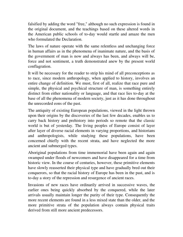falsified by adding the word "free," although no such expression is found in the original document, and the teachings based on these altered words in the American public schools of to-day would startle and amaze the men who formulated the Declaration.

The laws of nature operate with the same relentless and unchanging force in human affairs as in the phenomena of inanimate nature, and the basis of the government of man is now and always has been, and always will be, force and not sentiment, a truth demonstrated anew by the present world conflagration.

It will be necessary for the reader to strip his mind of all preconceptions as to race, since modern anthropology, when applied to history, involves an entire change of definition. We must, first of all, realize that race pure and simple, the physical and psychical structure of man, is something entirely distinct from either nationality or language, and that race lies to-day at the base of all the phenomena of modern society, just as it has done throughout the unrecorded eons of the past.

The antiquity of existing European populations, viewed in the light thrown upon their origins by the discoveries of the last few decades, enables us to carry back history and prehistory into periods so remote that the classic world is but of yesterday. The living peoples of Europe consist of layer after layer of diverse racial elements in varying proportions, and historians and anthropologists, while studying these populations, have been concerned chiefly with the recent strata, and have neglected the more ancient and submerged types.

Aboriginal populations from time immemorial have been again and again swamped under floods of newcomers and have disappeared for a time from historic view. In the course of centuries, however, these primitive elements have slowly reasserted their physical type and have gradually bred out their conquerors, so that the racial history of Europe has been in the past, and is to-day a story of the repression and resurgence of ancient races.

Invasions of new races have ordinarily arrived in successive waves, the earlier ones being quickly absorbed by the conquered, while the later arrivals usually maintain longer the purity of their type. Consequently the more recent elements are found in a less mixed state than the older, and the more primitive strata of the population always contain physical traits derived from still more ancient predecessors.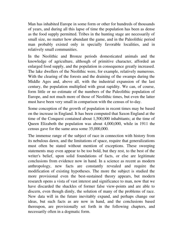Man has inhabited Europe in some form or other for hundreds of thousands of years, and during all this lapse of time the population has been as dense as the food supply permitted. Tribes in the hunting stage are necessarily of small size, no matter how abundant the game, and in the Paleolithic period man probably existed only in specially favorable localities, and in relatively small communities.

In the Neolithic and Bronze periods domesticated animals and the knowledge of agriculture, although of primitive character, afforded an enlarged food supply, and the population in consequence greatly increased. The lake dwellers of the Neolithic were, for example, relatively numerous. With the clearing of the forests and the draining of the swamps during the Middle Ages and, above all, with the industrial expansion of the last century, the population multiplied with great rapidity. We can, of course, form little or no estimate of the numbers of the Paleolithic population of Europe, and not much more of those of Neolithic times, but even the latter must have been very small in comparison with the census of to-day.

Some conception of the growth of population in recent times may be based on the increase in England. It has been computed that Saxon England at the time of the Conquest contained about 1,500,000 inhabitants; at the time of Queen Elizabeth the population was about 4,000,000, while in 1911 the census gave for the same area some 35,000,000.

The immense range of the subject of race in connection with history from its nebulous dawn, and the limitations of space, require that generalizations must often be stated without mention of exceptions. These sweeping statements may even appear to be too bold, but they rest, to the best of the writer's belief, upon solid foundations of facts, or else are legitimate conclusions from evidence now in hand. In a science as recent as modern anthropology, new facts are constantly revealed and require the modification of existing hypotheses. The more the subject is studied the more provisional even the best-sustained theory appears, but modern research opens a vista of vast interest and significance to man, now that we have discarded the shackles of former false view-points and are able to discern, even though dimly, the solution of many of the problems of race. New data will in the future inevitably expand, and perhaps change our ideas, but such facts as are now in hand, and the conclusions based thereupon, are provisionally set forth in the following chapters, and necessarily often in a dogmatic form.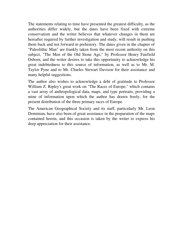The statements relating to time have presented the greatest difficulty, as the authorities differ widely, but the dates have been fixed with extreme conservatism and the writer believes that whatever changes in them are hereafter required by further investigation and study, will result in pushing them back and not forward in prehistory. The dates given in the chapter of "Paleolithic Man" are frankly taken from the most recent authority on this subject, "The Men of the Old Stone Age," by Professor Henry Fairfield Osborn, and the writer desires to take this opportunity to acknowledge his great indebtedness to this source of information, as well as to Mr. M. Taylor Pyne and to Mr. Charles Stewart Davison for their assistance and many helpful suggestions.

The author also wishes to acknowledge a debt of gratitude to Professor William Z. Ripley's great work on "The Races of Europe," which contains a vast array of anthropological data, maps, and type portraits, providing a mine of information upon which the author has drawn freely, for the present distribution of the three primary races of Europe.

The American Geographical Society and its staff, particularly Mr. Leon Dominian, have also been of great assistance in the preparation of the maps contained herein, and this occasion is taken by the writer to express his deep appreciation for their assistance.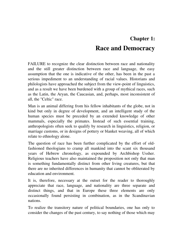## <span id="page-9-0"></span>[Chapter 1:](#page-9-0) [Race and Democracy](#page-9-0)

FAILURE to recognize the clear distinction between race and nationality and the still greater distinction between race and language, the easy assumption that the one is indicative of the other, has been in the past a serious impediment to an understanding of racial values. Historians and philologists have approached the subject from the view-point of linguistics, and as a result we have been burdened with a group of mythical races, such as the Latin, the Aryan, the Caucasian, and, perhaps, most inconsistent of all, the "Celtic" race.

Man is an animal differing from his fellow inhabitants of the globe, not in kind but only in degree of development, and an intelligent study of the human species must be preceded by an extended knowledge of other mammals, especially the primates. Instead of such essential training, anthropologists often seek to qualify by research in linguistics, religion, or marriage customs, or in designs of pottery or blanket weaving, all of which relate to ethnology alone.

The question of race has been further complicated by the effort of oldfashioned theologians to cramp all mankind into the scant six thousand years of Hebrew chronology, as expounded by Archbishop Ussher. Religious teachers have also maintained the proposition not only that man is something fundamentally distinct from other living creatures, but that there are no inherited differences in humanity that cannot be obliterated by education and environment.

It is, therefore, necessary at the outset for the reader to thoroughly appreciate that race, language, and nationality are three separate and distinct things, and that in Europe these three elements are only occasionally found persisting in combination, as in the Scandinavian nations.

To realize the transitory nature of political boundaries, one has only to consider the changes of the past century, to say nothing of those which may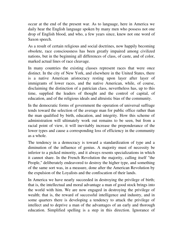occur at the end of the present war. As to language, here in America we daily hear the English language spoken by many men who possess not one drop of English blood, and who, a few years since, knew not one word of Saxon speech.

As a result of certain religious and social doctrines, now happily becoming obsolete, race consciousness has been greatly impaired among civilized nations, but in the beginning all differences of class, of caste, and of color, marked actual lines of race cleavage.

In many countries the existing classes represent races that were once distinct. In the city of New York, and elsewhere in the United States, there is a native American aristocracy resting upon layer after layer of immigrants of lower races, and the native American, while, of course, disclaiming the distinction of a patrician class, nevertheless has, up to this time, supplied the leaders of thought and the control of capital, of education, and of the religious ideals and altruistic bias of the community.

In the democratic forms of government the operation of universal suffrage tends toward the selection of the average man for public office rather than the man qualified by birth, education, and integrity. How this scheme of administration will ultimately work out remains to be seen, but from a racial point of view, it will inevitably increase the preponderance of the lower types and cause a corresponding loss of efficiency in the community as a whole.

The tendency in a democracy is toward a standardization of type and a diminution of the influence of genius. A majority must of necessity be inferior to a picked minority, and it always resents specializations in which it cannot share. In the French Revolution the majority, calling itself "the People," deliberately endeavored to destroy the higher type, and something of the same sort was, in a measure, done after the American Revolution by the expulsion of the Loyalists and the confiscation of their lands.

In America we have nearly succeeded in destroying the privilege of birth; that is, the intellectual and moral advantage a man of good stock brings into the world with him. We are now engaged in destroying the privilege of wealth; that is, the reward of successful intelligence and industry, and in some quarters there is developing a tendency to attack the privilege of intellect and to deprive a man of the advantages of an early and thorough education. Simplified spelling is a step in this direction. Ignorance of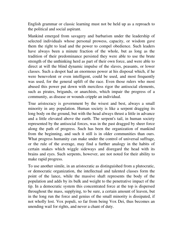English grammar or classic learning must not be held up as a reproach to the political and social aspirant.

Mankind emerged from savagery and barbarism under the leadership of selected individuals whose personal prowess, capacity, or wisdom gave them the right to lead and the power to compel obedience. Such leaders have always been a minute fraction of the whole, but as long as the tradition of their predominance persisted they were able to use the brute strength of the unthinking herd as part of their own force, and were able to direct at will the blind dynamic impulse of the slaves, peasants, or lower classes. Such a despot had an enormous power at his disposal which, if he were benevolent or even intelligent, could be used, and most frequently was used, for the general uplift of the race. Even those rulers who most abused this power put down with merciless rigor the antisocial elements, such as pirates, brigands, or anarchists, which impair the progress of a community, as disease or wounds cripple an individual.

True aristocracy is government by the wisest and best, always a small minority in any population. Human society is like a serpent dragging its long body on the ground, but with the head always thrust a little in advance and a little elevated above the earth. The serpent's tail, in human society represented by the antisocial forces, was in the past dragged by sheer force along the path of progress. Such has been the organization of mankind from the beginning, and such it still is in older communities than ours. What progress humanity can make under the control of universal suffrage, or the rule of the average, may find a further analogy in the habits of certain snakes which wiggle sideways and disregard the head with its brains and eyes. Such serpents, however, are not noted for their ability to make rapid progress.

To use another simile, in an aristocratic as distinguished from a plutocratic, or democratic organization, the intellectual and talented classes form the point of the lance, while the massive shaft represents the body of the population and adds by its bulk and weight to the penetrative impact of the tip. In a democratic system this concentrated force at the top is dispersed throughout the mass, supplying, to be sure, a certain amount of leaven, but in the long run the force and genius of the small minority is dissipated, if not wholly lost. Vox populi, so far from being Vox Dei, thus becomes an unending wail for rights, and never a chant of duty.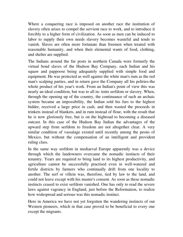Where a conquering race is imposed on another race the institution of slavery often arises to compel the servient race to work, and to introduce it forcibly to a higher form of civilization. As soon as men can be induced to labor to supply their own needs slavery becomes wasteful and tends to vanish. Slaves are often more fortunate than freemen when treated with reasonable humanity, and when their elemental wants of food, clothing, and shelter are supplied.

The Indians around the fur posts in northern Canada were formerly the virtual bond slaves of the Hudson Bay Company, each Indian and his squaw and pappoose being adequately supplied with simple food and equipment. He was protected as well against the white man's rum as the red man's scalping parties, and in return gave the Company all his peltries-the whole product of his year's work. From an Indian's point of view this was nearly an ideal condition, but was to all in-tents serfdom or slavery. When, through the opening up of the country, the continuance of such an archaic system became an impossibility, the Indian sold his furs to the highest bidder, received a large price in cash, and then wasted the proceeds in trinkets instead of blankets, and in rum instead of flour, with the result that he is now gloriously free, but is on the highroad to becoming a diseased outcast. In this case of the Hudson Bay Indian the advantages of the upward step from serfdom to freedom are not altogether clear. A very similar condition of vassalage existed until recently among the peons of Mexico, but without the compensation of an intelligent and provident ruling class.

In the same way serfdom in mediaeval Europe apparently was a device through which the landowners overcame the nomadic instincts of their tenantry. Years are required to bring land to its highest productivity, and agriculture cannot be successfully practised even in well-watered and fertile districts by farmers who continually drift from one locality to another. The serf or villein was, therefore, tied by law to the land, and could not leave except with his master's consent. As soon as these nomadic instincts ceased to exist serfdom vanished. One has only to read the severe laws against vagrancy in England, just before the Reformation, to realize how widespread and serious was this nomadic instinct.

Here in America we have not yet forgotten the wandering instincts of our Western pioneers, which in that case proved to be beneficial to every one except the migrants.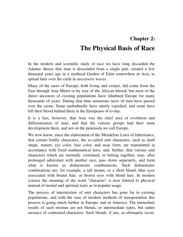## <span id="page-13-0"></span>[Chapter 2:](#page-13-0) [The Physical Basis of Race](#page-13-0)

In the modern and scientific study of race we have long discarded the Adamic theory that man is descended from a single pair, created a few thousand years ago in a mythical Garden of Eden somewhere in Asia, to spread later over the earth in successive waves.

Many of the races of Europe, both living and extinct, did come from the East through Asia Minor or by way of the African littoral, but most of the direct ancestors of existing populations have inhabited Europe for many thousands of years. During that time numerous races of men have passed over the scene. Some undoubtedly have utterly vanished, and some have left their blood behind them in the Europeans of to-day.

It is a fact, however, that Asia was the chief area of evolution and differentiation of man, and that the various groups had their main development there, and not on the peninsula we call Europe.

We now know, since the elaboration of the Mendelian Laws of Inheritance, that certain bodily characters, the so-called unit characters, such as skull shape, stature, eye color, hair color, and nose form, are transmitted in accordance with fixed mathematical laws, and, further, that various unit characters which are normally correlated, or belong together, may, after prolonged admixture with another race, pass down separately, and form what is known as disharmonic combinations. Such disharmonic combinations are, for example, a tall brunet, or a short blond; blue eyes associated with brunet hair, or brown eyes with blond hair. In modern science the meaning of the word "character" is now limited to physical instead of mental and spiritual traits as in popular usage.

The process of intermixture of unit characters has gone far in existing populations, and with the ease of modern methods of transportation this process is going much further in Europe, and in America. The immediate results of such mixture are not blends, or intermediate types, but rather mosaics of contrasted characters. Such blends, if any, as ultimately occur,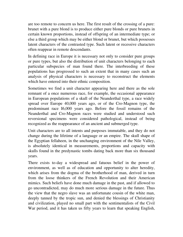are too remote to concern us here. The first result of the crossing of a pure: brunet with a pure blond is to produce either pure blonds or pure brunets in certain known proportions, instead of offspring of an intermediate type; or else a third group which may be either blond or brunet, but which possesses latent characters of the contrasted type. Such latent or recessive characters often reappear in remote descendants.

In defining race in Europe it is necessary not only to consider pure groups or pure types, but also the distribution of unit characters belonging to each particular subspecies of man found there. The interbreeding of these populations has progressed to such an extent that in many cases such an analysis of physical characters is necessary to reconstruct the elements which have entered into their ethnic composition.

Sometimes we find a unit character appearing here and there as the sole remnant of a once numerous race, for example, the occasional appearance in European populations of a skull of the Neanderthal type, a race widely spread over Europe 40,000 years ago, or of the Cro-Magnon type, the predominant race  $I6,000$  years ago. Before the fossil remains of the Neanderthal and Cro-Magnon races were studied and understood such reversional specimens were considered pathological, instead of being recognized as the reappearance of an ancient and submerged type.

Unit characters are to all intents and purposes immutable, and they do not change during the lifetime of a language or an empire. The skull shape of the Egyptian fellaheen, in the unchanging environment of the Nile Valley, is absolutely identical in measurements, proportions and capacity with skulls found in the predynastic tombs dating back more than six thousand years.

There exists to-day a widespread and fatuous belief in the power of environment, as well as of education and opportunity to alter heredity, which arises from the dogma of the brotherhood of man, derived in turn from the loose thinkers of the French Revolution and their American mimics. Such beliefs have done much damage in the past, and if allowed to go uncontradicted, may do much more serious damage in the future. Thus the view that the negro slave was an unfortunate cousin of the white man, deeply tanned by the tropic sun, and denied the blessings of Christianity and civilization, played no small part with the sentimentalists of the Civil War period, and it has taken us fifty years to learn that speaking English,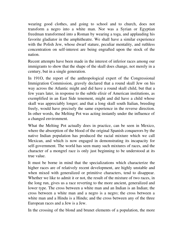wearing good clothes, and going to school and to church, does not transform a negro into a white man. Nor was a Syrian or Egyptian freedman transformed into a Roman by wearing a toga, and applauding his favorite gladiator in the amphitheatre. We shall have a similar experience with the Polish Jew, whose dwarf stature, peculiar mentality, and ruthless concentration on self-interest are being engrafted upon the stock of the nation.

Recent attempts have been made in the interest of inferior races among our immigrants to show that the shape of the skull does change, not merely in a century, but in a single generation.

In 191O, the report of the anthropological expert of the Congressional Immigration Commission, gravely declared that a round skull Jew on his way across the Atlantic might and did have a round skull child, but that a few years later, in response to the subtle elixir of American institutions, as exemplified in an East Side tenement, might and did have a child whose skull was appreciably longer; and that a long skull south Italian, breeding freely, would have precisely the same experience in the reverse direction. In other words, the Melting Pot was acting instantly under the influence of a changed environment.

What the Melting Pot actually does in practice, can be seen in Mexico, where the absorption of the blood of the original Spanish conquerors by the native Indian population has produced the racial mixture which we call Mexican, and which is now engaged in demonstrating its incapacity for self-government. The world has seen many such mixtures of races, and the character of a mongrel race is only just beginning to be understood at its true value.

It must be borne in mind that the specializations which characterize the higher races are of relatively recent development, are highly unstable and when mixed with generalized or primitive characters, tend to disappear. Whether we like to admit it or not, the result of the mixture of two races, in the long run, gives us a race reverting to the more ancient, generalized and lower type. The cross between a white man and an Indian is an Indian; the cross between a white man and a negro is a negro; the cross between a white man and a Hindu is a Hindu; and the cross between any of the three European races and a Jew is a Jew.

In the crossing of the blond and brunet elements of a population, the more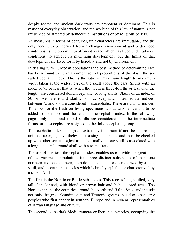deeply rooted and ancient dark traits are prepotent or dominant. This is matter of everyday observation, and the working of this law of nature is not influenced or affected by democratic institutions or by religious beliefs.

As measured in terms of centuries, unit characters are immutable, and the only benefit to be derived from a changed environment and better food conditions, is the opportunity afforded a race which has lived under adverse conditions, to achieve its maximum development, but the limits of that development are fixed for it by heredity and not by environment.

In dealing with European populations the best method of determining race has been found to lie in a comparison of proportions of the skull, the socalled cephalic index. This is the ratio of maximum length to maximum width taken at the widest part of the skull above the ears. Skulls with an index of 75 or less, that is, when the width is three-fourths or less than the length, are considered dolichocephalic, or long skulls. Skulls of an index of 80 or over are round skulls, or brachycephalic. Intermediate indices, between 75 and 80, are considered mesocephalic. These are cranial indices. To allow for the flesh on living specimens, about two per cent is to be added to the index, and the result is the cephalic index. In the following pages only long and round skulls are considered and the intermediate forms, or mesocephs, are assigned to the dolichocephalic group.

This cephalic index, though an extremely important if not the controlling unit character, is, nevertheless, but a single character and must be checked up with other somatological traits. Normally, a long skull is associated with a long face, and a round skull with a round face.

The use of this test, the cephalic index, enables us to divide the great bulk of the European populations into three distinct subspecies of man, one northern and one southern, both dolichocephalic or characterized by a long skull, and a central subspecies which is brachycephalic, or characterized by a round skull.

The first is the Nordic or Baltic subspecies. This race is long skulled, very tall, fair skinned, with blond or brown hair and light colored eyes. The Nordics inhabit the countries around the North and Baltic Seas, and include not only the great Scandinavian and Teutonic groups, but also other early peoples who first appear in southern Europe and in Asia as representatives of Aryan language and culture.

The second is the dark Mediterranean or Iberian subspecies, occupying the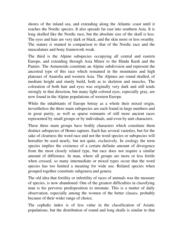shores of the inland sea, and extending along the Atlantic coast until it reaches the Nordic species. It also spreads far east into southern Asia. It is long skulled like the Nordic race, but the absolute size of the skull is less. The eyes and hair are very dark or black, and the skin more or less swarthy. The stature is stunted in comparison to that of the Nordic race and the musculature and bony framework weak.

The third is the Alpine subspecies occupying all central and eastern Europe, and extending through Asia Minor to the Hindu Kush and the Pamirs. The Armenoids constitute an Alpine subdivision and represent the ancestral type of this race which remained in the mountains and high plateaux of Anatolia and western Asia. The Alpines are round skulled, of medium height and sturdy build, both as to skeleton and muscles. The coloration of both hair and eyes was originally very dark and still tends strongly in that direction, but many light colored eyes, especially gray, are now found in the Alpine populations of western Europe.

While the inhabitants of Europe betray as a whole their mixed origin, nevertheless the three main subspecies are each found in large numbers and in great purity, as well as sparse remnants of still more ancient races represented by small groups or by individuals, and even by unit characters.

These three main groups have bodily characters which constitute them distinct subspecies of Homo sapiens. Each has several varieties, but for the sake of clearness the word race and not the word species or subspecies will hereafter be used nearly, but not quite, exclusively. In zoology the term species implies the existence of a certain definite amount of divergence from the most closely related type, but race does not require a similar amount of difference. In man, where all groups are more or less fertile when crossed, so many intermediate or mixed types occur that the word species has too limited a meaning for wide use. Related species when grouped together constitute subgenera and genera.

The old idea that fertility or infertility of races of animals was the measure of species, is now abandoned. One of the greatest difficulties in classifying man is his perverse predisposition to mismate. This is a matter of daily observation, especially among the women of the better classes, probably because of their wider range of choice.

The cephalic index is of less value in the classification of Asiatic populations, but the distribution of round and long skulls is similar to that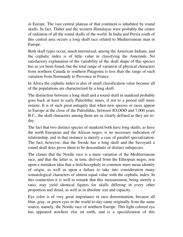in Europe. The vast central plateau of that continent is inhabited by round skulls. In fact, Thibet and the western Himalayas were probably the centre of radiation of all the round skulls of the world. In India and Persia south of this central area occurs a long skull race related to Mediterranean man in Europe.

Both skull types occur, much intermixed, among the American Indians, and the cephalic index is of little value in classifying the Amerinds. No satisfactory explanation of the variability of the skull shape of this species has as yet been found, but the total range of variation of physical characters from northern Canada to southern Patagonia is less than the range of such variation from Normandy to Provence in France.

In Africa the cephalic index is also of small classification value because all of the populations are characterized by a long skull.

The distinction between a long skull and a round skull in mankind probably goes back at least to early Paleolithic times, if not to a period still more remote. It is of such great antiquity that when new species or races appear in Europe at the close of the Paleolithic, between IO,OOO and 7,000 years B.C., the skull characters among them are as clearly defined as they are today.

The fact that two distinct species of mankind both have long skulls, as have the north European and the African negro, is no necessary indication of relationship, and in that instance is merely a case of parallel specialization. The fact, however, that the Swede has a long skull and the Savoyard a round skull does prove them to be descendants of distinct subspecies.

The claims that the Nordic race is a mere variation of the Mediterranean race, and that the latter is, in turn, derived from the Ethiopian negro, rest upon a mistaken idea that a dolichocephaly in common must mean identity of origin, as well as upon a failure to take into consideration many somatological characters of almost equal value with the cephalic index. In this connection it is well to remark that this measurement, being merely a ratio, may yield identical figures for skulls differing in every other proportion and detail, as well as in absolute size and capacity.

Eye color is of very great importance in race determination, because all blue, gray, or green eyes in the world to-day came originally from the same source, namely, the Nordic race of northern Europe. This light colored eye has appeared nowhere else on earth, and is a specialization of this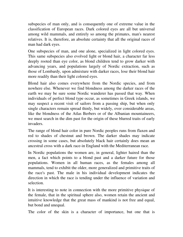subspecies of man only, and is consequently one of extreme value in the classification of European races. Dark colored eyes are all but universal among wild mammals, and entirely so among the primates, man's nearest relatives. It is, therefore, an absolute certainty that all the original races of man had dark eyes.

One subspecies of man, and one alone, specialized in light colored eyes. This same subspecies also evolved light or blond hair, a character far less deeply rooted than eye color, as blond children tend to grow darker with advancing years, and populations largely of Nordic extraction, such as those of Lombardy, upon admixture with darker races, lose their blond hair more readily than their light colored eyes.

Blond hair also comes everywhere from the Nordic species, and from nowhere else. Whenever we find blondness among the darker races of the earth we may be sure some Nordic wanderer has passed that way. When individuals of perfect blond type occur, as sometimes in Greek islands, we may suspect a recent visit of sailors from a passing ship, but when only single characters remain spread thinly, but widely, over considerable areas, like the blondness of the Atlas Berbers or of the Albanian mountaineers, we must search in the dim past for the origin of these blurred traits of early invaders.

The range of blond hair color in pure Nordic peoples runs from flaxen and red to shades of chestnut and brown. The darker shades may indicate crossing in some cases, but absolutely black hair certainly does mean an ancestral cross with a dark race-in England with the Mediterranean race.

In Nordic populations the women are, in general, lighter haired than the men, a fact which points to a blond past and a darker future for those populations. Women in all human races, as the females among all mammals, tend to exhibit the older, more generalized and primitive traits of the race's past. The male in his individual development indicates the direction in which the race is tending under the influence of variation and selection.

It is interesting to note in connection with the more primitive physique of the female, that in the spiritual sphere also, women retain the ancient and intuitive knowledge that the great mass of mankind is not free and equal, but bond and unequal.

The color of the skin is a character of importance, but one that is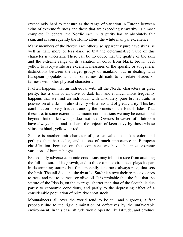exceedingly hard to measure as the range of variation in Europe between skins of extreme fairness and those that are exceedingly swarthy, is almost complete. In general the Nordic race in its purity has an absolutely fair skin, and is consequently the Homo albus, the white man par excellence.

Many members of the Nordic race otherwise apparently pure have skins, as well as hair, more or less dark, so that the determinative value of this character is uncertain. There can be no doubt that the quality of the skin and the extreme range of its variation in color from black, brown, red, yellow to ivory-white are excellent measures of the specific or subgeneric distinctions between the larger groups of mankind, but in dealing with European populations it is sometimes difficult to correlate shades of fairness with other physical characters.

It often happens that an individual with all the Nordic characters in great purity, has a skin of an olive or dark tint, and it much more frequently happens that we find an individual with absolutely pure brunet traits in possession of a skin of almost ivory whiteness and of great clarity. This last combination is very frequent among the brunets of the British Isles. That these are, to some extent, disharmonic combinations we may be certain, but beyond that our knowledge does not lead. Owners, however, of a fair skin have always been, and still are, the objects of keen envy by those whose skins are black, yellow, or red.

Stature is another unit character of greater value than skin color, and perhaps than hair color, and is one of much importance in European classification because on that continent we have the most extreme variations of human height.

Exceedingly adverse economic conditions may inhibit a race from attaining the full measure of its growth, and to this extent environment plays its part in determining stature, but fundamentally it is race, always race, that sets the limit. The tall Scot and the dwarfed Sardinian owe their respective sizes to race, and not to oatmeal or olive oil. It is probable that the fact that the stature of the Irish is, on the average, shorter than that of the Scotch, is due partly to economic conditions, and partly to the depressing effect of a considerable population of primitive short stock.

Mountaineers all over the world tend to be tall and vigorous, a fact probably due to the rigid elimination of defectives by the unfavorable environment. In this case altitude would operate like latitude, and produce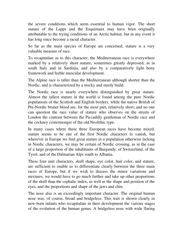the severe conditions which seem essential to human vigor. The short stature of the Lapps and the Esquimaux may have been originally attributable to the trying conditions of an Arctic habitat, but in any event it has long since become a racial character.

So far as the main species of Europe are concerned, stature is a very valuable measure of race.

To recapitulate as to this character, the Mediterranean race is everywhere marked by a relatively short stature, sometimes greatly depressed, as in south Italy and in Sardinia, and also by a comparatively light bony framework and feeble muscular development.

The Alpine race is taller than the Mediterranean although shorter than the Nordic, and is characterized by a stocky and sturdy build.

The Nordic race is nearly everywhere distinguished by great stature. Almost the tallest stature in the world is found among the pure Nordic populations of the Scottish and English borders, while the native British of Pre-Nordic brunet blood are, for the most part, relatively short; and no one can question the race value of stature who observes on the streets of London the contrast between the Piccadilly gentleman of Nordic race and the cockney costermonger of the old Neolithic type.

In many cases where these three European races have become mixed, stature seems to be one of the first Nordic characters to vanish, but wherever in Europe we find great stature in a population otherwise lacking in Nordic characters, we may be certain of Nordic crossing, as in the case of a large proportion of the inhabitants of Burgundy, of Switzerland, of the Tyrol, and of the Dalmatian Alps south to Albania.

These four unit characters, skull shape, eye color, hair color, and stature, are sufficient to enable us to differentiate clearly between the three main races of Europe, but if we wish to discuss the minor variations and mixtures, we would have to go much further and take up other proportions of the skull than the cephalic index, as well as the shape and position of the eyes, and the proportions and shape of the jaws and chin.

The nose also is an exceedingly important character. The original human nose was, of course, broad and bridgeless. This trait is shown clearly in new-born infants who recapitulate in their development the various stages of the evolution of the human genus. A bridgeless nose with wide flaring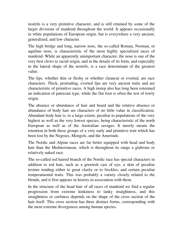nostrils is a very primitive character, and is still retained by some of the larger divisions of mankind throughout the world. It appears occasionally in white populations of European origin, but is everywhere a very ancient, generalized, and low character.

The high bridge and long, narrow nose, the so-called Roman, Norman, or aquiline nose, is characteristic of the most highly specialized races of mankind. While an apparently unimportant character, the nose is one of the very best clews to racial origin, and in the details of its form, and especially in the lateral shape of the nostrils, is a race determinant of the greatest value.

The lips, whether thin or fleshy or whether cleancut or everted, are race characters. Thick, protruding, everted lips are very ancient traits and are characteristic of primitive races. A high instep also has long been esteemed an indication of patrician type, while the flat foot is often the test of lowly origin.

The absence or abundance of hair and beard and the relative absence or abundance of body hair are characters of no little value in classification. Abundant body hair is, to a large extent, peculiar to populations of the very highest as well as the very lowest species, being characteristic of the north European as well as of the Australian savages. It merely means the retention in both these groups of a very early and primitive trait which has been lost by the Negroes, Mongols, and the Amerinds.

The Nordic and Alpine races are far better equipped with head and body hair than the Mediterranean, which is throughout its range a glabrous or relatively naked race.

The so-called red haired branch of the Nordic race has special characters in addition to red hair, such as a greenish cast of eye, a skin of peculiar texture tending either to great clarity or to freckles, and certain peculiar temperamental traits. This was probably a variety closely related to the blonds, and it first appears in history in association with them.

In the structure of the head hair of all races of mankind we find a regular progression from extreme kinkiness to lanky straightness, and this straightness or curliness depends on the shape of the cross section of the hair itself. This cross section has three distinct forms, corresponding with the most extreme divergences among human species.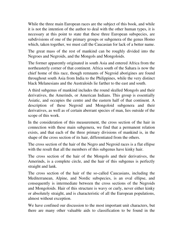While the three main European races are the subject of this book, and while it is not the intention of the author to deal with the other human types, it is necessary at this point to state that these three European subspecies, are subdivisions of one of the primary groups or subgenera of the genus Homo which, taken together, we must call the Caucasian for lack of a better name.

The great mass of the rest of mankind can be roughly divided into the Negroes and Negroids, and the Mongols and Mongoloids.

The former apparently originated in south Asia and entered Africa from the northeasterly corner of that continent. Africa south of the Sahara is now the chief home of this race, though remnants of Negroid aborigines are found throughout south Asia from India to the Philippines, while the very distinct black Melanesians and the Australoids lie farther to the east and south.

A third subgenus of mankind includes the round skulled Mongols and their derivatives, the Amerinds, or American Indians. This group is essentially Asiatic, and occupies the centre and the eastern half of that continent. A description of these Negroid and Mongoloid subgenera and their derivatives, as well as of certain aberrant species of man, lies outside of the scope of this work.

In the consideration of this measurement, the cross section of the hair in connection with these main subgenera, we find that a permanent relation exists, and that each of the three primary divisions of mankind is, in the shape of the cross section of its hair, differentiated from the others.

The cross section of the hair of the Negro and Negroid races is a flat ellipse with the result that all the members of this subgenus have kinky hair.

The cross section of the hair of the Mongols and their derivatives, the Amerinds, is a complete circle, and the hair of this subgenus is perfectly straight and lank.

The cross section of the hair of the so-called Caucasians, including the Mediterranean, Alpine, and Nordic subspecies, is an oval ellipse, and consequently is intermediate between the cross sections of the Negroids and Mongoloids. Hair of this structure is wavy or curly, never either kinky or absolutely straight, and is characteristic of all the European populations, almost without exception.

We have confined our discussion to the most important unit characters, but there are many other valuable aids to classification to be found in the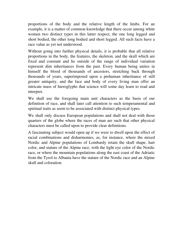proportions of the body and the relative length of the limbs. For an example, it is a matter of common knowledge that there occur among white women two distinct types in this latter respect, the one long legged and short bodied, the other long bodied and short legged. All such facts have a race value as yet not understood.

Without going into further physical details, it is probable that all relative proportions in the body, the features, the skeleton, and the skull which are fixed and constant and lie outside of the range of individual variation represent dim inheritances from the past. Every human being unites in himself the blood of thousands of ancestors, stretching back through thousands of years, superimposed upon a prehuman inheritance of still greater antiquity, and the face and body of every living man offer an intricate mass of hieroglyphs that science will some day learn to read and interpret.

We shall use the foregoing main unit characters as the basis of our definition of race, and shall later call attention to such temperamental and spiritual traits as seem to be associated with distinct physical types.

We shall only discuss European populations and shall not deal with those quarters of the globe where the races of man are such that other physical characters must be called upon to provide clear definitions.

A fascinating subject would open up if we were to dwell upon the effect of racial combinations and disharmonies, as, for instance, where the mixed Nordic and Alpine populations of Lombardy retain the skull shape, hair color, and stature of the Alpine race, with the light eye color of the Nordic race, or where the mountain populations along the east coast of the Adriatic from the Tyrol to Albania have the stature of the Nordic race and an Alpine skull and coloration.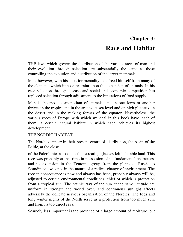### <span id="page-25-0"></span>[Chapter 3:](#page-25-0) [Race and Habitat](#page-25-0)

THE laws which govern the distribution of the various races of man and their evolution through selection are substantially the same as those controlling the evolution and distribution of the larger mammals.

Man, however, with his superior mentality, has freed himself from many of the elements which impose restraint upon the expansion of animals. In his case selection through disease and social and economic competition has replaced selection through adjustment to the limitations of food supply.

Man is the most cosmopolitan of animals, and in one form or another thrives in the tropics and in the arctics, at sea level and on high plateaux, in the desert and in the reeking forests of the equator. Nevertheless, the various races of Europe with which we deal in this book have, each of them, a certain natural habitat in which each achieves its highest development.

#### THE NORDIC HABITAT

The Nordics appear in their present centre of distribution, the basin of the Baltic, at the close

of the Paleolithic, as soon as the retreating glaciers left habitable land. This race was probably at that time in possession of its fundamental characters, and its extension in the Teutonic group from the plains of Russia to Scandinavia was not in the nature of a radical change of environment. The race in consequence is now and always has been, probably always will be, adjusted to certain environmental conditions, chief of which is protection from a tropical sun. The actinic rays of the sun at the same latitude are uniform in strength the world over, and continuous sunlight affects adversely the delicate nervous organization of the Nordics. The fogs and long winter nights of the North serve as a protection from too much sun, and from its too direct rays.

Scarcely less important is the presence of a large amount of moisture, but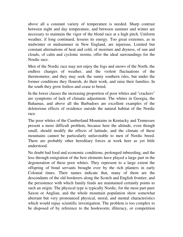above all a constant variety of temperature is needed. Sharp contrast between night and day temperature, and between summer and winter are necessary to maintain the vigor of the blond race at a high pitch. Uniform weather, if long continued, lessens its energy. Too great extremes, as in midwinter or midsummer in New England, are injurious. Limited but constant alternations of heat and cold, of moisture and dryness, of sun and clouds, of calm and cyclonic storms, offer the ideal surroundings for the Nordic race.

Men of the Nordic race may not enjoy the fogs and snows of the North, the endless changes of weather, and the violent fluctuations of the thermometer, and they may seek the sunny southern isles, but under the former conditions they flourish, do their work, and raise their families. In the south they grow listless and cease to breed.

In the lower classes the increasing proportion of poor whites and "crackers" are symptoms of lack of climatic adjustment. The whites in Georgia, the Bahamas, and above all the Barbadoes are excellent examples of the deleterious effects of residence outside the natural habitat of the Nordic race.

The poor whites of the Cumberland Mountains in Kentucky and Tennessee present a more difficult problem, because here the altitude, even though small, should modify the effects of latitude, and the climate of these mountains cannot be particularly unfavorable to men of Nordic breed. There are probably other hereditary forces at work here as yet little understood.

No doubt bad food and economic conditions, prolonged inbreeding, and the loss through emigration of the best elements have played a large part in the degeneration of these poor whites. They represent to a large extent the offspring of bond servants brought over by the rich planters in early Colonial times. Their names indicate that, many of them are the descendants of the old borderers along the Scotch and English frontier, and the persistence with which family feuds are maintained certainly points to such an origin. The physical type is typically Nordic, for the most part pure Saxon or Anglian, and the whole mountain population show somewhat aberrant but very pronounced physical, moral, and mental characteristics which would repay scientific investigation. The problem is too complex to be disposed of by reference to the hookworm, illiteracy, or competition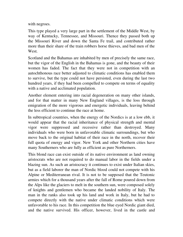with negroes.

This type played a very large part in the settlement of the Middle West, by way of Kentucky, Tennessee, and Missouri. Thence they passed both up the Missouri River and down the Santa Fe trail, and contributed rather more than their share of the train robbers horse thieves, and bad men of the West.

Scotland and the Bahamas are inhabited by men of precisely the same race, but the vigor of the English in the Bahamas is gone, and the beauty of their women has faded. The fact that they were not in competition with an autochthonous race better adjusted to climatic conditions has enabled them to survive, but the type could not have persisted, even during the last two hundred years, if they had been compelled to compete on terms of equality with a native and acclimated population.

Another element entering into racial degeneration on many other islands, and for that matter in many New England villages, is the loss through emigration of the more vigorous and energetic individuals, leaving behind the less efficient to continue the race at home.

In subtropical countries, when the energy of the Nordics is at a low ebb, it would appear that the racial inheritance of physical strength and mental vigor were suppressed and recessive rather than destroyed. Many individuals who were born in unfavorable climatic surroundings, but who move back to the original habitat of their race in the north, recover their full quota of energy and vigor. New York and other Northern cities have many Southerners who are fully as efficient as pure Northerners.

This blond race can exist outside of its native environment as land owning aristocrats who are not required to do manual labor in the fields under a blazing sun. As such an aristocracy it continues to exist under Italian skies, but as a field laborer the man of Nordic blood could not compete with his Alpine or Mediterranean rival. It is not to be supposed that the Teutonic armies which for a thousand years after the fall of Rome poured down from the Alps like the glaciers to melt in the southern sun, were composed solely of knights and gentlemen who became the landed nobility of Italy. The man in the ranks also took up his land and work in Italy, but he had to compete directly with the native under climatic conditions which were unfavorable to his race. In this competition the blue eyed Nordic giant died, and the native survived. His officer, however, lived in the castle and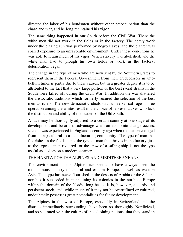directed the labor of his bondsmen without other preoccupation than the chase and war, and he long maintained his vigor.

The same thing happened in our South before the Civil War. There the white men did not work in the fields or in the factory. The heavy work under the blazing sun was performed by negro slaves, and the planter was spared exposure to an unfavorable environment. Under these conditions he was able to retain much of his vigor. When slavery was abolished, and the white man had to plough his own fields or work in the factory, deterioration began.

The change in the type of men who are now sent by the Southern States to represent them in the Federal Government from their predecessors in antebellum times is partly due to these causes, but in a greater degree it is to be attributed to the fact that a very large portion of the best racial strains in the South were killed off during the Civil War. In addition the war shattered the aristocratic traditions which formerly secured the selection of the best men as rulers. The new democratic ideals with universal suffrage in free operation among the whites result in the choice of representatives who lack the distinction and ability of the leaders of the Old South.

A race may be thoroughly adjusted to a certain country at one stage of its development and be at a disadvantage when an economic change occurs, such as was experienced in England a century ago when the nation changed from an agricultural to a manufacturing community. The type of man that flourishes in the fields is not the type of man that thrives in the factory, just as the type of man required for the crew of a sailing ship is not the type useful as stokers on a modern steamer.

#### THE HABITAT OF THE ALPINES AND MEDITERRANEANS

The environment of the Alpine race seems to have always been the mountainous country of central and eastern Europe, as well as western Asia. This type has never flourished in the deserts of Arabia or the Sahara, nor has it succeeded in maintaining its colonies in the north of Europe within the domain of the Nordic long heads. It is, however, a sturdy and persistent stock, and, while much of it may not be overrefined or cultured, undoubtedly possesses great potentialities for future development.

The Alpines in the west of Europe, especially in Switzerland and the districts immediately surrounding, have been so thoroughly Nordicized, and so saturated with the culture of the adjoining nations, that they stand in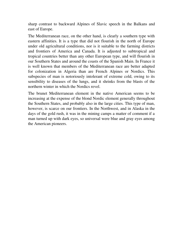sharp contrast to backward Alpines of Slavic speech in the Balkans and east of Europe.

The Mediterranean race, on the other hand, is clearly a southern type with eastern affinities. It is a type that did not flourish in the north of Europe under old agricultural conditions, nor is it suitable to the farming districts and frontiers of America and Canada. It is adjusted to subtropical and tropical countries better than any other European type, and will flourish in our Southern States and around the coasts of the Spanish Main. In France it is well known that members of the Mediterranean race are better adapted for colonization in Algeria than are French Alpines or Nordics. This subspecies of man is notoriously intolerant of extreme cold, owing to its sensibility to diseases of the lungs, and it shrinks from the blasts of the northern winter in which the Nordics revel.

The brunet Mediterranean element in the native American seems to be increasing at the expense of the blond Nordic element generally throughout the Southern States, and probably also in the large cities. This type of man, however, is scarce on our frontiers. In the Northwest, and in Alaska in the days of the gold rush, it was in the mining camps a matter of comment if a man turned up with dark eyes, so universal were blue and gray eyes among the American pioneers.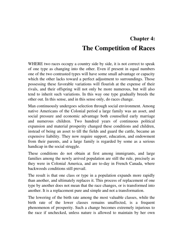## <span id="page-30-0"></span>[Chapter 4:](#page-30-0) [The Competition of Races](#page-30-0)

WHERE two races occupy a country side by side, it is not correct to speak of one type as changing into the other. Even if present in equal numbers one of the two contrasted types will have some small advantage or capacity which the other lacks toward a perfect adjustment to surroundings. Those possessing these favorable variations will flourish at the expense of their rivals, and their offspring will not only be more numerous, but will also tend to inherit such variations. In this way one type gradually breeds the other out. In this sense, and in this sense only, do races change.

Man continuously undergoes selection through social environment. Among native Americans of the Colonial period a large family was an asset, and social pressure and economic advantage both counselled early marriage and numerous children. Two hundred years of continuous political expansion and material prosperity changed these conditions and children, instead of being an asset to till the fields and guard the cattle, became an expensive liability. They now require support, education, and endowment from their parents, and a large family is regarded by some as a serious handicap in the social struggle.

These conditions do not obtain at first among immigrants, and large families among the newly arrived population are still the rule, precisely as they were in Colonial America, and are to-day in French Canada, where backwoods conditions still prevail.

The result is that one class or type in a population expands more rapidly than another, and ultimately replaces it. This process of replacement of one type by another does not mean that the race changes, or is transformed into another. It is a replacement pure and simple and not a transformation.

The lowering of the birth rate among the most valuable classes, while the birth rate of the lower classes remains unaffected, is a frequent phenomenon of prosperity. Such a change becomes extremely injurious to the race if unchecked, unless nature is allowed to maintain by her own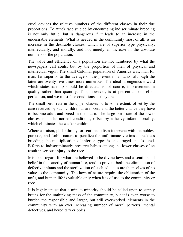cruel devices the relative numbers of the different classes in their due proportions. To attack race suicide by encouraging indiscriminate breeding is not only futile, but is dangerous if it leads to an increase in the undesirable elements. What is needed in the community most of all, is an increase in the desirable classes, which are of superior type physically, intellectually, and morally, and not merely an increase in the absolute numbers of the population.

The value and efficiency of a population are not numbered by what the newspapers call souls, but by the proportion of men of physical and intellectual vigor. The small Colonial population of America was, man for man, far superior to the average of the present inhabitants, although the latter are twenty-five times more numerous. The ideal in eugenics toward which statesmanship should be directed, is, of course, improvement in quality rather than quantity. This, however, is at present a counsel of perfection, and we must face conditions as they are.

The small birth rate in the upper classes is, to some extent, offset by the care received by such children as are born, and the better chance they have to become adult and breed in their turn. The large birth rate of the lower classes is, under normal conditions, offset by a heavy infant mortality, which eliminates the weaker children.

Where altruism, philanthropy, or sentimentalism intervene with the noblest purpose, and forbid nature to penalize the unfortunate victims of reckless breeding, the multiplication of inferior types is encouraged and fostered. Efforts to indiscriminately preserve babies among the lower classes often result in serious injury to the race.

Mistaken regard for what are believed to be divine laws and a sentimental belief in the sanctity of human life, tend to prevent both the elimination of defective infants and the sterilization of such adults as are themselves of no value to the community. The laws of nature require the obliteration of the unfit, and human life is valuable only when it is of use to the community or race.

It is highly unjust that a minute minority should be called upon to supply brains for the unthinking mass of the community, but it is even worse to burden the responsible and larger, but still overworked, elements in the community with an ever increasing number of moral perverts, mental defectives, and hereditary cripples.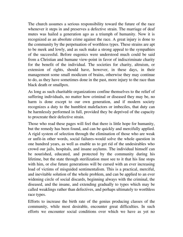The church assumes a serious responsibility toward the future of the race whenever it steps in and preserves a defective strain. The marriage of deaf mutes was hailed a generation ago as a triumph of humanity. Now it is recognized as an absolute crime against the race. A great injury is done to the community by the perpetuation of worthless types. These strains are apt to be meek and lowly, and as such make a strong appeal to the sympathies of the successful. Before eugenics were understood much could be said from a Christian and humane view-point in favor of indiscriminate charity for the benefit of the individual. The societies for charity, altruism, or extension of rights, should have, however, in these days, in their management some small modicum of brains, otherwise they may continue to do, as they have sometimes done in the past, more injury to the race than black death or smallpox.

As long as such charitable organizations confine themselves to the relief of suffering individuals, no matter how criminal or diseased they may be, no harm is done except to our own generation, and if modern society recognizes a duty to the humblest malefactors or imbeciles, that duty can be harmlessly performed in full, provided they be deprived of the capacity to procreate their defective strain.

Those who read these pages will feel that there is little hope for humanity, but the remedy has been found, and can be quickly and mercifully applied. A rigid system of selection through the elimination of those who are weak or unfit-in other words, social failures-would solve the whole question in one hundred years, as well as enable us to get rid of the undesirables who crowd our jails, hospitals, and insane asylums. The individual himself can be nourished, educated, and protected by the community during his lifetime, but the state through sterilization must see to it that his line stops with him, or else future generations will be cursed with an ever increasing load of victims of misguided sentimentalism. This is a practical, merciful, and inevitable solution of the whole problem, and can be applied to an ever widening circle of social discards, beginning always with the criminal, the diseased, and the insane, and extending gradually to types which may be called weaklings rather than defectives, and perhaps ultimately to worthless race types.

Efforts to increase the birth rate of the genius producing classes of the community, while most desirable, encounter great difficulties. In such efforts we encounter social conditions over which we have as yet no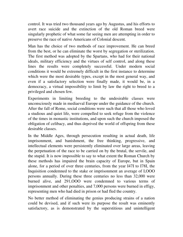control. It was tried two thousand years ago by Augustus, and his efforts to avert race suicide and the extinction of the old Roman breed were singularly prophetic of what some far seeing men are attempting in order to preserve the race of native Americans of Colonial descent.

Man has the choice of two methods of race improvement. He can breed from the best, or he can eliminate the worst by segregation or sterilization. The first method was adopted by the Spartans, who had for their national ideals, military efficiency and the virtues of self control, and along these lines the results were completely successful. Under modern social conditions it would be extremely difficult in the first instance to determine which were the most desirable types, except in the most general way, and even if a satisfactory selection were finally made, it would be, in a democracy, a virtual impossibility to limit by law the right to breed to a privileged and chosen few.

Experiments in limiting breeding to the undesirable classes were unconsciously made in mediaeval Europe under the guidance of the church. After the fall of Rome, social conditions were such that all those who loved a studious and quiet life, were compelled to seek refuge from the violence of the times in monastic institutions, and upon such the church imposed the obligation of celibacy, and thus deprived the world of offspring from these desirable classes.

In the Middle Ages, through persecution resulting in actual death, life imprisonment, and banishment, the free thinking, progressive, and intellectual elements were persistently eliminated over large areas, leaving the perpetuation of the race to be carried on by the brutal, the servile, and the stupid. It is now impossible to say to what extent the Roman Church by these methods has impaired the brain capacity of Europe, but in Spain alone, for a period of over three centuries, from the year I47I to I78I, the Inquisition condemned to the stake or imprisonment an average of I,OOO persons annually. During these three centuries no less than 32,000 were burned alive, and 291,000 were condemned to various terms of imprisonment and other penalties, and 7,000 persons were burned in effigy, representing men who had died in prison or had fled the country.

No better method of eliminating the genius producing strains of a nation could be devised, and if such were its purpose the result was eminently satisfactory, as is demonstrated by the superstitious and unintelligent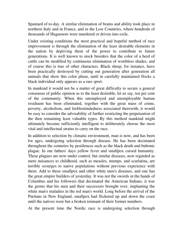Spaniard of to-day. A similar elimination of brains and ability took place in northern Italy and in France, and in the Low Countries, where hundreds of thousands of Huguenots were murdered or driven into exile.

Under existing conditions the most practical and hopeful method of race improvement is through the elimination of the least desirable elements in the nation by depriving them of the power to contribute to future generations. It is well known to stock breeders that the color of a herd of cattle can be modified by continuous elimination of worthless shades, and of course this is true of other characters. Black sheep, for instance, have been practically destroyed by cutting out generation after generation all animals that show this color phase, until in carefully maintained flocks a black individual only appears as a rare sport.

In mankind it would not be a matter of great difficulty to secure a general consensus of public opinion as to the least desirable, let us say, ten per cent of the community. When this unemployed and unemployable human residuum has been eliminated, together with the great mass of crime, poverty, alcoholism, and feeblemindedness associated therewith, it would be easy to consider the advisability of further restricting the perpetuation of the then remaining least valuable types. By this method mankind might ultimately become sufficiently intelligent to deliberately choose the most vital and intellectual strains to carry on the race.

In addition to selection by climatic environment, man is now, and has been for ages, undergoing selection through disease. He has been decimated throughout the centuries by pestilences such as the black death and bubonic plague. In our fathers' days yellow fever and smallpox cursed humanity. These plagues are now under control, but similar diseases, now regarded as mere nuisances to childhood, such as measles, mumps, and scarlatina, are terrible scourges to native populations without previous experience with them. Add to these smallpox and other white men's diseases, and one has the great empire builders of yesterday. It was not the swords in the hands of Columbus and his followers that decimated the American Indians, it was the germs that his men and their successors brought over, implanting the white man's maladies in the red man's world. Long before the arrival of the Puritans in New England, smallpox had flickered up and down the coast until the natives were but a broken remnant of their former numbers.

At the present time the Nordic race is undergoing selection through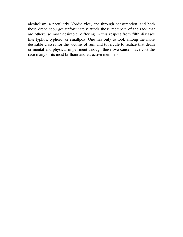alcoholism, a peculiarly Nordic vice, and through consumption, and both these dread scourges unfortunately attack those members of the race that are otherwise most desirable, differing in this respect from filth diseases like typhus, typhoid, or smallpox. One has only to look among the more desirable classes for the victims of rum and tubercule to realize that death or mental and physical impairment through these two causes have cost the race many of its most brilliant and attractive members.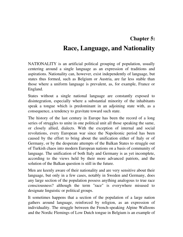# <span id="page-36-0"></span>[Chapter 5:](#page-36-0) [Race, Language, and Nationality](#page-36-0)

NATIONALITY is an artificial political grouping of population, usually centering around a single language as an expression of traditions and aspirations. Nationality can, however, exist independently of language, but states thus formed, such as Belgium or Austria, are far less stable than those where a uniform language is prevalent, as, for example, France or England.

States without a single national language are constantly exposed to disintegration, especially where a substantial minority of the inhabitants speak a tongue which is predominant in an adjoining state with, as a consequence, a tendency to gravitate toward such state.

The history of the last century in Europe has been the record of a long series of struggles to unite in one political unit all those speaking the same, or closely allied, dialects. With the exception of internal and social revolutions, every European war since the Napoleonic period has been caused by the effort to bring about the unification either of Italy or of Germany, or by the desperate attempts of the Balkan States to struggle out of Turkish chaos into modern European nations on a basis of community of language. The unification of both Italy and Germany is as yet incomplete, according to the views held by their more advanced patriots, and the solution of the Balkan question is still in the future.

Men are keenly aware of their nationality and are very sensitive about their language, but only in a few cases, notably in Sweden and Germany, does any large section of the population possess anything analogous to true race consciousness? although the term "race" is everywhere misused to designate linguistic or political groups.

It sometimes happens that a section of the population of a large nation gathers around language, reinforced by religion, as an expression of individuality. The struggle between the French-speaking Alpine Walloons and the Nordic Flemings of Low Dutch tongue in Belgium is an example of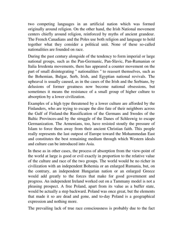two competing languages in an artificial nation which was formed originally around religion. On the other hand, the Irish National movement centers chiefly around religion, reinforced by myths of ancient grandeur. The French Canadians and the Poles use both religion and language to hold together what they consider a political unit. None of these so-called nationalities are founded on race.

During the past century alongside of the tendency to form imperial or large national groups, such as the Pan-Germanic, Pan-Slavic, Pan-Rumanian or Italia Irredenta movements, there has appeared a counter movement on the part of small disintegrating " nationalities " to reassert themselves, such as the Bohemian, Bulgar, Serb, Irish, and Egyptian national revivals. The upheaval is usually caused, as in the cases of the Irish and the Serbians, by delusions of former greatness now become national obsessions, but sometimes it means the resistance of a small group of higher culture to absorption by a lower civilization.

Examples of a high type threatened by a lower culture are afforded by the Finlanders, who are trying to escape the dire fate of their neighbors across the Gulf of Finland-the Russification of the Germans and Swedes of the Baltic Provinces-and by the struggle of the Danes of Schleswig to escape Germanization. The Armenians, too, have resisted stoutly the pressure of Islam to force them away from their ancient Christian faith. This people really represents the last outpost of Europe toward the Mohammedan East and constitutes the best remaining medium through which Western ideals and culture can be introduced into Asia.

In these as in other cases, the process of absorption from the view-point of the world at large is good or evil exactly in proportion to the relative value of the culture and race of the two groups. The world would be no richer in civilization with an independent Bohemia or an enlarged Rumania, but, on the contrary, an independent Hungarian nation or an enlarged Greece would add greatly to the forces that make for good government and progress. An independent Ireland worked out on a Tammany model is not a pleasing prospect. A free Poland, apart from its value as a buffer state, would be actually a step backward. Poland was once great, but the elements that made it so are dead and gone, and to-day Poland is a geographical expression and nothing more.

The prevailing lack of true race consciousness is probably due to the fact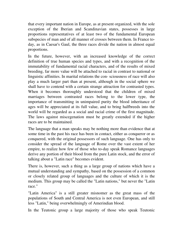that every important nation in Europe, as at present organized, with the sole exception of the Iberian and Scandinavian states, possesses in large proportions representatives of at least two of the fundamental European subspecies of man and of all manner of crosses between them. In France today, as in Caesar's Gaul, the three races divide the nation in almost equal proportions.

In the future, however, with an increased knowledge of the correct definition of true human species and types, and with a recognition of the immutability of fundamental racial characters, and of the results of mixed breeding, far more value will be attached to racial in contrast to national or linguistic affinities. In marital relations the con-sciousness of race will also play a much larger part than at present, although in the social sphere we shall have to contend with a certain strange attraction for contrasted types. When it becomes thoroughly understood that the children of mixed marriages between contrasted races belong to the lower type, the importance of transmitting in unimpaired purity the blood inheritance of ages will be appreciated at its full value, and to bring halfbreeds into the world will be regarded as a social and racial crime of the first magnitude. The laws against miscegenation must be greatly extended if the higher races are to be maintained.

The language that a man speaks may be nothing more than evidence that at some time in the past his race has been in contact, either as conqueror or as conquered, with the original possessors of such language. One has only to consider the spread of the language of Rome over the vast extent of her empire, to realize how few of those who to-day speak Romance languages derive any portion of their blood from the pure Latin stock, and the error of talking about a "Latin race" becomes evident.

There is, however, such a thing as a large group of nations which have a mutual understanding and sympathy, based on the possession of a common or closely related group of languages and the culture of which it is the medium. This group may be called the "Latin nations," but never the "Latin race."

"Latin America" is a still greater misnomer as the great mass of the populations of South and Central America is not even European, and still less "Latin," being overwhelmingly of Amerindian blood.

In the Teutonic group a large majority of those who speak Teutonic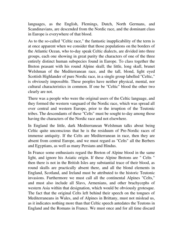languages, as the English, Flemings, Dutch, North Germans, and Scandinavians, are descended from the Nordic race, and the dominant class in Europe is everywhere of that blood.

As to the so-called "Celtic race," the fantastic inapplicability of the term is at once apparent when we consider that those populations on the borders of the Atlantic Ocean, who to-day speak Celtic dialects, are divided into three groups, each one showing in great purity the characters of one of the three entirely distinct human subspecies found in Europe. To class together the Breton peasant with his round Alpine skull; the little, long skull, brunet Welshman of the Mediterranean race, and the tall, blond, light eyed Scottish Highlander of pure Nordic race, in a single group labelled "Celtic," is obviously impossible. These peoples have neither physical, mental, nor cultural characteristics in common. If one be "Celtic" blood the other two clearly are not.

There was a people who were the original users of the Celtic language, and they formed the western vanguard of the Nordic race, which was spread all over central and western Europe, prior to the irruption of the Teutonic tribes. The descendants of these "Celts" must be sought to-day among those having the characters of the Nordic race and not elsewhere.

In England the little, dark Mediterranean Welshman talks about being Celtic quite unconscious that he is the residuum of Pre-Nordic races of immense antiquity. If the Celts are Mediterranean in race, then they are absent from central Europe, and we must regard as "Celts" all the Berbers and Egyptians, as well as many Persians and Hindus.

In France some enthusiasts regard the Breton of Alpine blood in the same light, and ignore his Asiatic origin. If these Alpine Bretons are " Celts " then there is not in the British Isles any substantial trace of their blood, as round skulls are practically absent there, and all the blond elements in England, Scotland, and Ireland must be attributed to the historic Teutonic invasions. Furthermore we must call all the continental Alpines "Celts," and must also include all Slavs, Armenians, and other brachycephs of western Asia within that designation, which would be obviously grotesque. The fact that the original Celts left behind their speech on the tongues of Mediterraneans in Wales, and of Alpines in Brittany, must not mislead us, as it indicates nothing more than that Celtic speech antedates the Teutons in England and the Romans in France. We must once and for all time discard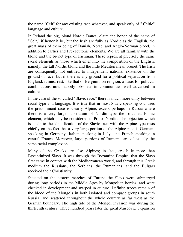the name "Celt" for any existing race whatever, and speak only of " Celtic" language and culture.

In Ireland the big, blond Nordic Danes, claim the honor of the name of "Celt," if honor it be, but the Irish are fully as Nordic as the English, the great mass of them being of Danish, Norse, and Anglo-Norman blood, in addition to earlier and Pre-Teutonic elements. We are all familiar with the blond and the brunet type of Irishman. These represent precisely the same racial elements as those which enter into the composition of the English, namely, the tall Nordic blond and the little Mediterranean brunet. The Irish are consequently not entitled to independent national existence on the ground of race, but if there is any ground for a political separation from England, it must rest, like that of Belgium, on religion, a basis for political combinations now happily obsolete in communities well advanced in culture.

In the case of the so-called "Slavic race," there is much more unity between racial type and language. It is true that in most Slavic-speaking countries the predominant race is clearly Alpine, except perhaps in Russia where there is a very large substratum of Nordic type the so-called Finnic element, which may be considered as Proto-Nordic. The objection which is made to the identification of the Slavic race with the Alpine type rests chiefly on the fact that a very large portion of the Alpine race is Germanspeaking in Germany, Italian-speaking in Italy, and French-speaking in central France. Moreover, large portions of Rumania are of exactly the same racial complexion.

Many of the Greeks are also Alpines; in fact, are little more than Byzantinized Slavs. It was through the Byzantine Empire, that the Slavs first came in contact with the Mediterranean world, and through this Greek medium the Russians, the Serbians, the Rumanians, and the Bulgars received their Christianity.

Situated on the eastern marches of Europe the Slavs were submerged during long periods in the Middle Ages by Mongolian hordes, and were checked in development and warped in culture. Definite traces remain of the blood of the Mongols in both isolated and compact groups in south Russia, and scattered throughout the whole country as far west as the German boundary. The high tide of the Mongol invasion was during the thirteenth century. Three hundred years later the great Muscovite expansion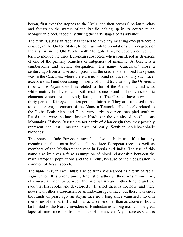began, first over the steppes to the Urals, and then across Siberian tundras and forests to the waters of the Pacific, taking up in its course much Mongolian blood, especially during the early stages of its advance.

The term "Caucasian race" has ceased to have any meaning except where it is used, in the United States, to contrast white populations with negroes or Indians, or, in the Old World, with Mongols. It is, however, a convenient term to include the three European subspecies when considered as divisions of one of the primary branches or subgenera of mankind. At best it is a cumbersome and archaic designation. The name "Caucasian" arose a century ago from a false assumption that the cradle of the blond Europeans was in the Caucasus, where there are now found no traces of any such race, except a small and decreasing minority of blond traits among the Ossetes, a tribe whose Aryan speech is related to that of the Armenians, and who, while mainly brachycephalic, still retain some blond and dolichocephalic elements which are apparently fading fast. The Ossetes have now about thirty per cent fair eyes and ten per cent fair hair. They are supposed to be, to some extent, a remnant of the Alans, a Teutonic tribe closely related to the Goths. Both Alans and Goths very early in our era occupied southern Russia, and were the latest known Nordics in the vicinity of the Caucasus Mountains. If these Ossetes are not partly of Alan origin they may possibly represent the last lingering trace of early Scythian dolichocephalic blondness.

The phrase " Indo-European race " is also of little use. If it has any meaning at all it must include all the three European races as well as members of the Mediterranean race in Persia and India. The use of this name also involves a false assumption of blood relationship between the main European populations and the Hindus, because of their possession in common of Aryan speech.

The name "Aryan race" must also be frankly discarded as a term of racial significance. It is to-day purely linguistic, although there was at one time, of course, an identity between the original Aryan mother tongue and the race that first spoke and developed it. In short there is not now, and there never was either a Caucasian or an Indo-European race, but there was once, thousands of years ago, an Aryan race now long since vanished into dim memories of the past. If used in a racial sense other than as above it should be limited to the Nordic invaders of Hindustan now long extinct. The great lapse of time since the disappearance of the ancient Aryan race as such, is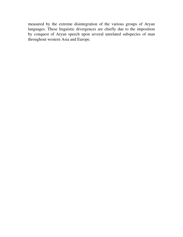measured by the extreme disintegration of the various groups of Aryan languages. These linguistic divergences are chiefly due to the imposition by conquest of Aryan speech upon several unrelated subspecies of man throughout western Asia and Europe.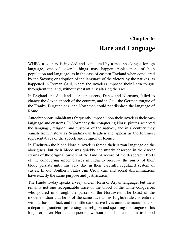### <span id="page-43-0"></span>[Chapter 6:](#page-43-0) [Race and Language](#page-43-0)

WHEN a country is invaded and conquered by a race speaking a foreign language, one of several things may happen, replacement of both population and language, as in the case of eastern England when conquered by the Saxons; or adoption of the language of the victors by the natives, as happened in Roman Gaul, where the invaders imposed their Latin tongue throughout the land, without substantially altering the race.

In England and Scotland later conquerors, Danes and Normans, failed to change the Saxon speech of the country, and in Gaul the German tongue of the Franks, Burgundians, and Northmen could not displace the language of Rome.

Autochthonous inhabitants frequently impose upon their invaders their own language and customs. In Normandy the conquering Norse pirates accepted the language, religion, and customs of the natives, and in a century they vanish from history as Scandinavian heathen and appear as the foremost representatives of the speech and religion of Rome.

In Hindustan the blond Nordic invaders forced their Aryan language on the aborigines, but their blood was quickly and utterly absorbed in the darker strains of the original owners of the land. A record of the desperate efforts of the conquering upper classes in India to preserve the purity of their blood persists until this very day in their carefully regulated system of castes. In our Southern States Jim Crow cars and social discriminations have exactly the same purpose and justification.

The Hindu to-day speaks a very ancient form of Aryan language, but there remains not one recognizable trace of the blood of the white conquerors who poured in through the passes of the Northwest. The boast of the modern Indian that he is of the same race as his English ruler, is entirely without basis in fact, and the little dark native lives amid the monuments of a departed grandeur, professing the religion and speaking the tongue of his long forgotten Nordic conquerors, without the slightest claim to blood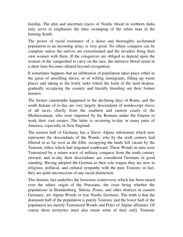kinship. The dim and uncertain traces of Nordic blood in northern India only serve to emphasize the utter swamping of the white man in the burning South.

The power of racial resistance of a dense and thoroughly acclimated population to an incoming army, is very great. No ethnic conquest can be complete unless the natives are exterminated and the invaders bring their own women with them. If the conquerors are obliged to depend upon the women of the vanquished to carry on the race, the intrusive blood strain in a short time becomes diluted beyond recognition.

It sometimes happens that an infiltration of population takes place either in the guise of unwilling slaves, or of willing immigrants, filling up waste places and taking to the lowly tasks which the lords of the land despise, gradually occupying the country and literally breeding out their former masters.

The former catastrophe happened in the declining days of Rome, and the south Italians of to-day are very largely descendants of nondescript slaves of all races, chiefly from the southern and eastern coasts of the Mediterranean, who were imported by the Romans under the Empire to work their vast estates. The latter is occurring to-day in many parts of America, especially in New England.

The eastern half of Germany has a Slavic Alpine substratum which now represents the descendants of the Wends, who by the sixth century had filtered in as far west as the Elbe, occupying the lands left vacant by the Teutonic tribes which had migrated southward. These Wends in turn were Teutonized by a return wave of military conquest from the tenth century onward, and to-day their descendants are considered Germans in good standing. Having adopted the German as their sole tongue they are now in religious, political, and cultural sympathy with the pure Teutons; in fact, they are quite unconscious of any racial distinction.

This historic fact underlies the ferocious controversy which has been raised over the ethnic origin of the Prussians, the issue being whether the populations in Brandenburg, Silesia, Posen, and other districts in eastern Germany, are Alpine Wends or true Nordic Germans. The truth is that the dominant half of the population is purely Teutonic and the lower half of the population are merely Teutonized Wends and Poles of Alpine affinities. Of course these territories must also retain some of their early Teutonic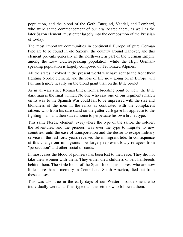population, and the blood of the Goth, Burgund, Vandal, and Lombard, who were at the commencement of our era located there, as well as the later Saxon element, must enter largely into the composition of the Prussian of to-day.

The most important communities in continental Europe of pure German type are to be found in old Saxony, the country around Hanover, and this element prevails generally in the northwestern part of the German Empire among the Low Dutch-speaking population, while the High Germanspeaking population is largely composed of Teutonized Alpines.

All the states involved in the present world war have sent to the front their fighting Nordic element, and the loss of life now going on in Europe will fall much more heavily on the blond giant than on the little brunet.

As in all wars since Roman times, from a breeding point of view, the little dark man is the final winner. No one who saw one of our regiments march on its way to the Spanish War could fail to be impressed with the size and blondness of the men in the ranks as contrasted with the complacent citizen, who from his safe stand on the gutter curb gave his applause to the fighting man, and then stayed home to perpetuate his own brunet type.

This same Nordic element, everywhere the type of the sailor, the soldier, the adventurer, and the pioneer, was ever the type to migrate to new countries, until the ease of transportation and the desire to escape military service in the last forty years reversed the immigrant tide. In consequence of this change our immigrants now largely represent lowly refugees from "persecution" and other social discards.

In most cases the blood of pioneers has been lost to their race. They did not take their women with them. They either died childless or left halfbreeds behind them. The virile blood of the Spanish conquistadores, who are now little more than a memory in Central and South America, died out from these causes.

This was also true in the early days of our Western frontiersmen, who individually were a far finer type than the settlers who followed them.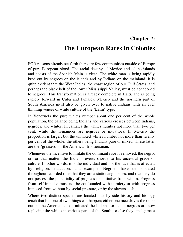### <span id="page-46-0"></span>[Chapter 7:](#page-46-0) [The European Races in Colonies](#page-46-0)

FOR reasons already set forth there are few communities outside of Europe of pure European blood. The racial destiny of Mexico and of the islands and coasts of the Spanish Main is clear. The white man is being rapidly bred out by negroes on the islands and by Indians on the mainland. It is quite evident that the West Indies, the coast region of our Gulf States, and perhaps the black belt of the lower Mississippi Valley, must be abandoned to negroes. This transformation is already complete in Haiti, and is going rapidly forward in Cuba and Jamaica. Mexico and the northern part of South America must also be given over to native Indians with an ever thinning veneer of white culture of the "Latin" type.

In Venezuela the pure whites number about one per cent of the whole population, the balance being Indians and various crosses between Indians, negroes, and whites. In Jamaica the whites number not more than two per cent, while the remainder are negroes or mulattoes. In Mexico the proportion is larger, but the unmixed whites number not more than twenty per cent of the whole, the others being Indians pure or mixed. These latter are the "greasers" of the American frontiersman.

Whenever the incentive to imitate the dominant race is removed, the negro, or for that matter, the Indian, reverts shortly to his ancestral grade of culture. In other words, it is the individual and not the race that is affected by religion, education, and example. Negroes have demonstrated throughout recorded time that they are a stationary species, and that they do not possess the potentiality of progress or initiative from within. Progress from self-impulse must not be confounded with mimicry or with progress imposed from without by social pressure, or by the slavers' lash.

Where two distinct species are located side by side history and biology teach that but one of two things can happen; either one race drives the other out, as the Americans exterminated the Indians, or as the negroes are now replacing the whites in various parts of the South; or else they amalgamate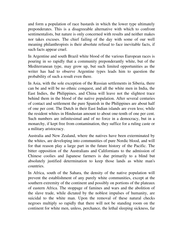and form a population of race bastards in which the lower type ultimately preponderates. This is a disagreeable alternative with which to confront sentimentalists, but nature is only concerned with results and neither makes nor takes excuses. The chief failing of the day with some of our well meaning philanthropists is their absolute refusal to face inevitable facts, if such facts appear cruel.

In Argentine and south Brazil white blood of the various European races is pouring in so rapidly that a community preponderantly white, but of the Mediterranean type, may grow up, but such limited opportunities as the writer has had to observe Argentine types leads him to question the probability of such a result even there.

In Asia, with the sole exception of the Russian settlements in Siberia, there can be and will be no ethnic conquest, and all the white men in India, the East Indies, the Philippines, and China will leave not the slightest trace behind them in the blood of the native population. After several centuries of contact and settlement the pure Spanish in the Philippines are about half of one per cent. The Dutch in their East Indian islands are even less; while the resident whites in Hindustan amount to about one-tenth of one per cent. Such numbers are infinitesimal and of no force in a democracy, but in a monarchy, if kept free from contamination, they suffice for a ruling caste or a military aristocracy.

Australia and New Zealand, where the natives have been exterminated by the whites, are developing into communities of pure Nordic blood, and will for that reason play a large part in the future history of the Pacific. The bitter opposition of the Australians and Californians to the admission of Chinese coolies and Japanese farmers is due primarily to a blind but absolutely justified determination to keep those lands as white man's countries.

In Africa, south of the Sahara, the density of the native population will prevent the establishment of any purely white communities, except at the southern extremity of the continent and possibly on portions of the plateaux of eastern Africa. The stoppage of famines and wars and the abolition of the slave trade, while dictated by the noblest impulses of humanity, are suicidal to the white man. Upon the removal of these natural checks negroes multiply so rapidly that there will not be standing room on the continent for white men, unless, perchance, the lethal sleeping sickness, far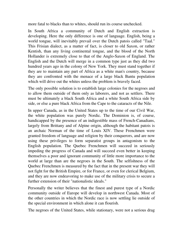more fatal to blacks than to whites, should run its course unchecked.

In South Africa a community of Dutch and English extraction is developing. Here the only difference is one of language. English, being a world tongue, will inevitably prevail over the Dutch patois called "Taal." This Frisian dialect, as a matter of fact, is closer to old Saxon, or rather Kentish, than any living continental tongue, and the blood of the North Hollander is extremely close to that of the Anglo-Saxon of England. The English and the Dutch will merge in a common type just as they did two hundred years ago in the colony of New York. They must stand together if they are to maintain any part of Africa as a white man's country, because they are confronted with the menace of a large black Bantu population which will drive out the whites unless the problem is bravely faced.

The only possible solution is to establish large colonies for the negroes and to allow them outside of them only as laborers, and not as settlers. There must be ultimately a black South Africa and a white South Africa side by side, or else a pure black Africa from the Cape to the cataracts of the Nile.

In upper Canada, as in the United States up to the time of our Civil War, the white population was purely Nordic. The Dominion is, of course, handicapped by the presence of an indigestible mass of French-Canadians, largely from Brittany and of Alpine origin, although the habitant patois is an archaic Norman of the time of Louis XIV. These Frenchmen were granted freedom of language and religion by their conquerors, and are now using these privileges to form separatist groups in antagonism to the English population. The Quebec Frenchmen will succeed in seriously impeding the progress of Canada and will succeed even better in keeping themselves a poor and ignorant community of little more importance to the world at large than are the negroes in the South. The selfishness of the Quebec Frenchmen is measured by the fact that in the present war they will not fight for the British Empire, or for France, or even for clerical Belgium, and they are now endeavoring to make use of the military crisis to secure a further extension of their "nationalistic ideals."

Personally the writer believes that the finest and purest type of a Nordic community outside of Europe will develop in northwest Canada. Most of the other countries in which the Nordic race is now settling lie outside of the special environment in which alone it can flourish.

The negroes of the United States, while stationary, were not a serious drag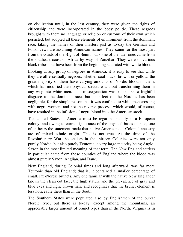on civilization until, in the last century, they were given the rights of citizenship and were incorporated in the body politic. These negroes brought with them no language or religion or customs of their own which persisted, but adopted all these elements of environment from the dominant race, taking the names of their masters just as to-day the German and Polish Jews are assuming American names. They came for the most part from the coasts of the Bight of Benin, but some of the later ones came from the southeast coast of Africa by way of Zanzibar. They were of various black tribes, but have been from the beginning saturated with white blood.

Looking at any group of negroes in America, it is easy to see that while they are all essentially negroes, whether coal black, brown, or yellow, the great majority of them have varying amounts of Nordic blood in them, which has modified their physical structure without transforming them in any way into white men. This miscegenation was, of course, a frightful disgrace to the dominant race, but its effect on the Nordics has been negligible, for the simple reason that it was confined to white men crossing with negro women, and not the reverse process, which would, of course, have resulted in the infusion of negro blood into the American stock.

The United States of America must be regarded racially as a European colony, and owing to current ignorance of the physical bases of race, one often hears the statement made that native Americans of Colonial ancestry are of mixed ethnic origin. This is not true. At the time of the Revolutionary War the settlers in the thirteen Colonies were not only purely Nordic, but also purely Teutonic, a very large majority being Anglo-Saxon in the most limited meaning of that term. The New England settlers in particular came from those counties of England where the blood was almost purely Saxon, Anglian, and Dane.

New England, during Colonial times and long afterward, was far more Teutonic than old England; that is, it contained a smaller percentage of small, Pre-Nordic brunets. Any one familiar with the native New Englander knows the clean cut face, the high stature and the prevalence of gray and blue eyes and light brown hair, and recognizes that the brunet element is less noticeable there than in the South.

The Southern States were populated also by Englishmen of the purest Nordic type, but there is to-day, except among the mountains, an appreciably larger amount of brunet types than in the North. Virginia is in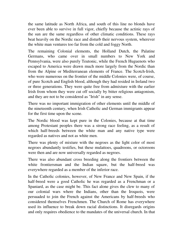the same latitude as North Africa, and south of this line no blonds have ever been able to survive in full vigor, chiefly because the actinic rays of the sun are the same regardless of other climatic conditions. These rays beat heavily on the Nordic race and disturb their nervous system, wherever the white man ventures too far from the cold and foggy North.

The remaining Colonial elements, the Holland Dutch, the Palatine Germans, who came over in small numbers to New York and Pennsylvania, were also purely Teutonic, while the French Huguenots who escaped to America were drawn much more largely from the Nordic than from the Alpine or Mediterranean elements of France. The Scotch-Irish, who were numerous on the frontier of the middle Colonies were, of course, of pure Scotch and English blood, although they had resided in Ireland two or three generations. They were quite free from admixture with the earlier Irish from whom they were cut off socially by bitter religious antagonism, and they are not to be considered as "Irish" in any sense.

There was no important immigration of other elements until the middle of the nineteenth century, when Irish Catholic and German immigrants appear for the first time upon the scene.

The Nordic blood was kept pure in the Colonies, because at that time among Protestant peoples there was a strong race feeling, as a result of which half-breeds between the white man and any native type were regarded as natives and not as white men.

There was plenty of mixture with the negroes as the light color of most negroes abundantly testifies, but these mulattoes, quadroons, or octoroons were then and are now universally regarded as negroes.

There was also abundant cross breeding along the frontiers between the white frontiersman and the Indian squaw, but the half-breed was everywhere regarded as a member of the inferior race.

In the Catholic colonies, however, of New France and New Spain, if the half-breed were a good Catholic he was regarded as a Frenchman or a Spaniard, as the case might be. This fact alone gives the clew to many of our colonial wars where the Indians, other than the Iroquois, were persuaded to join the French against the Americans by half-breeds who considered themselves Frenchmen. The Church of Rome has everywhere used its influence to break down racial distinctions. It disregards origins and only requires obedience to the mandates of the universal church. In that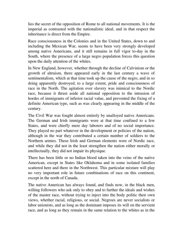lies the secret of the opposition of Rome to all national movements. It is the imperial as contrasted with the nationalistic ideal, and in that respect the inheritance is direct from the Empire.

Race consciousness in the Colonies and in the United States, down to and including the Mexican War, seems to have been very strongly developed among native Americans, and it still remains in full vigor to-day in the South, where the presence of a large negro population forces this question upon the daily attention of the whites.

In New England, however, whether through the decline of Calvinism or the growth of altruism, there appeared early in the last century a wave of sentimentalism, which at that time took up the cause of the negro, and in so doing apparently destroyed, to a large extent, pride and consciousness of race in the North. The agitation over slavery was inimical to the Nordic race, because it thrust aside all national opposition to the intrusion of hordes of immigrants of inferior racial value, and prevented the fixing of a definite American type, such as was clearly appearing in the middle of the century.

The Civil War was fought almost entirely by unalloyed native Americans. The German and Irish immigrants were at that time confined to a few States, and were chiefly mere day laborers and of no social importance. They played no part whatever in the development or policies of the nation, although in the war they contributed a certain number of soldiers to the Northern armies. These Irish and German elements were of Nordic race, and while they did not in the least strengthen the nation either morally or intellectually, they did not impair its physique.

There has been little or no Indian blood taken into the veins of the native American, except in States like Oklahoma and in some isolated families scattered here and there in the Northwest. This particular mixture will play no very important role in future combinations of race on this continent, except in the north of Canada.

The native American has always found, and finds now, in the black men, willing followers who ask only to obey and to further the ideals and wishes of the master race, without trying to inject into the body politic their own views, whether racial, religious, or social. Negroes are never socialists or labor unionists, and as long as the dominant imposes its will on the servient race, and as long as they remain in the same relation to the whites as in the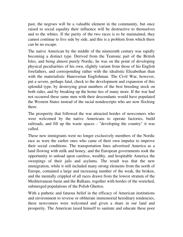past, the negroes will be a valuable element in the community, but once raised to social equality their influence will be destructive to themselves and to the whites. If the purity of the two races is to be maintained, they cannot continue to live side by side, and this is a problem from which there can be no escape.

The native American by the middle of the nineteenth century was rapidly becoming a distinct type. Derived from the Teutonic part of the British Isles, and being almost purely Nordic, he was on the point of developing physical peculiarities of his own, slightly variant from those of his English forefathers, and corresponding rather with the idealistic Elizabethan than with the materialistic Hanoverian Englishman. The Civil War, however, put a severe, perhaps fatal, check to the development and expansion of this splendid type, by destroying great numbers of the best breeding stock on both sides, and by breaking up the home ties of many more. If the war had not occurred these same men with their descendants would have populated the Western States instead of the racial nondescripts who are now flocking there.

The prosperity that followed the war attracted hordes of newcomers who were welcomed by the native Americans to operate factories, build railroads, and fill up the waste spaces "developing the country" it was called.

These new immigrants were no longer exclusively members of the Nordic race as were the earlier ones who came of their own impulse to improve their social conditions. The transportation lines advertised America as a land flowing with milk and honey, and the European governments took the opportunity to unload upon careless, wealthy, and hospitable America the sweepings of their jails and asylums. The result was that the new immigration, while it still included many strong elements from the north of Europe, contained a large and increasing number of the weak, the broken, and the mentally crippled of all races drawn from the lowest stratum of the Mediterranean basin and the Balkans, together with hordes of the wretched, submerged populations of the Polish Ghettos.

With a pathetic and fatuous belief in the efficacy of American institutions and environment to reverse or obliterate immemorial hereditary tendencies, these newcomers were welcomed and given a share in our land and prosperity. The American taxed himself to sanitate and educate these poor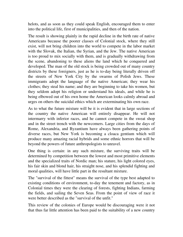helots, and as soon as they could speak English, encouraged them to enter into the political life, first of municipalities, and then of the nation.

The result is showing plainly in the rapid decline in the birth rate of native Americans because the poorer classes of Colonial stock, where they still exist, will not bring children into the world to compete in the labor market with the Slovak, the Italian, the Syrian, and the Jew. The native American is too proud to mix socially with them, and is gradually withdrawing from the scene, abandoning to these aliens the land which he conquered and developed. The man of the old stock is being crowded out of many country districts by these foreigners, just as he is to-day being literally driven off the streets of New York City by the swarms of Polish Jews. These immigrants adopt the language of the native American; they wear his clothes; they steal his name; and they are beginning to take his women, but they seldom adopt his religion or understand his ideals, and while he is being elbowed out of his own home the American looks calmly abroad and urges on others the suicidal ethics which are exterminating his own race.

As to what the future mixture will be it is evident that in large sections of the country the native American will entirely disappear. He will not intermarry with inferior races, and he cannot compete in the sweat shop and in the street trench with the newcomers. Large cities from the days of Rome, Alexandria, and Byzantium have always been gathering points of diverse races, but New York is becoming a cloaca gentium which will produce many amazing racial hybrids and some ethnic horrors that will be beyond the powers of future anthropologists to unravel.

One thing is certain: in any such mixture, the surviving traits will be determined by competition between the lowest and most primitive elements and the specialized traits of Nordic man; his stature, his light colored eyes, his fair skin and blond hair, his straight nose, and his splendid fighting and moral qualities, will have little part in the resultant mixture.

The "survival of the fittest" means the survival of the type best adapted to existing conditions of environment, to-day the tenement and factory, as in Colonial times they were the clearing of forests, fighting Indians, farming the fields, and sailing the Seven Seas. From the point of view of race it were better described as the "survival of the unfit."

This review of the colonies of Europe would be discouraging were it not that thus far little attention has been paid to the suitability of a new country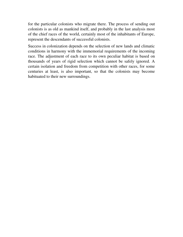for the particular colonists who migrate there. The process of sending out colonists is as old as mankind itself, and probably in the last analysis most of the chief races of the world, certainly most of the inhabitants of Europe, represent the descendants of successful colonists.

Success in colonization depends on the selection of new lands and climatic conditions in harmony with the immemorial requirements of the incoming race. The adjustment of each race to its own peculiar habitat is based on thousands of years of rigid selection which cannot be safely ignored. A certain isolation and freedom from competition with other races, for some centuries at least, is also important, so that the colonists may become habituated to their new surroundings.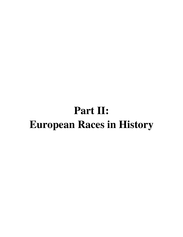# Part II: European Races in History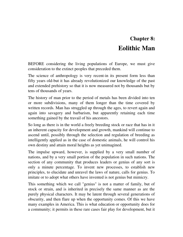### <span id="page-56-0"></span>[Chapter 8:](#page-56-0) [Eolithic Man](#page-56-0)

BEFORE considering the living populations of Europe, we must give consideration to the extinct peoples that preceded them.

The science of anthropology is very recent-in its present form less than fifty years old-but it has already revolutionized our knowledge of the past and extended prehistory so that it is now measured not by thousands but by tens of thousands of years.

The history of man prior to the period of metals has been divided into ten or more subdivisions, many of them longer than the time covered by written records. Man has struggled up through the ages, to revert again and again into savagery and barbarism, but apparently retaining each time something gained by the travail of his ancestors.

So long as there is in the world a freely breeding stock or race that has in it an inherent capacity for development and growth, mankind will continue to ascend until, possibly through the selection and regulation of breeding as intelligently applied as in the case of domestic animals, he will control his own destiny and attain moral heights as yet unimagined.

The impulse upward, however, is supplied by a very small number of nations, and by a very small portion of the population in such nations. The section of any community that produces leaders or genius of any sort is only a minute percentage. To invent new processes, to establish new principles, to elucidate and unravel the laws of nature, calls for genius. To imitate or to adopt what others have invented is not genius but mimicry.

This something which we call "genius" is not a matter of family, but of stock or strain, and is inherited in precisely the same manner as are the purely physical characters. It may be latent through several generations of obscurity, and then flare up when the opportunity comes. Of this we have many examples in America. This is what education or opportunity does for a community; it permits in these rare cases fair play for development, but it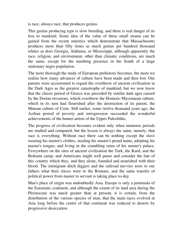is race, always race, that produces genius.

This genius producing type is slow breeding, and there is real danger of its loss to mankind. Some idea of the value of these small strains can be gained from the recent statistics which demonstrate that Massachusetts produces more than fifty times as much genius per hundred thousand whites as does Georgia, Alabama, or Mississippi, although apparently the race, religion, and environment, other than climatic conditions, are much the same, except for the numbing presence in the South of a large stationary negro population.

The more thorough the study of European prehistory becomes, the more we realize how many advances of culture have been made and then lost. Our parents were accustomed to regard the overthrow of ancient civilization in the Dark Ages as the greatest catastrophe of mankind, but we now know that the classic period of Greece was preceded by similar dark ages caused by the Dorian invasions, which overthrew the Homeric-Mycenaean culture, which in its turn had flourished after the destruction of its parent, the Minoan culture of Crete. Still earlier, some twelve thousand years ago, the Azilian period of poverty and retrogression succeeded the wonderful achievements of the hunter-artists of the Upper Paleolithic.

The progress of civilization becomes evident only when immense periods are studied and compared, but the lesson is always the same, namely, that race is everything. Without race there can be nothing except the slave wearing his master's clothes, stealing his master's proud name, adopting his master's tongue, and living in the crumbling ruins of his master's palace. Everywhere on the sites of ancient civilization the Turk, the Kurd, and the Bedouin camp; and Americans might well pause and consider the fate of this country which they, and they alone, founded and nourished with their blood. The immigrant ditch diggers and the railroad navvies were to our fathers what their slaves were to the Romans, and the same transfer of political power from master to servant is taking place to-day.

Man's place of origin was undoubtedly Asia. Europe is only a peninsula of the Eurasiatic continent, and although the extent of its land area during the Pleistocene was much greater than at present, it is certain, from the distribution of the various species of man, that the main races evolved in Asia long before the centre of that continent was reduced to deserts by progressive desiccation.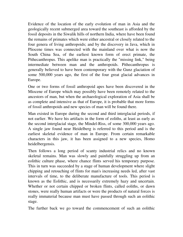Evidence of the location of the early evolution of man in Asia and the geologically recent submerged area toward the southeast is afforded by the fossil deposits in the Siwalik hills of northern India, where have been found the remains of primates which were either ancestral or closely related to the four genera of living anthropoids; and by the discovery in Java, which in Pliocene times was connected with the mainland over what is now the South China Sea, of the earliest known form of erect primate, the Pithecanthropus. This apelike man is practically the "missing link," being intermediate between man and the anthropoids. Pithecanthropus is generally believed to have been contemporary with the Gunz glaciation of some 500,000 years ago, the first of the four great glacial advances in Europe.

One or two forms of fossil anthropoid apes have been discovered in the Miocene of Europe which may possibly have been remotely related to the ancestors of man, but when the archaeological exploration of Asia shall be as complete and intensive as that of Europe, it is probable that more forms of fossil anthropoids and new species of man will be found there.

Man existed in Europe during the second and third interglacial periods, if not earlier. We have his artifacts in the form of eoliths, at least as early as the second interglacial stage, the Mindel-Riss, of some 300,000 years ago. A single jaw found near Heidelberg is referred to this period and is the earliest skeletal evidence of man in Europe. From certain remarkable characters in this jaw, it has been assigned to a new species, Homo heidelbergensis.

Then follows a long period of scanty industrial relics and no known skeletal remains. Man was slowly and painfully struggling up from an eolithic culture phase, where chance flints served his temporary purpose. This in turn was succeeded by a stage of human development where slight chipping and retouching of flints for man's increasing needs led, after vast intervals of time, to the deliberate manufacture of tools. This period is known as the Eolithic, and is necessarily extremely hazy and uncertain. Whether or not certain chipped or broken flints, called eoliths, or dawn stones, were really human artifacts or were the products of natural forces is really immaterial because man must have passed through such an eolithic stage.

The further back we go toward the commencement of such an eolithic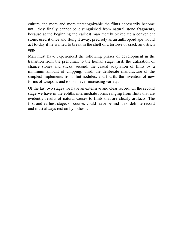culture, the more and more unrecognizable the flints necessarily become until they finally cannot be distinguished from natural stone fragments, because at the beginning the earliest man merely picked up a convenient stone, used it once and flung it away, precisely as an anthropoid ape would act to-day if he wanted to break in the shell of a tortoise or crack an ostrich egg.

Man must have experienced the following phases of development in the transition from the prehuman to the human stage: first, the utilization of chance stones and sticks; second, the casual adaptation of flints by a minimum amount of chipping; third, the deliberate manufacture of the simplest implements from flint nodules; and fourth, the invention of new forms of weapons and tools in ever increasing variety.

Of the last two stages we have an extensive and clear record. Of the second stage we have in the eoliths intermediate forms ranging from flints that are evidently results of natural causes to flints that are clearly artifacts. The first and earliest stage, of course, could leave behind it no definite record and must always rest on hypothesis.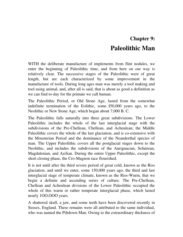#### <span id="page-60-0"></span>[Chapter 9:](#page-60-0) [Paleolithic Man](#page-60-0)

WITH the deliberate manufacture of implements from flint nodules, we enter the beginning of Paleolithic time, and from here on our way is relatively clear. The successive stages of the Paleolithic were of great length, but are each characterized by some improvement in the manufacture of tools. During long ages man was merely a tool making and tool using animal, and, after all is said, that is about as good a definition as we can find to-day for the primate we call human.

The Paleolithic Period, or Old Stone Age, lasted from the somewhat indefinite termination of the Eolithic, some  $150,000$  years ago, to the Neolithic or New Stone Age, which began about 7,000 B. C.

The Paleolithic falls naturally into three great subdivisions. The Lower Paleolithic includes the whole of the last interglacial stage with the subdivisions of the Pre-Chellean, Chellean, and Acheulean; the Middle Paleolithic covers the whole of the last glaciation, and is co-extensive with the Mousterian Period and the dominance of the Neanderthal species of man. The Upper Paleolithic covers all the postglacial stages down to the Neolithic, and includes the subdivisions of the Aurignacian, Solutrean, Magdalenian, and Azilian. During the entire Upper Paleolithic, except the short closing phase, the Cro-Magnon race flourished.

It is not until after the third severe period of great cold, known as the Riss glaciation, and until we enter, some 150,000 years ago, the third and last interglacial stage of temperate climate, known as the Riss-Wurm, that we begin a definite and ascending series of culture. The Pre-Chellean, Chellean and Acheulean divisions of the Lower Paleolithic occupied the whole of this warm or rather temperate interglacial phase, which lasted nearly 1OO,OOO years.

A shattered skull, a jaw, and some teeth have been discovered recently in Sussex, England. These remains were all attributed to the same individual, who was named the Piltdown Man. Owing to the extraordinary thickness of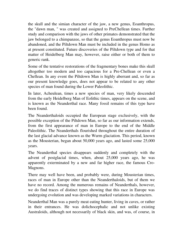the skull and the simian character of the jaw, a new genus, Eoanthropus, the "dawn man, " was created and assigned to PreChellean times. Further study and comparison with the jaws of other primates demonstrated that the jaw belonged to a chimpanzee, so that the genus Eoanthropus must now be abandoned, and the Piltdown Man must be included in the genus Homo as at present constituted. Future discoveries of the Piltdown type and for that matter of Heidelberg Man may, however, raise either or both of them to generic rank.

Some of the tentative restorations of the fragmentary bones make this skull altogether too modern and too capacious for a Pre-Chellean or even a Chellean. In any event the Piltdown Man is highly aberrant and, so far as our present knowledge goes, does not appear to be related to any other species of man found during the Lower Paleolithic.

In later, Acheulean, times a new species of man, very likely descended from the early Heidelberg Man of Eolithic times, appears on the scene, and is known as the Neanderthal race. Many fossil remains of this type have been found.

The Neanderthaloids occupied the European stage exclusively, with the possible exception of the Piltdown Man, so far as our information extends, from the first appearance of man in Europe to the end of the Middle Paleolithic. The Neanderthals flourished throughout the entire duration of the last glacial advance known as the Wurm glaciation. This period, known as the Mousterian, began about 50,000 years ago, and lasted some 25,000 years.

The Neanderthal species disappears suddenly and completely with the advent of postglacial times, when, about  $25,000$  years ago, he was apparently exterminated by a new and far higher race, the famous Cro-Magnons.

There may well have been, and probably were, during Mousterian times, races of man in Europe other than the Neanderthaloids, but of them we have no record. Among the numerous remains of Neanderthals, however, we do find traces of distinct types showing that this race in Europe was undergoing evolution and was developing marked variations in characters.

Neanderthal Man was a purely meat eating hunter, living in caves, or rather in their entrances. He was dolichocephalic and not unlike existing Australoids, although not necessarily of black skin, and was, of course, in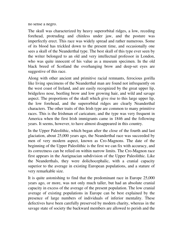no sense a negro.

The skull was characterized by heavy superorbital ridges, a low, receding forehead, protruding and chinless under jaw, and the posture was imperfectly erect. This race was widely spread and rather numerous. Some of its blood has trickled down to the present time, and occasionally one sees a skull of the Neanderthal type. The best skull of this type ever seen by the writer belonged to an old and very intellectual professor in London, who was quite innocent of his value as a museum specimen. In the old black breed of Scotland the overhanging brow and deep-set eyes are suggestive of this race.

Along with other ancient and primitive racial remnants, ferocious gorilla like living specimens of the Neanderthal man are found not infrequently on the west coast of Ireland, and are easily recognized by the great upper lip, bridgeless nose, beetling brow and low growing hair, and wild and savage aspect. The proportions of the skull which give rise to this large upper lip, the low forehead, and the superorbital ridges are clearly Neanderthal characters. The other traits of this Irish type are common to many primitive races. This is the Irishman of caricature, and the type was very frequent in America when the first Irish immigrants came in 1846 and the following years. It seems, however, to have almost disappeared in this country.

In the Upper Paleolithic, which began after the close of the fourth and last glaciation, about 25,000 years ago, the Neanderthal race was succeeded by men of very modern aspect, known as Cro-Magnons. The date of the beginning of the Upper Paleolithic is the first we can fix with accuracy, and its correctness can be relied on within narrow limits. The Cro-Magnon race first appears in the Aurignacian subdivision of the Upper Paleolithic. Like the Neanderthals, they were dolichocephalic, with a cranial capacity superior to the average in existing European populations, and a stature of very remarkable size.

It is quite astonishing to find that the predominant race in Europe 25,000 years ago, or more, was not only much taller, but had an absolute cranial capacity in excess of the average of the present population. The low cranial average of existing populations in Europe can be best explained by the presence of large numbers of individuals of inferior mentality. These defectives have been carefully preserved by modern charity, whereas in the savage state of society the backward members are allowed to perish and the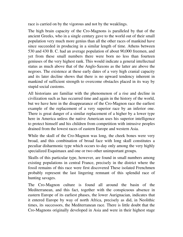race is carried on by the vigorous and not by the weaklings.

The high brain capacity of the Cro-Magnons is paralleled by that of the ancient Greeks, who in a single century gave to the world out of their small population very much more genius than all the other races of mankind have since succeeded in producing in a similar length of time. Athens between 530 and 430 B. C. had an average population of about 90,000 freemen, and yet from these small numbers there were born no less than fourteen geniuses of the very highest rank. This would indicate a general intellectual status as much above that of the Anglo-Saxons as the latter are above the negroes. The existence at these early dates of a very high cranial capacity and its later decline shows that there is no upward tendency inherent in mankind of sufficient strength to overcome obstacles placed in its way by stupid social customs.

All historians are familiar with the phenomenon of a rise and decline in civilization such as has occurred time and again in the history of the world, but we have here in the disappearance of the Cro-Magnon race the earliest example of the replacement of a very superior race by an inferior one. There is great danger of a similar replacement of a higher by a lower type here in America unless the native American uses his superior intelligence to protect himself and his children from competition with intrusive peoples drained from the lowest races of eastern Europe and western Asia.

While the skull of the Cro-Magnon was long, the cheek bones were very broad, and this combination of broad face with long skull constitutes a peculiar disharmonic type which occurs to-day only among the very highly specialized Esquimaux and one or two other unimportant groups.

Skulls of this particular type, however, are found in small numbers among existing populations in central France, precisely in the district where the fossil remains of this race were first discovered These isolated Frenchmen probably represent the last lingering remnant of this splendid race of hunting savages.

The Cro-Magnon culture is found all around the basin of the Mediterranean, and this fact, together with the conspicuous absence in eastern Europe of its earliest phases, the lower Aurignacian, indicates that it entered Europe by way of north Africa, precisely as did, in Neolithic times, its successors, the Mediterranean race. There is little doubt that the Cro-Magnons originally developed in Asia and were in their highest stage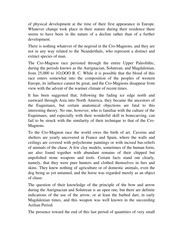of physical development at the time of their first appearance in Europe. Whatever change took place in their stature during their residence there seems to have been in the nature of a decline rather than of a further development.

There is nothing whatever of the negroid in the Cro-Magnons, and they are not in any way related to the Neanderthals, who represent a distinct and extinct species of man.

The Cro-Magnon race persisted through the entire Upper Paleolithic, during the periods known as the Aurignacian, Solutrean, and Magdalenian, from 25,000 to 1O,OOO B. C. While it is possible that the blood of this race enters somewhat into the composition of the peoples of western Europe, its influence cannot be great, and the Cro-Magnons disappear from view with the advent of the warmer climate of recent times.

It has been suggested that, following the fading ice edge north and eastward through Asia into North America, they became the ancestors of the Esquimaux, but certain anatomical objections are fatal to this interesting theory. No one, however, who is familiar with the culture of the Esquimaux, and especially with their wonderful skill in bonecarving, can fail to be struck with the similarity of their technique to that of the Cro-Magnons.

To the Cro-Magnon race the world owes the birth of art. Caverns and shelters are yearly uncovered in France and Spain, where the walls and ceilings are covered with polychrome paintings or with incised bas-reliefs of animals of the chase. A few clay models, sometimes of the human form, are also found together with abundant remains of their chipped but unpolished stone weapons and tools. Certain facts stand out clearly, namely, that they were pure hunters and clothed themselves in furs and skins. They knew nothing of agriculture or of domestic animals, even the dog being as yet untamed, and the horse was regarded merely as an object of chase.

The question of their knowledge of the principle of the bow and arrow during the Aurignacian and Solutrean is an open one, but there are definite indications of the use of the arrow, or at least the barbed dart, in early Magdalenian times, and this weapon was well known in the succeeding Azilian Period.

The presence toward the end of this last period of quantities of very small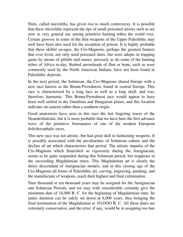flints, called microliths, has given rise to much controversy. It is possible that these microliths represent the tips of small poisoned arrows such as are now in very general use among primitive hunting tribes the world over. Certain grooves in some of the flint weapons of the Upper Paleolithic may well have been also used for the reception of poison. It is highly probable that these skilful savages, the Cro-Magnons, perhaps the greatest hunters that ever lived, not only used poisoned darts, but were adepts in trapping game by means of pitfalls and snares, precisely as do some of the hunting tribes of Africa to-day. Barbed arrowheads of flint or bone, such as were commonly used by the North American Indians, have not been found in Paleolithic deposits.

In the next period, the Solutrean, the Cro-Magnons shared Europe with a new race known as the Brunn-Pwredmost, found in central Europe. This race is characterized by a long face as well as a long skull, and was, therefore, harmonic. This Brunn-Pwredmost race would appear to have been well settled in the Danubian and Hungarian plains, and this location indicates an eastern rather than a southern origin.

Good anatomists have seen in this race the last lingering traces of the Neanderthaloids, but it is more probable that we have here the first advance wave of the primitive forerunners of one of the modern European dolichocephalic races.

This new race was not artistic, but had great skill in fashioning weapons. It is possibly associated with the peculiarities of Solutrean culture and the decline of art which characterizes that period. The artistic impulse of the Cro-Magnons which flourished so vigorously during the Aurignacian, seems to be quite suspended during this Solutrean period, but reappears in the succeeding Magdalenian times. This Magdalenian art is clearly the direct descendant of Aurignacian models, and in this closing age of the Cro-Magnons all forms of Paleolithic art, carving, engraving, painting, and the manufacture of weapons, reach their highest and final culmination.

Nine thousand or ten thousand years may be assigned for the Aurignacian and Solutrean Periods, and we may with considerable certainty give the minimum date of 16,000 B. C. for the beginning of Magdalenian time. Its entire duration can be safely set down at 6,000 years, thus bringing the final termination of the Magdalenian to 1O,OOO B. C. All these dates are extremely conservative, and the error, if any, would be in assigning too late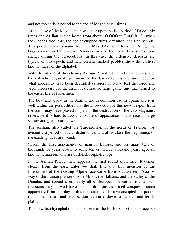and not too early a period to the end of Magdalenian times.

At the close of the Magdalenian we enter upon the last period of Paleolithic times, the Azilian, which lasted from about 1O,OOO to 7,000 B. C., when the Upper Paleolithic, the age of chipped flints, definitely and finally ends. This period takes its name from the Mas d'Azil or "House of Refuge," a huge cavern in the eastern Pyrenees, where the local Protestants took shelter during the persecutions. In this cave the extensive deposits are typical of this epoch, and here certain marked pebbles show the earliest known traces of the alphabet.

With the advent of this closing Azilian Period art entirely disappears, and the splendid physical specimens of the Cro-Magnons are succeeded by what appear to have been degraded savages, who had lost the force and vigor necessary for the strenuous chase of large game, and had turned to the easier life of fishermen.

The bow and arrow in the Azilian are in common use in Spain, and it is well within the possibilities that the introduction of this new weapon from the south may have played its part in the destruction of the Cro-Magnons; otherwise it is hard to account for the disappearance of this race of large stature and great brain power.

The Azilian, also called the Tardenoisian in the north of France, was evidently a period of racial disturbance, and at its close the beginnings of the existing races are found.

>From the first appearance of man in Europe, and for many tens of thousands of years down to some ten or twelve thousand years ago, all known human remains are of dolichocephalic type.

In the Azilian Period there appears the first round skull race. It comes clearly from the east. Later we shall find that this invasion of the forerunners of the existing Alpine race came from southwestern Asia by way of the Iranian plateaux, Asia Minor, the Balkans, and the valley of the Danube, and spread over nearly all of Europe. The earlier round skull invasions may as well have been infiltrations as armed conquests, since apparently from that day to this the round skulls have occupied the poorer mountain districts and have seldom ventured down to the rich and fertile plains.

This new brachycephalic race is known as the Furfooz or Grenelle race, so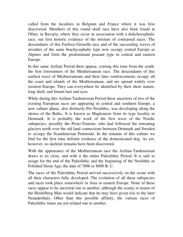called from the localities in Belgium and France where it was first discovered. Members of this round skull race have also been found at Ofnet, in Bavaria, where they occur in association with a dolichocephalic race, our first historic evidence of the mixture of contrasted races. The descendants of this Furfooz-Grenelle race and of the succeeding waves of invaders of the same brachycephalic type now occupy central Europe as Alpines and form the predominant peasant type in central and eastern Europe.

In this same Azilian Period there appear, coming this time from the south, the first forerunners of the Mediterranean race. The descendants of this earliest wave of Mediterraneans and their later reinforcements occupy all the coast and islands of the Mediterranean, and are spread widely over western Europe. They can everywhere be identified by their short stature, long skull, and brunet hair and eyes.

While during this Azilian-Tardenoisian Period these ancestors of two of the existing European races are appearing in central and southern Europe, a new culture phase, also distinctly Pre-Neolithic, was developing along the shores of the Baltic. It is known as Maglemose from its type locality in Denmark. It is probably the work of the first wave of the Nordic subspecies, possibly the Proto-Teutons, who had followed the retreating glaciers north over the old land connections between Denmark and Sweden to occupy the Scandinavian Peninsula. In the remains of this culture we find for the first time definite evidence of the domesticated dog. As yet, however, no skeletal remains have been discovered.

With the appearance of the Mediterranean race the Azilian-Tardenoisian draws to its close, and with it the entire Paleolithic Period. It is safe to assign for the end of the Paleolithic and the beginning of the Neolithic or Polished Stone Age, the date of 7000 or 8000 B. C.

The races of the Paleolithic Period arrived successively on the scene with all their characters fully developed. The evolution of all these subspecies and races took place somewhere in Asia or eastern Europe. None of these races appear to be ancestral one to another, although the scanty re-mains of the Heidelberg Man would indicate that he may have given rise to the later Neanderthals. Other than this possible affinity, the various races of Paleolithic times are not related one to another.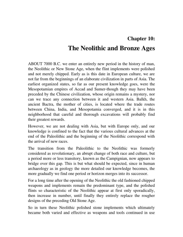## <span id="page-68-0"></span>[Chapter 10:](#page-68-0) [The Neolithic and Bronze Ages](#page-68-0)

ABOUT 7000 B.C. we enter an entirely new period in the history of man, the Neolithic or New Stone Age, when the flint implements were polished and not merely chipped. Early as is this date in European culture, we are not far from the beginnings of an elaborate civilization in parts of Asia. The earliest organized states, so far as our present knowledge goes, were the Mesopotamian empires of Accad and Sumer-though they may have been preceded by the Chinese civilization, whose origin remains a mystery, nor can we trace any connection between it and western Asia. Balkh, the ancient Bactra, the mother of cities, is located where the trade routes between China, India, and Mesopotamia converged, and it is in this neighborhood that careful and thorough excavations will probably find their greatest rewards.

However, we are not dealing with Asia, but with Europe only, and our knowledge is confined to the fact that the various cultural advances at the end of the Paleolithic and the beginning of the Neolithic correspond with the arrival of new races.

The transition from the Paleolithic to the Neolithic was formerly considered as revolutionary, an abrupt change of both race and culture, but a period more or less transitory, known as the Campignian, now appears to bridge over this gap. This is but what should be expected, since in human archaeology as in geology the more detailed our knowledge becomes, the more gradually we find one period or horizon merges into its successor.

For a long time after the opening of the Neolithic the old fashioned chipped weapons and implements remain the predominant type, and the polished flints so characteristic of the Neolithic appear at first only sporadically, then increase in number, until finally they entirely replace the rougher designs of the preceding Old Stone Age.

So in turn these Neolithic polished stone implements which ultimately became both varied and effective as weapons and tools continued in use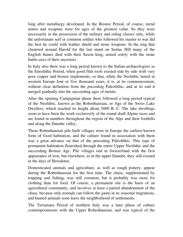long after metallurgy developed. In the Bronze Period, of course, metal armor and weapons were for ages of the greatest value. So they were necessarily in the possession of the military and ruling classes only, while the unfortunate serf or common soldier who followed his master to war did the best he could with leather shield and stone weapons. In the ring that clustered around Harold for the last stand on Senlac Hill many of the English thanes died with their Saxon king, armed solely with the stone battle-axes of their ancestors.

In Italy also there was a long period known to the Italian archaeologists as the Eneolithic Period, when good flint tools existed side by side with very poor copper and bronze implements; so that, while the Neolithic lasted in western Europe four or five thousand years, it is, at its commencement, without clear definition from the preceding Paleolithic, and at its end it merged gradually into the succeeding ages of metals.

After the opening Campignian phase there followed a long period typical of the Neolithic, known as the Robenhausian, or Age of the Swiss Lake Dwellers, which reached its height about 5000 B. C. The lake dwellings seem to have been the work exclusively of the round skull Alpine races and are found in numbers throughout the region of the Alps and their foothills and along the Danube valley.

These Robenhausian pile built villages were in Europe the earliest known form of fixed habitation, and the culture found in association with them was a great advance on that of the preceding Paleolithic. This type of permanent habitation flourished through the entire Upper Neolithic and the succeeding Bronze Age. Pile villages end in Switzerland with the first appearance of iron, but elsewhere, as in the upper Danube, they still existed in the days of Herodotus.

Domesticated animals and agriculture, as well as rough pottery, appear during the Robenhausian for the first time. The chase, supplemented by trapping and fishing, was still common, but it probably was more for clothing than for food. Of course, a permanent site is the basis of an agricultural community, and involves at least a partial abandonment of the chase, because only nomads can follow the game in its seasonal migrations, and hunted animals soon leave the neighborhood of settlements.

The Terramara Period of northern Italy was a later phase of culture contemporaneous with the Upper Robenhausian, and was typical of the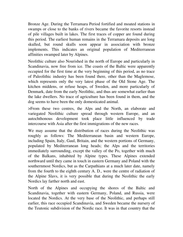Bronze Age. During the Terramara Period fortified and moated stations in swamps or close to the banks of rivers became the favorite resorts instead of pile villages built in lakes. The first traces of copper are found during this period. The earliest human remains in the Terramara deposits are long skulled, but round skulls soon appear in association with bronze implements. This indicates an original population of Mediterranean affinities swamped later by Alpines.

Neolithic culture also Nourished in the north of Europe and particularly in Scandinavia, now free from ice. The coasts of the Baltic were apparently occupied for the first time at the very beginning of this period, as no trace of Paleolithic industry has been found there, other than the Maglemose, which represents only the very latest phase of the Old Stone Age. The kitchen middens, or refuse heaps, of Sweden, and more particularly of Denmark, date from the early Neolithic, and thus are somewhat earlier than the lake dwellers. No trace of agriculture has been found in them, and the dog seems to have been the only domesticated animal.

>From these two centres, the Alps and the North, an elaborate and variegated Neolithic culture spread through western Europe, and an autochthonous development took place little influenced by trade intercourse with Asia after the first immigrations of the new races.

We may assume that the distribution of races during the Neolithic was roughly as follows: The Mediterranean basin and western Europe, including Spain, Italy, Gaul, Britain, and the western portions of Germany, populated by Mediterranean long heads; the Alps and the territories immediately surrounding, except the valley of the Po, together with much of the Balkans, inhabited by Alpine types. These Alpines extended northward until they came in touch in eastern Germany and Poland with the southernmost Nordics, but as the Carpathians at a much later date, namely from the fourth to the eighth century A. D., were the centre of radiation of the Alpine Slavs, it is very possible that during the Neolithic the early Nordics lay farther north and east.

North of the Alpines and occupying the shores of the Baltic and Scandinavia, together with eastern Germany, Poland, and Russia, were located the Nordics. At the very base of the Neolithic, and perhaps still earlier, this race occupied Scandinavia, and Sweden became the nursery of the Teutonic subdivision of the Nordic race. It was in that country that the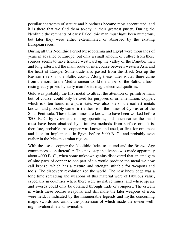peculiar characters of stature and blondness became most accentuated, and it is there that we find them to-day in their greatest purity. During the Neolithic the remnants of early Paleolithic man must have been numerous, but later they were either exterminated or absorbed by the existing European races.

During all this Neolithic Period Mesopotamia and Egypt were thousands of years in advance of Europe, but only a small amount of culture from these sources seems to have trickled westward up the valley of the Danube, then and long afterward the main route of intercourse between western Asia and the heart of Europe. Some trade also passed from the Black Sea up the Russian rivers to the Baltic coasts. Along these latter routes there came from the north to the Mediterranean world the amber of the Baltic, a fossil resin greatly prized by early man for its magic electrical qualities.

Gold was probably the first metal to attract the attention of primitive man, but, of course, could only be used for purposes of ornamentation. Copper, which is often found in a pure state, was also one of the earliest metals known, and probably came first either from the mines of Cyprus or of the Sinai Peninsula. These latter mines are known to have been worked before 3800 B. C. by systematic mining operations, and much earlier the metal must have been obtained by primitive methods from surface ore. It is, therefore, probable that copper was known and used, at first for ornament and later for implements, in Egypt before 5000 B. C., and probably even earlier in the Mesopotamian regions.

With the use of copper the Neolithic fades to its end and the Bronze Age commences soon thereafter. This next step in advance was made apparently about 4000 B. C., when some unknown genius discovered that an amalgam of nine parts of copper to one part of tin would produce the metal we now call bronze, which has a texture and strength suitable for weapons and tools. The discovery revolutionized the world. The new knowledge was a long time spreading and weapons of this material were of fabulous value, especially in countries where there were no native mines, and where spears and swords could only be obtained through trade or conquest. The esteem in which these bronze weapons, and still more the later weapons of iron, were held, is indicated by the innumerable legends and myths concerning magic swords and armor, the possession of which made the owner wellnigh invulnerable and invincible.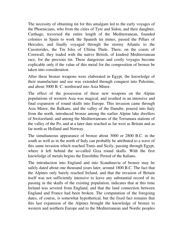The necessity of obtaining tin for this amalgam led to the early voyages of the Phoenicians, who from the cities of Tyre and Sidon, and their daughter, Carthage, traversed the entire length of the Mediterranean, founded colonies in Spain to work the Spanish tin mines, passed the Pillars of Hercules, and finally voyaged through the stormy Atlantic to the Cassiterides, the Tin Isles of Ultima Thule. There, on the coasts of Cornwall, they traded with the native British, of kindred Mediterranean race, for the precious tin. These dangerous and costly voyages become explicable only if the value of this metal for the composition of bronze be taken into consideration.

After these bronze weapons were elaborated in Egypt, the knowledge of their manufacture and use was extended through conquest into Palestine, and about 3000 B. C. northward into Asia Minor.

The effect of the possession of these new weapons on the Alpine populations of western Asia was magical, and resulted in an intensive and final expansion of round skulls into Europe. This invasion came through Asia Minor, the Balkans, and the valley of the Danube, poured into Italy from the north, introduced bronze among the earlier Alpine lake dwellers of Switzerland, and among the Mediterraneans of the Terramara stations of the valley of the Po, and at a later date reached as far west as Britain and as far north as Holland and Norway.

The simultaneous appearance of bronze about 3000 or 2800 B.C. in the south as well as in the north of Italy can probably be attributed to a wave of this same invasion which reached Tunis and Sicily, passing through Egypt, where it left behind the so-called Giza round skulls. With the first knowledge of metals begins the Eneolithic Period of the Italians.

The introduction into England and into Scandinavia of bronze may be safely dated about one thousand years later, around 1800 B.C. The fact that the Alpines only barely reached Ireland, and that the invasion of Britain itself was not sufficiently intensive to leave any substantial record of its passing in the skulls of the existing population, indicates that at this time Ireland was severed from England, and that the land connection between England and France had been broken. The computation of the foregoing dates, of course, is somewhat hypothetical, but the fixed fact remains that this last expansion of the Alpines brought the knowledge of bronze to western and northern Europe and to the Mediterranean and Nordic peoples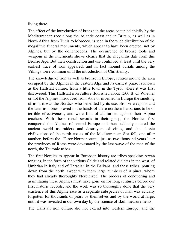living there.

The effect of the introduction of bronze in the areas occupied chiefly by the Mediterranean race along the Atlantic coast and in Britain, as well as in North Africa from Tunis to Morocco, is seen in the wide distribution of the megalithic funeral monuments, which appear to have been erected, not by Alpines, but by the dolichocephs. The occurrence of bronze tools and weapons in the interments shows clearly that the megaliths date from this Bronze Age. But their construction and use continued at least until the very earliest trace of iron appeared, and in fact mound burials among the Vikings were common until the introduction of Christianity.

The knowledge of iron as well as bronze in Europe, centres around the area occupied by the Alpines in the eastern Alps and its earliest phase is known as the Hallstatt culture, from a little town in the Tyrol where it was first discovered. This Hallstatt iron culture flourished about 1500 B. C. Whether or not the Alpines introduced from Asia or invented in Europe the smelting of iron, it was the Nordics who benefited by its use. Bronze weapons and the later iron ones proved in the hands of these northern barbarians to be of terrible effectiveness, and were first of all turned against their Alpine teachers. With these metal swords in their grasp, the Nordics first conquered the Alpines of central Europe and then suddenly entered the ancient world as raiders and destroyers of cities, and the classic civilizations of the north coasts of the Mediterranean Sea fell, one after another, before the "Furor Normanorum," just as two thousand years later the provinces of Rome were devastated by the last wave of the men of the north, the Teutonic tribes.

The first Nordics to appear in European history are tribes speaking Aryan tongues, in the form of the various Celtic and related dialects in the west, of Umbrian in Italy and of Thracian in the Balkans, and these tribes, pouring down from the north, swept with them large numbers of Alpines, whom they had already thoroughly Nordicized. The process of conquering and assimilating these Alpines must have gone on for long centuries before our first historic records, and the work was so thoroughly done that the very existence of this Alpine race as a separate subspecies of man was actually forgotten for thousands of years by themselves and by the world at large, until it was revealed in our own day by the science of skull measurements.

The Hallstatt iron culture did not extend into western Europe, and the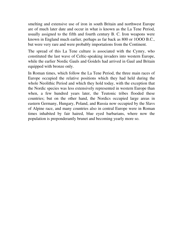smelting and extensive use of iron in south Britain and northwest Europe are of much later date and occur in what is known as the La Tene Period, usually assigned to the fifth and fourth century B. C. Iron weapons were known in England much earlier, perhaps as far back as 800 or 1OOO B.C., but were very rare and were probably importations from the Continent.

The spread of this La Tene culture is associated with the Cymry, who constituted the last wave of Celtic-speaking invaders into western Europe, while the earlier Nordic Gauls and Goidels had arrived in Gaul and Britain equipped with bronze only.

In Roman times, which follow the La Tene Period, the three main races of Europe occupied the relative positions which they had held during the whole Neolithic Period and which they hold today, with the exception that the Nordic species was less extensively represented in western Europe than when, a few hundred years later, the Teutonic tribes flooded these countries; but on the other hand, the Nordics occupied large areas in eastern Germany, Hungary, Poland, and Russia now occupied by the Slavs of Alpine race, and many countries also in central Europe were in Roman times inhabited by fair haired, blue eyed barbarians, where now the population is preponderantly brunet and becoming yearly more so.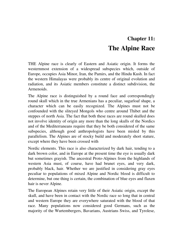## <span id="page-75-0"></span>[Chapter 11:](#page-75-0) [The Alpine Race](#page-75-0)

THE Alpine race is clearly of Eastern and Asiatic origin. It forms the westernmost extension of a widespread subspecies which, outside of Europe, occupies Asia Minor, Iran, the Pamirs, and the Hindu Kush. In fact the western Himalayas were probably its centre of original evolution and radiation, and its Asiatic members constitute a distinct subdivision, the Armenoids.

The Alpine race is distinguished by a round face and correspondingly round skull which in the true Armenians has a peculiar, sugarloaf shape, a character which can be easily recognized. The Alpines must not be confounded with the sliteyed Mongols who centre around Thibet and the steppes of north Asia. The fact that both these races are round skulled does not involve identity of origin any more than the long skulls of the Nordics and of the Mediterraneans require that they be both considered of the same subspecies, although good anthropologists have been misled by this parallelism. The Alpines are of stocky build and moderately short stature, except where they have been crossed with

Nordic elements. This race is also characterized by dark hair, tending to a dark brown color, and in Europe at the present time the eye is usually dark but sometimes grayish. The ancestral Proto-Alpines from the highlands of western Asia must, of course, have had brunet eyes, and very dark, probably black, hair. Whether we are justified in considering gray eyes peculiar to populations of mixed Alpine and Nordic blood is difficult to determine, but one thing is certain, the combination of blue eyes and flaxen hair is never Alpine.

The European Alpines retain very little of their Asiatic origin, except the skull, and have been in contact with the Nordic race so long that in central and western Europe they are everywhere saturated with the blood of that race. Many populations now considered good Germans, such as the majority of the Wurtembergers, Bavarians, Austrians Swiss, and Tyrolese,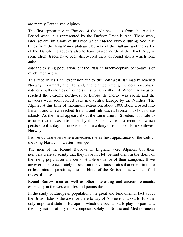are merely Teutonized Alpines.

The first appearance in Europe of the Alpines, dates from the Azilian Period when it is represented by the Furfooz-Grenelle race. There were, later, several invasions of this race which entered Europe during Neolithic times from the Asia Minor plateaux, by way of the Balkans and the valley of the Danube. It appears also to have passed north of the Black Sea, as some slight traces have been discovered there of round skulls which long ante-

date the existing population, but the Russian brachycephaly of to-day is of much later origin.

This race in its final expansion far to the northwest, ultimately reached Norway, Denmark, and Holland, and planted among the dolichocephalic natives small colonies of round skulls, which still exist. When this invasion reached the extreme northwest of Europe its energy was spent, and the invaders were soon forced back into central Europe by the Nordics. The Alpines at this time of maximum extension, about 1800 B.C., crossed into Britain, and a few reached Ireland and introduced bronze into both these islands. As the metal appears about the same time in Sweden, it is safe to assume that it was introduced by this same invasion, a record of which persists to this day in the existence of a colony of round skulls in southwest Norway.

Bronze culture everywhere antedates the earliest appearance of the Celticspeaking Nordics in western Europe.

The men of the Round Barrows in England were Alpines, but their numbers were so scanty that they have not left behind them in the skulls of the living population any demonstrable evidence of their conquest. If we are ever able to accurately dissect out the various strains that enter, in more or less minute quantities, into the blood of the British Isles, we shall find traces of these

Round Barrow men as well as other interesting and ancient remnants, especially in the western isles and peninsulas.

In the study of European populations the great and fundamental fact about the British Isles is the absence there to-day of Alpine round skulls. It is the only important state in Europe in which the round skulls play no part, and the only nation of any rank composed solely of Nordic and Mediterranean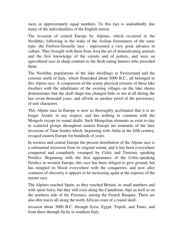races in approximately equal numbers. To this fact is undoubtedly due many of the individualities of the English nation.

The invasion of central Europe by Alpines, which occurred in the Neolithic, following in the wake of the Azilian forerunners of the same type- the Furfooz-Grenelle race - represented a very great advance in culture. They brought with them from Asia the art of domesticating animals and the first knowledge of the cereals and of pottery, and were an agricultural race in sharp contrast to the flesh eating hunters who preceded them.

The Neolithic populations of the lake dwellings in Switzerland and the extreme north of Italy, which flourished about 5000 B.C., all belonged to this Alpine race. A comparison of the scanty physical remains of these lake dwellers with the inhabitants of the existing villages on the lake shores demonstrates that the skull shape has changed little or not at all during the last seven thousand years, and affords us another proof of the persistency of unit characters.

This Alpine race in Europe is now so thoroughly acclimated that it is no longer Asiatic in any respect, and has nothing in common with the Mongols except its round skulls. Such Mongolian elements as exist to-day in scattered groups throughout eastern Europe are remnants of the later invasions of Tatar hordes which, beginning with Attila in the fifth century, ravaged eastern Europe for hundreds of years.

In western and central Europe the present distribution of the Alpine race is a substantial recession from its original extent, and it has been everywhere conquered and completely swamped by Celtic and Teutonic speaking Nordics. Beginning with the first appearance of the Celtic-speaking Nordics in western Europe, this race has been obliged to give ground, but has mingled its blood everywhere with the conquerors, and now after centuries of obscurity it appears to be increasing again at the expense of the master race.

The Alpines reached Spain, as they reached Britain, in small numbers and with spent force, but they still exist along the Cantabrian Alps as well as on the northern side of the Pyrenees, among the French Basques. There are also dim traces all along the north African coast of a round skull

invasion about 3000 B.C. through Syria, Egypt, Tripoli, and Tunis, and from there through Sicily to southern Italy.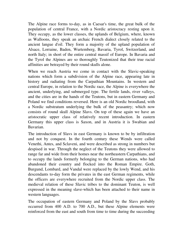The Alpine race forms to-day, as in Caesar's time, the great bulk of the population of central France, with a Nordic aristocracy resting upon it. They occupy, as the lower classes, the uplands of Belgium, where, known as Walloons, they speak an archaic French dialect closely related to the ancient langue d'oil. They form a majority of the upland population of Alsace, Lorraine, Baden, Wurtemberg, Bavaria, Tyrol, Switzerland, and north Italy; in short of the entire central massif of Europe. In Bavaria and the Tyrol the Alpines are so thoroughly Teutonized that their true racial affinities are betrayed by their round skulls alone.

When we reach Austria we come in contact with the Slavic-speaking nations which form a subdivision of the Alpine race, appearing late in history and radiating from the Carpathian Mountains. In western and central Europe, in relation to the Nordic race, the Alpine is everywhere the ancient, underlying, and submerged type. The fertile lands, river valleys, and the cities are in the hands of the Teutons, but in eastern Germany and Poland we find conditions reversed. Here is an old Nordic broodland, with a Nordic substratum underlying the bulk of the peasantry; which now consists of round skull Alpine Slavs. On top of these again we have an aristocratic upper class of relatively recent introduction. In eastern Germany this upper class is Saxon, and in Austria it is Swabian and Bavarian.

The introduction of Slavs in east Germany is known to be by infiltration and not by conquest. In the fourth century these Wends were called Venethi, Antes, and Sclaveni, and were described as strong in numbers but despised in war. Through the neglect of the Teutons they were allowed to range far and wide from their homes near the northeastern Carpathians, and to occupy the lands formerly belonging to the German nations, who had abandoned their country and flocked into the Roman Empire. Goth, Burgund, Lombard, and Vandal were replaced by the lowly Wend, and his descendants to-day form the privates in the east German regiments, while the officers are everywhere recruited from the Nordic upper class. The medieval relation of these Slavic tribes to the dominant Teuton, is well expressed in the meaning slave-which has been attached to their name in western languages.

The occupation of eastern Germany and Poland by the Slavs probably occurred from 400 A.D. to 700 A.D., but these Alpine elements were reinforced from the east and south from time to time during the succeeding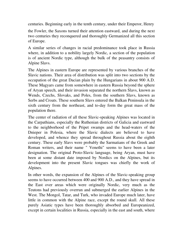centuries. Beginning early in the tenth century, under their Emperor, Henry

the Fowler, the Saxons turned their attention eastward, and during the next two centuries they reconquered and thoroughly Germanized all this section of Europe.

A similar series of changes in racial predominance took place in Russia where, in addition to a nobility largely Nordic, a section of the population is of ancient Nordic type, although the bulk of the peasantry consists of Alpine Slavs.

The Alpines in eastern Europe are represented by various branches of the Slavic nations. Their area of distribution was split into two sections by the occupation of the great Dacian plain by the Hungarians in about 900 A.D. These Magyars came from somewhere in eastern Russia beyond the sphere of Aryan speech, and their invasion separated the northern Slavs, known as Wends, Czechs, Slovaks, and Poles, from the southern Slavs, known as Serbs and Croats. These southern Slavs entered the Balkan Peninsula in the sixth century from the northeast, and to-day form the great mass of the population there.

The center of radiation of all these Slavic-speaking Alpines was located in the Carpathians, especially the Ruthenian districts of Galicia and eastward to the neighborhood of the Pripet swamps and the head-waters of the Dnieper in Polesia, where the Slavic dialects are believed to have developed, and whence they spread throughout Russia about the eighth century. These early Slavs were probably the Sarmatians of the Greek and Roman writers, and their name " Venethi" seems to have been a later designation. The original Proto-Slavic language, being Aryan, must have been at some distant date imposed by Nordics on the Alpines, but its development into the present Slavic tongues was chiefly the work of Alpines.

In other words, the expansion of the Alpines of the Slavic-speaking group seems to have occurred between 400 and 900 A.D., and they have spread in the East over areas which were originally Nordic, very much as the Teutons had previously overrun and submerged the earlier Alpines in the West. The Mongol, Tatar, and Turk, who invaded Europe much later, have little in common with the Alpine race, except the round skull. All these purely Asiatic types have been thoroughly absorbed and Europeanized, except in certain localities in Russia, especially in the east and south, where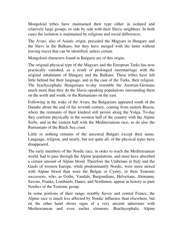Mongoloid tribes have maintained their type either in isolated and relatively large groups, or side by side with their Slavic neighbors. In both cases the isolation is maintained by religious and social differences.

The Avars, also of Asiatic origin, preceded the Magyars in Hungary and the Slavs in the Balkans, but they have merged with the latter without leaving traces that can be identified, unless certain

Mongoloid characters found in Bulgaria are of this origin.

The original physical type of the Magyars and the European Turks has now practically vanished, as a result of prolonged intermarriage with the original inhabitants of Hungary and the Balkans. These tribes have left little behind but their language, and in the case of the Turks, their religion. The brachycephalic Hungarians to-day resemble the Austrian-Germans much more than they do the Slavic-speaking populations surrounding them on the north and south, or the Rumanians on the east.

Following in the wake of the Avars, the Bulgarians appeared south of the Danube about the end of the seventh century, coming from eastern Russia, where the remnants of their kindred still persist along the Volga. To-day they conform physically in the western half of the country with the Alpine Serbs, and in the eastern half with the Mediterranean race, as do also the Rumanians of the Black Sea coast.

Little or nothing remains of the ancestral Bulgars except their name. Language, religion, and nearly, but not quite all, of the physical types have disappeared.

The early members of the Nordic race, in order to reach the Mediterranean world, had to pass through the Alpine populations, and must have absorbed a certain amount of Alpine blood. Therefore the Umbrians in Italy and the Gauls of western Europe, while predominantly Nordic, were more mixed with Alpine blood than were the Belgae or Cymry, or their Teutonic successors, who, as Goths, Vandals, Burgundians, Helvetians, Alemanni, Saxons, Franks, Lombards, Danes, and Northmen, appear in history as pure Nordics of the Teutonic group.

In some portions of their range, notably Savoy and central France, the Alpine race is much less affected by Nordic influence than elsewhere, but on the other hand shows signs of a very ancient admixture with Mediterranean and even earlier elements. Brachycephalic Alpine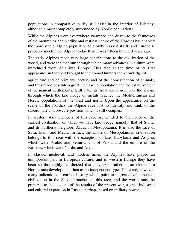populations in comparative purity still exist in the interior of Brittany, although almost completely surrounded by Nordic populations.

While the Alpines were everywhere swamped and driven to the fastnesses of the mountains, the warlike and restless nature of the Nordics has enabled the more stable Alpine population to slowly reassert itself, and Europe is probably much more Alpine to-day than it was fifteen hundred years ago.

The early Alpines made very large contributions to the civilization of the world, and were the medium through which many advances in culture were introduced from Asia into Europe. This race at the time of its first appearance in the west brought to the nomad hunters the knowledge of

agriculture and of primitive pottery and of the domestication of animals, and thus made possible a great increase in population and the establishment of permanent settlements. Still later its final expansion was the means through which the knowledge of metals reached the Mediterranean and Nordic populations of the west and north. Upon the appearance on the scene of the Nordics the Alpine race lost its identity and sank to the subordinate and obscure position which it still occupies.

In western Asia members of this race are entitled to the honor of the earliest civilization of which we have knowledge, namely, that of Sumer and its northerly neighbor, Accad in Mesopotamia. It is also the race of Susa, Elam, and Media. In fact, the whole of Mesopotamian civilization belongs to this race with the exception of later Babylonia and Assyria, which were Arabic and Semitic, and of Persia and the empire of the Kassites, which were Nordic and Aryan.

In classic, medieval, and modern times the Alpines have played an unimportant part in European culture, and in western Europe they have been so thoroughly Nordicized that they exist rather as an element in Nordic race development than as an independent type. There are, however, many indications in current history which point to a great development of civilization in the Slavic branches of this race, and the world must be prepared to face, as one of the results of the present war, a great industrial and cultural expansion in Russia, perhaps based on military power.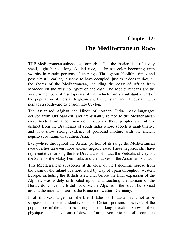## <span id="page-82-0"></span>[Chapter 12:](#page-82-0) [The Mediterranean Race](#page-82-0)

THE Mediterranean subspecies, formerly called the Iberian, is a relatively small, light boned, long skulled race, of brunet color becoming even swarthy in certain portions of its range. Throughout Neolithic times and possibly still earlier, it seems to have occupied, just as it does to-day, all the shores of the Mediterranean, including the coast of Africa from Morocco on the west to Egypt on the east. The Mediterraneans are the western members of a subspecies of man which forms a substantial part of the population of Persia, Afghanistan, Baluchistan, and Hindustan, with perhaps a southward extension into Ceylon.

The Aryanized Afghan and Hindu of northern India speak languages derived from Old Sanskrit, and are distantly related to the Mediterranean race. Aside from a common dolichocephaly these peoples are entirely distinct from the Dravidians of south India whose speech is agglutinative and who show strong evidence of profound mixture with the ancient negrito substratum of southern Asia.

Everywhere throughout the Asiatic portion of its range the Mediterranean race overlies an even more ancient negroid race. These negroids still have representatives among the Pre-Dravidians of India, the Veddahs of Ceylon, the Sakai of the Malay Peninsula, and the natives of the Andaman Islands.

This Mediterranean subspecies at the close of the Paleolithic spread from the basin of the Inland Sea northward by way of Spain throughout western Europe, including the British Isles, and, before the final expansion of the Alpines, was widely distributed up to and touching the domain of the Nordic dolichocephs. It did not cross the Alps from the south, but spread around the mountains across the Rhine into western Germany.

In all this vast range from the British Isles to Hindustan, it is not to be supposed that there is identity of race. Certain portions, however, of the populations of the countries throughout this long stretch do show in their physique clear indications of descent from a Neolithic race of a common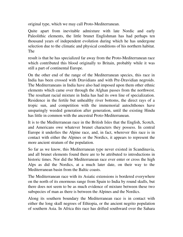original type, which we may call Proto-Mediterranean.

Quite apart from inevitable admixture with late Nordic and early Paleolithic elements, the little brunet Englishman has had perhaps ten thousand years of independent evolution during which he has undergone selection due to the climatic and physical conditions of his northern habitat. The

result is that he has specialized far away from the Proto-Mediterranean race which contributed this blood originally to Britain, probably while it was still a part of continental Europe.

On the other end of the range of the Mediterranean species, this race in India has been crossed with Dravidians and with Pre-Dravidian negroids. The Mediterraneans in India have also had imposed upon them other ethnic elements which came over through the Afghan passes from the northwest. The resultant racial mixture in India has had its own line of specialization. Residence in the fertile but unhealthy river bottoms, the direct rays of a tropic sun, and competition with the immemorial autochthones have unsparingly weeded generation after generation, until the existing Hindu has little in common with the ancestral Proto-Mediterranean.

It is to the Mediterranean race in the British Isles that the English, Scotch, and Americans owe whatever brunet characters they possess. In central Europe it underlies the Alpine race, and, in fact, wherever this race is in contact with either the Alpines or the Nordics, it appears to represent the more ancient stratum of the population.

So far as we know, this Mediterranean type never existed in Scandinavia, and all brunet elements found there are to be attributed to introductions in historic times. Nor did the Mediterranean race ever enter or cross the high Alps as did the Nordics, at a much later date, on their way to the Mediterranean basin from the Baltic coasts.

The Mediterranean race with its Asiatic extensions is bordered everywhere on the north of its enormous range from Spain to India by round skulls, but there does not seem to be as much evidence of mixture between these two subspecies of man as there is between the Alpines and the Nordics.

Along its southern boundary the Mediterranean race is in contact with either the long skull negroes of Ethiopia, or the ancient negrito population of southern Asia. In Africa this race has drifted southward over the Sahara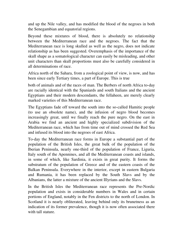and up the Nile valley, and has modified the blood of the negroes in both the Senegambian and equatorial regions.

Beyond these mixtures of blood, there is absolutely no relationship between the Mediterranean race and the negroes. The fact that the Mediterranean race is long skulled as well as the negro, does not indicate relationship as has been suggested. Overemphasis of the importance of the skull shape as a somatological character can easily be misleading, and other unit characters than skull proportions must also be carefully considered in all determinations of race.

Africa north of the Sahara, from a zoological point of view, is now, and has been since early Tertiary times, a part of Europe. This is true

both of animals and of the races of man. The Berbers of north Africa to-day are racially identical with the Spaniards and south Italians and the ancient Egyptians and their modern descendants, the fellaheen, are merely clearly marked varieties of this Mediterranean race.

The Egyptians fade off toward the south into the so-called Hamitic people (to use an obsolete name), and the infusion of negro blood becomes increasingly great, until we finally reach the pure negro. On the east in Arabia we find an ancient and highly specialized subdivision of the Mediterranean race, which has from time out of mind crossed the Red Sea and infused its blood into the negroes of east Africa.

To-day the Mediterranean race forms in Europe a substantial part of the population of the British Isles, the great bulk of the population of the Iberian Peninsula, nearly one-third of the population of France, Liguria, Italy south of the Apennines, and all the Mediterranean coasts and islands, in some of which, like Sardinia, it exists in great purity. It forms the substratum of the population of Greece and of the eastern coasts of the Balkan Peninsula. Everywhere in the interior, except in eastern Bulgaria and Rumania, it has been replaced by the South Slavs and by the Albanians, the latter a mixture of the ancient Illyrians and the Slavs.

In the British Isles the Mediterranean race represents the Pre-Nordic population and exists in considerable numbers in Wales and in certain portions of England, notably in the Fen districts to the north of London. In Scotland it is nearly obliterated, leaving behind only its brunetness as an indication of its former prevalence, though it is now often associated there with tall stature.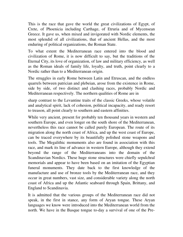This is the race that gave the world the great civilizations of Egypt, of Crete, of Phoenicia including Carthage, of Etruria and of Mycensean Greece. It gave us, when mixed and invigorated with Nordic elements, the most splendid of all civilizations, that of ancient Hellas, and the most enduring of political organizations, the Roman State.

To what extent the Mediterranean race entered into the blood and civilization of Rome, it is now difficult to say, but the traditions of the Eternal City, its love of organization, of law and military efficiency, as well as the Roman ideals of family life, loyalty, and truth, point clearly to a Nordic rather than to a Mediterranean origin.

The struggles in early Rome between Latin and Etruscan, and the endless quarrels between patrician and plebeian, arose from the existence in Rome, side by side, of two distinct and clashing races, probably Nordic and Mediterranean respectively. The northern qualities of Rome are in

sharp contrast to the Levantine traits of the classic Greeks, whose volatile and analytical spirit, lack of cohesion, political incapacity, and ready resort to treason, all point clearly to southern and eastern affinities.

While very ancient, present for probably ten thousand years in western and southern Europe, and even longer on the south shore of the Mediterranean, nevertheless this race cannot be called purely European. The route of its migration along the north coast of Africa, and up the west coast of Europe, can be traced everywhere by its beautifully polished stone weapons and tools. The Megalithic monuments also are found in association with this race, and mark its line of advance in western Europe, although they extend beyond the range of the Mediterraneans into the domain of the Scandinavian Nordics. These huge stone structures were chiefly sepulchral memorials and appear to have been based on an imitation of the Egyptian funeral monuments. They date back to the first knowledge of the manufacture and use of bronze tools by the Mediterranean race, and they occur in great numbers, vast size, and considerable variety along the north coast of Africa and up the Atlantic seaboard through Spain, Brittany, and England to Scandinavia.

It is admitted that the various groups of the Mediterranean race did not speak, in the first in stance, any form of Aryan tongue. These Aryan languages we know were introduced into the Mediterranean world from the north. We have in the Basque tongue to-day a survival of one of the Pre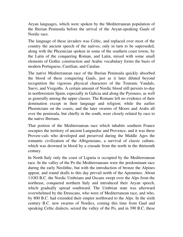Aryan languages, which were spoken by the Mediterranean population of the Iberian Peninsula before the arrival of the Aryan-speaking Gauls of Nordic race.

The language of these invaders was Celtic, and replaced over most of the country the ancient speech of the natives, only in turn to be superseded, along with the Phcenician spoken in some of the southern coast towns, by the Latin of the conquering Roman, and Latin, mixed with some small elements of Gothic construction and Arabic vocabulary forms the basis of modern Portuguese, Castilian, and Catalan.

The native Mediterranean race of the Iberian Peninsula quickly absorbed the blood of these conquering Gauls, just as it later diluted beyond recognition the vigorous physical characters of the Teutonic Vandals, Suevi, and Visigoths. A certain amount of Nordic blood still persists to-day in northwestern Spain, especially in Galicia and along the Pyrenees, as well as generally among the upper classes. The Romans left no evidence of their domination except in their language and religion; while the earlier Phoenicians on the coasts, and the later swarms of Moors and Arabs all over the peninsula, but chiefly in the south, were closely related by race to the native Iberians.

That portion of the Mediterranean race which inhabits southern France oocupies the territory of ancient Languedoc and Provence, and it was these Proven~cals who developed and preserved during the Middle Ages the romantic civilization of the Albigensians, a survival of classic culture, which was drowned in blood by a crusade from the north in the thirteenth century.

In North Italy only the coast of Liguria is occupied by the Mediterranean race. In the valley of the Po the Mediterraneans were the predominant race during the early Neolithic, but with the introduction of bronze the Alpines appear, and round skulls to this day prevail north of the Apennines. About 11OO B.C. the Nordic Umbrians and Oscans swept over the Alps from the northeast, conquered northern Italy and introduced their Aryan speech, which gradually spread southward. The Umbrian state was afterward overwhelmed by the Etruscans, who were of Mediterranean race, and who, by 800 B.C. had extended their empire northward to the Alps. In the sixth century B.C. new swarms of Nordics, coming this time from Gaul and speaking Celtic dialects, seized the valley of the Po, and in 390 B.C. these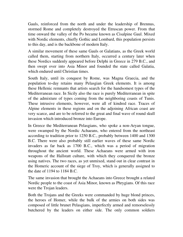Gauls, reinforced from the north and under the leadership of Brennus, stormed Rome and completely destroyed the Etruscan power. From that time onward the valley of the Po became known as Cisalpine Gaul. Mixed with Nordic elements, chiefly Gothic and Lombard, this population persists to this day, and is the backbone of modern Italy.

A similar movement of these same Gauls or Galatians, as the Greek world called them, starting from northern Italy, occurred a century later when these Nordics suddenly appeared before Delphi in Greece in 279 B.C., and then swept over into Asia Minor and founded the state called Galatia, which endured until Christian times.

South Italy, until its conquest by Rome, was Magna Graecia, and the population to-day retains many Pelasgian Greek elements. It is among these Hellenic remnants that artists search for the handsomest types of the Mediterranean race. In Sicily also the race is purely Mediterranean in spite of the admixture of types coming from the neighboring coasts of Tunis. These intrusive elements, however, were all of kindred race. Traces of Alpine elements in these regions and on the adjoining African coast are very scarce, and are to be referred to the great and final wave of round skull invasion which introduced bronze into Europe.

In Greece the Mediterranean Pelasgians, who spoke a non-Aryan tongue, were swamped by the Nordic Achaeans, who entered from the northeast according to tradition prior to 1250 B.C., probably between 1400 and 1300 B.C. There were also probably still earlier waves of these same Nordic invaders as far back as 1700 B.C., which was a period of migration throughout the ancient world. These Achaeans were armed with iron weapons of the Hallstatt culture, with which they conquered the bronze using natives. The two races, as yet unmixed, stand out in clear contrast in the Homeric account of the siege of Troy, which is generally assigned to the date of 1194 to 1184 B.C.

The same invasion that brought the Achaeans into Greece brought a related Nordic people to the coast of Asia Minor, known as Phrygians. Of this race were the Trojan leaders.

Both the Trojans and the Greeks were commanded by huge blond princes, the heroes of Homer, while the bulk of the armies on both sides was composed of little brunet Pelasgians, imperfectly armed and remorselessly butchered by the leaders on either side. The only common soldiers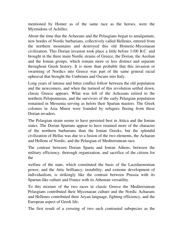mentioned by Homer as of the same race as the heroes, were the Myrmidons of Achilles.

About the time that the Acheeans and the Pelasgians began to amalgamate, new hordes of Nordic barbarians, collectively called Hellenes, entered from the northern mountains and destroyed this old Homeric-Mycenaean civilization. This Dorian invasion took place a little before 1100 B.C. and brought in the three main Nordic strains of Greece, the Dorian, the Aeolian and the Ionian groups, which remain more or less distinct and separate throughout Greek history. It is more than probable that this invasion or swarming of Nordics into Greece was part of the same general racial upheaval that brought the Umbrians and Oscans into Italy.

Long years of intense and bitter conflict follow between the old population and the newcomers, and when the turmoil of this revolution settled down, classic Greece appears. What was left of the Achceans retired to the northern Peloponnesus, and the survivors of the early Pelasgian population remained in Messenia serving as helots their Spartan masters. The Greek colonies in Asia Minor were founded by refugees fleeing from these Dorian invaders.

The Pelasgian strain seems to have persisted best in Attica and the Ionian states. The Dorian Spartans appear to have retained more of the character of the northern barbarians than the Ionian Greeks, but the splendid civilization of Hellas was due to a fusion of the two elements, the Achaean and Hellene of Nordic, and the Pelasgian of Mediterranean race.

The contrast between Dorian Sparta and Ionian Athens, between the military efficiency, thorough organization, and sacrifice of the citizen for the

welfare of the state, which constituted the basis of the Lacedaemonian power, and the Attic brilliancy, instability, and extreme development of individualism, is strikingly like the contrast between Prussia with its Spartan-like culture and France with its Athenian versatility.

To this mixture of the two races in classic Greece the Mediterranean Pelasgians contributed their Mycenaean culture and the Nordic Achaeans and Hellenes contributed their Aryan language, fighting efficiency, and the European aspect of Greek life.

The first result of a crossing of two such contrasted subspecies as the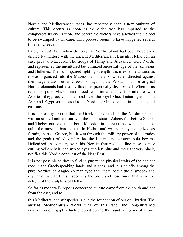Nordic and Mediterranean races, has repeatedly been a new outburst of culture. This occurs as soon as the older race has imparted to the conquerors its civilization, and before the victors have allowed their blood to be swamped by mixture. This process seems to have happened several times in Greece.

Later, in 339 B.C., when the original Nordic blood had been hopelessly diluted by mixture with the ancient Mediterranean elements, Hellas fell an easy prey to Macedon. The troops of Philip and Alexander were Nordic and represented the uncultured but unmixed ancestral type of the Achaeans and Hellenes. Their unimpaired fighting strength was irresistible as soon as it was organized into the Macedonian phalanx, whether directed against their degenerate brother Greeks, or against the Persians, whose original Nordic elements had also by this time practically disappeared. When in its turn the pure Macedonian blood was impaired by intermixture with Asiatics, they, too, vanished, and even the royal Macedonian dynasties in Asia and Egypt soon ceased to be Nordic or Greek except in language and customs.

It is interesting to note that the Greek states in which the Nordic element was most predominant outlived the other states. Athens fell before Sparta, and Thebes outlived them both. Macedon in classic times was considered quite the most barbarous state in Hellas, and was scarcely recognized as forming part of Greece, but it was through the military power of its armies and the genius of Alexander that the Levant and western Asia became Hellenized. Alexander, with his Nordic features, aquiline nose, gently curling yellow hair, and mixed eyes, the left blue and the right very black, typifies this Nordic conquest of the Near East.

It is not possible to-day to find in purity the physical traits of the ancient race in the Greek-speaking lands and islands, and it is chiefly among the pure Nordics of Anglo-Norman type that there occur those smooth and regular classic features, especially the brow and nose lines, that were the delight of the sculptors of Hellas.

So far as modern Europe is concerned culture came from the south and not from the east, and to

this Mediterranean subspecies is due the foundation of our civilization. The ancient Mediterranean world was of this race; the long-sustained civilization of Egypt, which endured during thousands of years of almost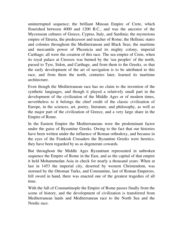uninterrupted sequence; the brilliant Minoan Empire of Crete, which flourished between 4000 and 1200 B.C., and was the ancestor of the Mycensean cultures of Greece, Cyprus, Italy, and Sardinia; the mysterious empire of Etruria, the predecessor and teacher of Rome; the Hellenic states and colonies throughout the Mediterranean and Black Seas; the maritime and mercantile power of Phcenicia and its mighty colony, imperial Carthage; all were the creation of this race. The sea empire of Crete, when its royal palace at Cnossos was burned by the 'sea peoples' of the north, passed to Tyre, Sidon, and Carthage, and from them to the Greeks, so that the early development of the art of navigation is to be attributed to this race, and from them the north, centuries later, learned its maritime architecture.

Even though the Mediterranean race has no claim to the invention of the synthetic languages, and though it played a relatively small part in the development of the civilization of the Middle Ages or of modern times, nevertheless to it belongs the chief credit of the classic civilization of Europe, in the sciences, art, poetry, literature, and philosophy, as well as the major part of the civilization of Greece, and a very large share in the Empire of Rome.

In the Eastern Empire the Mediterraneans were the predominant factor under the guise of Byzantine Greeks. Owing to the fact that our histories have been written under the influence of Roman orthodoxy, and because in the eyes of the Frankish Crusaders the Byzantine Greeks were heretics, they have been regarded by us as degenerate cowards.

But throughout the Middle Ages Byzantium represented in unbroken sequence the Empire of Rome in the East, and as the capital of that empire it held Mohammedan Asia in check for nearly a thousand years. When at last in 1453 the imperial city, deserted by western Christendom, was stormed by the Ottoman Turks, and Constantine, last of Roman Emperors, fell sword in hand, there was enacted one of the greatest tragedies of all time.

With the fall of Constantinople the Empire of Rome passes finally from the scene of history, and the development of civilization is transferred from Mediterranean lands and Mediterranean race to the North Sea and the Nordic race.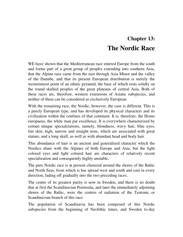### <span id="page-91-0"></span>[Chapter 13:](#page-91-0) [The Nordic Race](#page-91-0)

WE have shown that the Mediterranean race entered Europe from the south and forms part of a great group of peoples extending into southern Asia, that the Alpine race came from the east through Asia Minor and the valley of the Danube, and that its present European distribution is merely the westernmost point of an ethnic pyramid, the base of which rests solidly on the round skulled peoples of the great plateaux of central Asia. Both of these races are, therefore, western extensions of Asiatic subspecies, and neither of them can be considered as exclusively European.

With the remaining race, the Nordic, however, the case is different. This is a purely European type, and has developed its physical characters and its civilization within the confines of that continent. It is, therefore, the Homo europaeus, the white man par excellence. It is everywhere characterized by certain unique specializations, namely, blondness, wavy hair, blue eyes, fair skin, high, narrow and straight nose, which are associated with great stature, and a long skull, as well as with abundant head and body hair.

This abundance of hair is an ancient and generalized character which the Nordics share with the Alpines of both Europe and Asia, but the light colored eyes and light colored hair are characters of relatively recent specialization and consequently highly unstable.

The pure Nordic race is at present clustered around the shores of the Baltic and North Seas, from which is has spread west and south and east in every direction, fading off gradually into the two preceding races.

The centre of its greatest purity is now in Sweden, and there is no doubt that at first the Scandinavian Peninsula, and later the immediately adjoining shores of the Baltic, were the centres of radiation of the Teutonic or Scandinavian branch of this race.

The population of Scandinavia has been composed of this Nordic subspecies from the beginning of Neolithic times, and Sweden to-day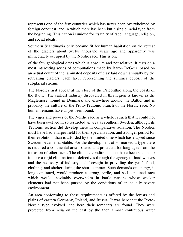represents one of the few countries which has never been overwhelmed by foreign conquest, and in which there has been but a single racial type from the beginning. This nation is unique for its unity of race, language, religion, and social ideals.

Southern Scandinavia only became fit for human habitation on the retreat of the glaciers about twelve thousand years ago and apparently was immediately occupied by the Nordic race. This is one

of the few geological dates which is absolute and not relative. It rests on a most interesting series of computations made by Baron DeGeer, based on an actual count of the laminated deposits of clay laid down annually by the retreating glaciers, each layer representing the summer deposit of the subglacial stream.

The Nordics first appear at the close of the Paleolithic along the coasts of the Baltic. The earliest industry discovered in this region is known as the Maglemose, found in Denmark and elsewhere around the Baltic, and is probably the culture of the Proto-Teutonic branch of the Nordic race. No human remains have as yet been found.

The vigor and power of the Nordic race as a whole is such that it could not have been evolved in so restricted an area as southern Sweden, although its Teutonic section did develop there in comparative isolation. The Nordics must have had a larger field for their specialization, and a longer period for their evolution, than is afforded by the limited time which has elapsed since Sweden became habitable. For the development of so marked a type there is required a continental area isolated and protected for long ages from the intrusion of other races. The climatic conditions must have been such as to impose a rigid elimination of defectives through the agency of hard winters and the necessity of industry and foresight in providing the year's food, clothing, and shelter during the short summer. Such demands on energy, if long continued, would produce a strong, virile, and self-contained race which would inevitably overwhelm in battle nations whose weaker elements had not been purged by the conditions of an equally severe environment.

An area conforming to these requirements is offered by the forests and plains of eastern Germany, Poland, and Russia. It was here that the Proto-Nordic type evolved, and here their remnants are found. They were protected from Asia on the east by the then almost continuous water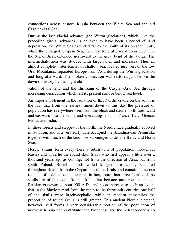connections across eastern Russia between the White Sea and the old Caspian-Aral Sea.

During the last glacial advance (the Wurm glaciation), which, like the preceding glacial advances, is believed to have been a period of land depression, the White Sea extended far to the south of its present limits, while the enlarged Caspian Sea, then and long afterward connected with the Sea of Aral, extended northward to the great bend of the Volga. The intermediate area was studded with large lakes and morasses. Thus an almost complete water barrier of shallow sea, located just west of the low Ural Mountains, separated Europe from Asia during the Wurm glaciation and long afterward. The broken connection was restored just before the dawn of history by the slight ele-

vation of the land and the shrinking of the Caspian-Aral Sea through increasing desiccation which left its present surface below sea level.

An important element in the isolation of this Nordic cradle on the south is the fact that from the earliest times down to this day the pressure of population has everywhere been from the bleak and sterile north southward and eastward into the sunny and enervating lands of France, Italy, Greece, Persia, and India.

In these forests and steppes of the north, the Nordic race gradually evolved in isolation, and at a very early date occupied the Scandinavian Peninsula, together with much of the land now submerged under the Baltic and North Seas.

Nordic strains form everywhere a substratum of population throughout Russia and underlie the round skull Slavs who first appear a little over a thousand years ago as coming, not from the direction of Asia, but from south Poland. Burial mounds called kurgans are widely scattered throughout Russia from the Carpathians to the Urals, and contain numerous remains of a dolichocephalic race; in fact, more than three-fourths of the skulls are of this type. Round skulls first become numerous in ancient Russian graveyards about 900 A.D., and soon increase to such an extent that in the Slavic period from the ninth to the thirteenth centuries one-half of the skulls were brachycephalic, while in modern cemeteries the proportion of round skulls is still greater. This ancient Nordic element, however, still forms a very considerable portion of the population of northern Russia and contributes the blondness and the red-headedness so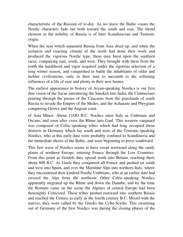characteristic of the Russian of to-day. As we leave the Baltic coasts the Nordic characters fade out both toward the south and east. The blond element in the nobility of Russia is of later Scandinavian and Teutonic origin.

When the seas which separated Russia from Asia dried up, and when the isolation and exacting climate of the north had done their work and produced the vigorous Nordic type, these men burst upon the southern races, conquering east, south, and west. They brought with them from the north the hardihood and vigor acquired under the rigorous selection of a long winter season, and vanquished in battle the inhabitants of older and feebler civilizations, only in their turn to succumb to the softening influences of a life of ease and plenty in their new homes.

The earliest appearance in history of Aryan-speaking Nordics is our first dim vision of the Sacae introducing the Sanskrit into India, the Cimmerians pouring through the passes of the Caucasus from the grasslands of south Russia to invade the Empire of the Medes, and the Achaeans and Phrygians conquering Greece and the Aegean coast

of Asia Minor. About 11OO B.C. Nordics enter Italy as Umbrians and Oscans, and soon after cross the Rhine into Gaul. This western vanguard was composed of Celtic-speaking tribes which had long occupied those districts in Germany which lay south and west of the Teutonic-speaking Nordics, who at this early date were probably confined to Scandinavia and the immediate shores of the Baltic, and were beginning to press southward.

This first wave of Nordics seems to have swept westward along the sandy plains of northern Europe, entering France through the Low Countries. From this point as Goidels they spread north into Britain, reaching there about 800 B.C. As Gauls they conquered all France and pushed on south and west into Spain, and over the Maritime Alps into northern Italy, where they encountered their kindred Nordic Umbrians, who at an earlier date had crossed the Alps from the northeast. Other Celtic-speaking Nordics apparently migrated up the Rhine and down the Danube, and by the time the Romans came on the scene the Alpines of central Europe had been thoroughly Celticized. These tribes pushed eastward into southern Russia and reached the Crimea as early as the fourth century B.C. Mixed with the natives, they were called by the Greeks the Celto-Scyths. This swarming out of Germany of the first Nordics was during the closing phases of the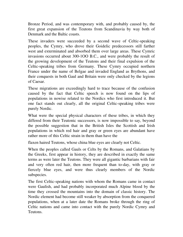Bronze Period, and was contemporary with, and probably caused by, the first great expansion of the Teutons from Scandinavia by way both of Denmark and the Baltic coasts.

These invaders were succeeded by a second wave of Celtic-speaking peoples, the Cymry, who drove their Goidelic predecessors still farther west and exterminated and absorbed them over large areas. These Cymric invasions occurred about 300-100 B.C., and were probably the result of the growing development of the Teutons and their final expulsion of the Celtic-speaking tribes from Germany. These Cymry occupied northern France under the name of Belgae and invaded England as Brythons, and their conquests in both Gaul and Britain were only checked by the legions of Caesar.

These migrations are exceedingly hard to trace because of the confusion caused by the fact that Celtic speech is now found on the lips of populations in nowise related to the Nordics who first introduced it. But one fact stands out clearly, all the original Celtic-speaking tribes were purely Nordic.

What were the special physical characters of these tribes, in which they differed from their Teutonic successors, is now impossible to say, beyond the possible suggestion that in the British Isles the Scottish and Irish populations in which red hair and gray or green eyes are abundant have rather more of this Celtic strain in them than have the

flaxen haired Teutons, whose china blue eyes are clearly not Celtic.

When the peoples called Gauls or Celts by the Romans, and Galatians by the Greeks, first appear in history, they are described in exactly the same terms as were later the Teutons. They were all gigantic barbarians with fair and very often red hair, then more frequent than to-day, with gray or fiercely blue eyes, and were thus clearly members of the Nordic subspecies.

The first Celtic-speaking nations with whom the Romans came in contact were Gaulish, and had probably incorporated much Alpine blood by the time they crossed the mountains into the domain of classic history. The Nordic element had become still weaker by absorption from the conquered populations, when at a later date the Romans broke through the ring of Celtic nations and came into contact with the purely Nordic Cymry and Teutons.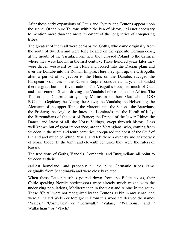After these early expansions of Gauls and Cymry, the Teutons appear upon the scene. Of the pure Teutons within the ken of history, it is not necessary to mention more than the most important of the long series of conquering tribes.

The greatest of them all were perhaps the Goths, who came originally from the south of Sweden and were long located on the opposite German coast, at the mouth of the Vistula. From here they crossed Poland to the Crimea, where they were known in the first century. Three hundred years later they were driven westward by the Huns and forced into the Dacian plain and over the Danube into the Roman Empire. Here they split up; the Ostrogoths after a period of subjection to the Huns on the Danube, ravaged the European provinces of the Eastern Empire, conquered Italy, and founded there a great but shortlived nation. The Visigoths occupied much of Gaul and then entered Spain, driving the Vandals before them into Africa. The Teutons and Cimbri destroyed by Marius in southern Gaul about 1OO B.C.; the Gepidae; the Alans; the Suevi; the Vandals; the Helvetians; the Alemanni of the upper Rhine; the Marcomanni; the Saxons; the Batavians; the Frisians; the Angles; the Jutes, the Lombards and the Heruli of Italy; the Burgundians of the east of France; the Franks of the lower Rhine; the Danes; and latest of all, the Norse Vikings, swept through history. Less well known but of great importance, are the Varangians, who, coming from Sweden in the ninth and tenth centuries, conquered the coast of the Gulf of Finland and much of White Russia, and left there a dynasty and aristocracy of Norse blood. In the tenth and eleventh centuries they were the rulers of Russia.

The traditions of Goths, Vandals, Lombards, and Burgundians all point to Sweden as their

earliest homeland, and probably all the pure Germanic tribes came originally from Scandinavia and were closely related.

When these Teutonic tribes poured down from the Baltic coasts, their Celtic-speaking Nordic predecessors were already much mixed with the underlying populations, Mediterranean in the west and Alpine in the south. These "Celts" were not recognized by the Teutons as kin in any sense, and were all called Welsh or foreigners. From this word are derived the names "Wales," "Cornwales" or "Cornwall," "Valais," "Walloons," and " Wallachian " or "Vlach."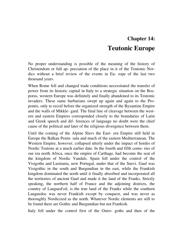#### <span id="page-98-0"></span>[Chapter 14:](#page-98-0) [Teutonic Europe](#page-98-0)

No proper understanding is possible of the meaning of the history of Christendom or full ap- preciation of the place in it of the Teutonic Nordics without a brief review of the events in Eu- rope of the last two thousand years.

When Rome fell and changed trade conditions necessitated the transfer of power from its historic capital in Italy to a strategic situation on the Bosporus, western Europe was definitely and finally abandoned to its Teutonic invaders. These same barbarians swept up again and again to the Propontis, only to recoil before the organized strength of the Byzantine Empire and the walls of Mikkle-gard. The final line of cleavage between the western and eastern Empires corresponded closely to the boundaries of Latin and Greek speech and dif-ferences of language no doubt were the chief cause of the political and later of the religious divergence between them.

Until the coming of the Alpine Slavs the East- ern Empire still held in Europe the Balkan Penin- sula and much of the eastern Mediterranean. The Western Empire, however, collapsed utterly under the impact of hordes of Nordic Teutons at a much earlier date. In the fourth and fifth centu- ries of our era north Africa, once the empire of Carthage, had become the seat of the kingdom of Nordic Vandals. Spain fell under the control of the Visigoths and Lusitania, now Portugal, under that of the Suevi. Gaul was Visigothic in the south and Burgundian in the east, while the Frankish kingdom dominated the north until it finally absorbed and incorporated all the territories of ancient Gaul and made it the land of the Franks. Strictly speaking, the northern half of France and the adjoining districts, the country of Langued'oil, is the true land of the Franks while the southern Languedoc was never Frankish except by conquest, and was never as thoroughly Nordicized as the north. Whatever Nordic elements are still to be found there are Gothic and Burgundian but not Frankish.

Italy fell under the control first of the Ostro- goths and then of the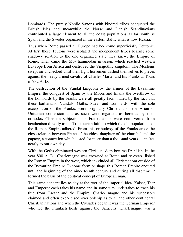Lombards. The purely Nordic Saxons with kindred tribes conquered the British Isles and meanwhile the Norse and Danish Scandinavians contributed a large element to all the coast populations as far south as Spain and the Swedes organized in the eastern Baltic what is now Russia.

Thus when Rome passed all Europe had be- come superficially Teutonic. At first these Teutons were isolated and independent tribes bearing some shadowy relation to the one organized state they knew, the Empire of Rome. Then came the Mo- hammedan invasion, which reached western Eu- rope from Africa and destroyed the Visigothic kingdom. The Moslems swept on unchecked until their light horsemen dashed themselves to pieces against the heavy armed cavalry of Charles Martel and his Franks at Tours in 732 A. D.

The destruction of the Vandal kingdom by the armies of the Byzantine Empire, the conquest of Spain by the Moors and finally the overthrow of the Lombards by the Franks were all greatly facil- itated by the fact that these barbarians, Vandals, Goths, Suevi and Lombards, with the sole excep- tion of the Franks, were originally Christians of the Arian or Unitarian confession and as such were regarded as heretics by their orthodox Christian subjects. The Franks alone were con-verted from heathenism directly to the Trini-tarian faith to which the old populations of the Roman Empire adhered. From this orthodoxy of the Franks arose the close relation between France, "the eldest daughter of the church," and the papacy, a connection which lasted for more than a thousand years — in fact nearly to our own day.

With the Goths eliminated western Christen- dom became Frankish. In the year 800 A. D., Charlemagne was crowned at Rome and re-estab- lished the Roman Empire in the west, which in-cluded all Christendom outside of the Byzantine Empire. In some form or shape this Roman Empire endured until the beginning of the nine teenth century and during all that time it formed the basis of the political concept of European man.

This same concept lies to-day at the root of the imperial idea. Kaiser, Tsar and Emperor each takes his name and in some way undertakes to trace his title from Caesar and the Empire. Charle- magne and his successors claimed and often exer cised overlordship as to all the other continental Christian nations and when the Crusades began it was the German Emperor who led the Frankish hosts against the Saracens. Charlemagne was a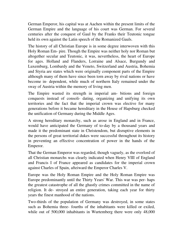German Emperor, his capital was at Aachen within the present limits of the German Empire and the language of his court was German. For several centuries after the conquest of Gaul by the Franks their Teutonic tongue held its own against the Latin speech of the Romanized Gauls.

The history of all Christian Europe is in some degree interwoven with this Holy Roman Em- pire. Though the Empire was neither holy nor Roman but altogether secular and Teutonic, it was, nevertheless, the heart of Europe for ages. Holland and Flanders, Lorraine and Alsace, Burgundy and Luxemburg, Lombardy and the Veneto, Switzerland and Austria, Bohemia and Styria are states which were originally component parts of the Empire although many of them have since been torn away by rival nations or have become in- dependent, while much of northern Italy remained under the sway of Austria within the memory of living men.

The Empire wasted its strength in imperial am- bitions and foreign conquests instead of consoli- dating, organizing and unifying its own territories and the fact that the imperial crown was elective for many generations before it became hereditary in the House of Hapsburg checked the unification of Germany during the Middle Ages.

A strong hereditary monarchy, such as arose in England and in France, would have anticipated the Germany of to-day by a thousand years and made it the predominant state in Christendom, but disruptive elements in the persons of great territorial dukes were successful throughout its history in preventing an effective concentration of power in the hands of the Emperor.

That the German Emperor was regarded, though vaguely, as the overlord of all Christian monarchs was clearly indicated when Henry VIII of England and Francis I of France appeared as candidates for the imperial crown against Charles of Spain, afteiward the Emperor Charles V.

Europe was the Holy Roman Empire and the Holy Roman Empire was Europe predominantly until the Thirty Years' War. This war was per-haps the greatest catastrophe of all the ghastly crimes committed in the name of religion. It de-stroyed an entire generation, taking each year for thirty years the finest manhood of the nations.

Two-thirds of the population of Germany was destroyed, in some states such as Bohemia three- fourths of the inhabitants were killed or exiled, while out of 500,000 inhabitants in Wurtemberg there were only 48,000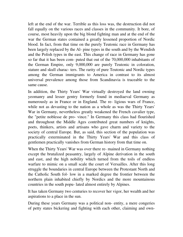left at the end of the war. Terrible as this loss was, the destruction did not fall equally on the various races and classes in the community. It bore, of course, most heavily upon the big blond fighting man and at the end of the war the German states contained a greatly lessened proportion of Nordic blood. In fact, from that time on the purely Teutonic race in Germany has been largely replaced by the Al- pine types in the south and by the Wendish and the Polish types in the east. This change of race in Germany has gone so far that it has been com- puted that out of the 70,000,000 inhabitants of the German Empire, only 9,000,000 are purely Teutonic in coloration, stature and skull charac- ters. The rarity of pure Teutonic and Nordic types among the German immigrants to America in contrast to its almost universal prevalence among those from Scandinavia is traceable to the same cause.

In addition, the Thirty Years' War virtually destroyed the land owning yeomanry and lesser gentry formerly found in mediaeval Germany as numerously as in France or in England. The re- ligious wars of France, while not as devasting to the nation as a whole as was the Thirty Years' War in Germany, nevertheless greatly weakened the French cavalier type, the "petite noblesse de pro- vince." In Germany this class had flourished and throughout the Middle Ages contributed great numbers of knights, poets, thinkers, artists and artisans who gave charm and variety to the society of central Europe. But, as said, this section of the population was practically exterminated in the Thirty Years' War and this class of gentlemen practically vanishes from German history from that time on.

When the Thirty Years' War was over there re- mained in Germany nothing except the brutalized peasantry, largely of Alpine derivation in the south and east, and the high nobility which turned from the toils of endless warfare to mimic on a small scale the court of Versailles. After this long struggle the boundaries in central Europe between the Protestant North and the Catholic South fol-low in a marked degree the frontier between the northern plain inhabited chiefly by Nordics and the more mountainous countries in the south popu- lated almost entirely by Alpines.

It has taken Germany two centuries to recover her vigor, her wealth and her aspirations to a place in the sun.

During these years Germany was a political non-entity, a mere congeries of petty states bickering and fighting with each other, claiming and own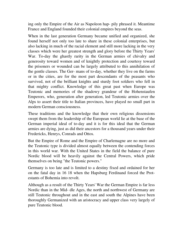ing only the Empire of the Air as Napoleon hap- pily phrased it. Meantime France and England founded their colonial empires beyond the seas.

When in the last generation Germany became unified and organized, she found herself not only too late to share in these colonial enterprises, but also lacking in much of the racial element and still more lacking in the very classes which were her greatest strength and glory before the Thirty Years' War. To-day the ghastly rarity in the German armies of chivalry and generosity toward women and of knightly protection and courtesy toward the prisoners or wounded can be largely attributed to this annihilation of the gentle classes. The Ger- mans of to-day, whether they live on the farms or in the cities, are for the most part descendants of the peasants who survived, not of the brilliant knights and sturdy foot soldiers who fell in that mighty conflict. Knowledge of this great past when Europe was Teutonic and memories of the shadowy grandeur of the Hohenstaufen Emperors, who, generation after generation, led Teutonic armies over the Alps to assert their title to Italian provinces, have played no small part in modern German consciousness.

These traditions and the knowledge that their own religious dissensions swept them from the leadership of the European world lie at the base of the German imperial ideal of to-day and it is for this ideal that the German armies are dying, just as did their ancestors for a thousand years under their Fredericks, Henrys, Conrads and Ottos.

But the Empire of Rome and the Empire of Charlemagne are no more and the Teutonic type is divided almost equally between the contending forces in this world war. With the United States in the field the balance of pure Nordic blood will be heavily against the Central Powers, which pride themselves on being "the Teutonic powers."

Germany is too late and is limited to a destiny fixed and ordained for her on the fatal day in 16 18 when the Hapsburg Ferdinand forced the Protestants of Bohemia into revolt.

Although as a result of the Thirty Years' War the German Empire is far less Nordic than in the Mid- dle Ages, the north and northwest of Germany are still Teutonic throughout and in the east and south the Alpines have been thoroughly Germanized with an aristocracy and upper class very largely of pure Teutonic blood.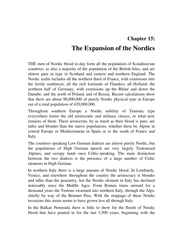# <span id="page-103-0"></span>[Chapter 15:](#page-103-0) [The Expansion of the Nordics](#page-103-0)

THE men of Nordic blood to-day form all the population of Scandinavian countries, as also a majority of the population of the British Isles, and are almost pure in type in Scotland and eastern and northern England. The Nordic realm includes all the northern third of France, with extensions into the fertile southwest; all the rich lowlands of Flanders; all Holland; the northern half of Germany, with extensions up the Rhine and down the Danube; and the north of Poland, and of Russia. Recent calculations show that there are about 90,000,000 of purely Nordic physical type in Europe out of a total population of 420,000,000.

Throughout southern Europe a Nordic nobility of Teutonic type everywhere forms the old aristocratic and military classes, or what now remains of them. These aristocrats, by as much as their blood is pure, are taller and blonder than the native populations, whether these be Alpine in central Europe or Mediterranean in Spain or in the south of France and Italy.

The countries speaking Low German dialects are almost purely Nordic, but the populations of High German speech are very largely Teutonized Alpines, and occupy lands once Celtic-speaking. The main distinction between the two dialects is the presence of a large number of Celtic elements in High German.

In northern Italy there is a large amount of Nordic blood. In Lombardy, Venice, and elsewhere throughout the country the aristocracy is blonder and taller than the peasantry, but the Nordic element in Italy has declined noticeably since the Middle Ages. From Roman times onward for a thousand years the Teutons swarmed into northern Italy, through the Alps, chiefly by way of the Brenner Pass. With the stoppage of these Nordic invasions this strain seems to have grown less all through Italy.

In the Balkan Peninsula there is little to show for the floods of Nordic blood that have poured in for the last 3,500 years, beginning with the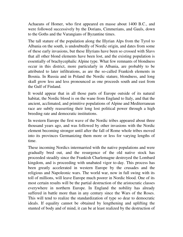Achaeans of Homer, who first appeared en masse about 1400 B.C., and were followed successively by the Dorians, Cimmerians, and Gauls, down to the Goths and the Varangians of Byzantine times.

The tall stature of the population along the Illyrian Alps from the Tyrol to Albania on the south, is undoubtedly of Nordic origin, and dates from some of these early invasions, but these Illyrians have been so crossed with Slavs that all other blond elements have been lost, and the existing population is essentially of brachycephalic Alpine type. What few remnants of blondness occur in this district, more particularly in Albania, are probably to be attributed to later infiltrations, as are the socalled Frankish elements in Bosnia. In Russia and in Poland the Nordic stature, blondness, and long skull grow less and less pronounced as one proceeds south and east from the Gulf of Finland.

It would appear that in all those parts of Europe outside of its natural habitat, the Nordic blood is on the wane from England to Italy, and that the ancient, acclimated, and primitive populations of Alpine and Mediterranean race are subtly reasserting their long lost political power through a high breeding rate and democratic institutions.

In western Europe the first wave of the Nordic tribes appeared about three thousand years ago, and was followed by other invasions with the Nordic element becoming stronger until after the fall of Rome whole tribes moved into its provinces Germanizing them more or less for varying lengths of time.

These incoming Nordics intermarried with the native populations and were gradually bred out, and the resurgence of the old native stock has proceeded steadily since the Frankish Charlemagne destroyed the Lombard kingdom, and is proceeding with unabated vigor to-day. This process has been greatly accelerated in western Europe by the crusades and the religious and Napoleonic wars. The world war, now in full swing with its toll of millions, will leave Europe much poorer in Nordic blood. One of its most certain results will be the partial destruction of the aristocratic classes everywhere in northern Europe. In England the nobility has already suffered in battle more than in any century since the Wars of the Roses. This will tend to realize the standardization of type so dear to democratic ideals. If equality cannot be obtained by lengthening and uplifting the stunted of body and of mind, it can be at least realized by the destruction of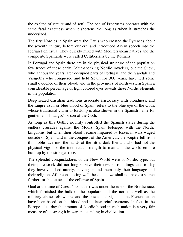the exalted of stature and of soul. The bed of Procrustes operates with the same fatal exactness when it shortens the long as when it stretches the undersized.

The first Nordics in Spain were the Gauls who crossed the Pyrenees about the seventh century before our era, and introduced Aryan speech into the Iberian Peninsula. They quickly mixed with Mediterranean natives and the composite Spaniards were called Celtiberians by the Romans.

In Portugal and Spain there are in the physical structure of the population few traces of these early Celtic-speaking Nordic invaders, but the Suevi, who a thousand years later occupied parts of Portugal, and the Vandals and Visigoths who conquered and held Spain for 300 years, have left some small evidence of their blood, and in the provinces of northwestern Spain a considerable percentage of light colored eyes reveals these Nordic elements in the population.

Deep seated Castilian traditions associate aristocracy with blondness, and the sangre azul, or blue blood of Spain, refers to the blue eye of the Goth, whose traditional claim to lordship is also shown in the Spanish name for gentleman, "hidalgo," or son of the Goth.

As long as this Gothic nobility controlled the Spanish states during the endless crusades against the Moors, Spain belonged with the Nordic kingdoms, but when their blood became impaired by losses in wars waged outside of Spain and in the conquest of the Americas, the sceptre fell from this noble race into the hands of the little, dark Iberian, who had not the physical vigor or the intellectual strength to maintain the world empire built up by the stronger race.

The splendid conquistadores of the New World were of Nordic type, but their pure stock did not long survive their new surroundings, and to-day they have vanished utterly, leaving behind them only their language and their religion. After considering well these facts we shall not have to search further for the causes of the collapse of Spain.

Gaul at the time of Caesar's conquest was under the rule of the Nordic race, which furnished the bulk of the population of the north as well as the military classes elsewhere, and the power and vigor of the French nation have been based on this blood and its later reinforcements. In fact, in the Europe of to-day the amount of Nordic blood in each nation is a very fair measure of its strength in war and standing in civilization.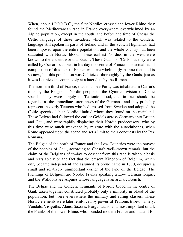When, about 1OOO B.C., the first Nordics crossed the lower Rhine they found the Mediterranean race in France everywhere overwhelmed by an Alpine population, except in the south, and before the time of Caesar the Celtic language of these invaders, which was related to the Goidelic language still spoken in parts of Ireland and in the Scotch Highlands, had been imposed upon the entire population, and the whole country had been saturated with Nordic blood. These earliest Nordics in the west were known to the ancient world as Gauls. These Gauls or "Celts," as they were called by Csesar, occupied in his day the centre of France. The actual racial complexion of this part of France was overwhelmingly Alpine then and is so now, but this population was Celticized thoroughly by the Gauls, just as it was Latinized as completely at a later date by the Romans.

The northern third of France, that is, above Paris, was inhabited in Caesar's time by the Belgae, a Nordic people of the Cymric division of Celtic speech. They were largely of Teutonic blood, and in fact should be regarded as the immediate forerunners of the Germans, and they probably represent the early Teutons who had crossed from Sweden and adopted the Celtic speech of their Nordic kindred whom they found on the mainland. These Belgae had followed the earlier Goidels across Germany into Britain and Gaul, and were rapidly displacing their Nordic predecessors, who by this time were much weakened by mixture with the autochthones, when Rome appeared upon the scene and set a limit to their conquests by the Pax Romana.

The Belgae of the north of France and the Low Countries were the bravest of the peoples of Gaul, according to Caesar's well-known remark, but the claim of the Belgians of to-day to descent from this race is without basis and rests solely on the fact that the present Kingdom of Belgium, which only became independent and assumed its proud name in 1830, occupies a small and relatively unimportant corner of the land of the Belgae. The Flemings of Belgium are Nordic Franks speaking a Low German tongue, and the Walloons are Alpines whose language is an archaic French.

The Belgae and the Goidelic remnants of Nordic blood in the centre of Gaul, taken together constituted probably only a minority in blood of the population, but were everywhere the military and ruling classes. These Nordic elements were later reinforced by powerful Teutonic tribes, namely, Vandals, Visigoths, Alans, Saxons, Burgundians, and most important of all, the Franks of the lower Rhine, who founded modern France and made it for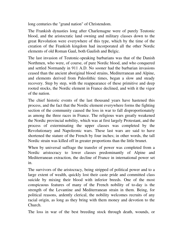long centuries the "grand nation" of Christendom.

The Frankish dynasties long after Charlemagne were of purely Teutonic blood, and the aristocratic land owning and military classes down to the great Revolution were everywhere of this type, which by the time of the creation of the Frankish kingdom had incorporated all the other Nordic elements of old Roman Gaul, both Gaulish and Belgic.

The last invasion of Teutonic-speaking barbarians was that of the Danish Northmen, who were, of course, of pure Nordic blood, and who conquered and settled Normandy in 911 A.D. No sooner had the barbarian invasions ceased than the ancient aboriginal blood strains, Mediterranean and Alpine, and elements derived from Paleolithic times, began a slow and steady recovery. Step by step, with the reappearance of these primitive and deep rooted stocks, the Nordic element in France declined, and with it the vigor of the nation.

The chief historic events of the last thousand years have hastened this process, and the fact that the Nordic element everywhere forms the fighting section of the community caused the loss in war to fall disproportionately as among the three races in France. The religious wars greatly weakened the Nordic provincial nobility, which was at first largely Protestant, and the process of exterminating the upper classes was completed by the Revolutionary and Napoleonic wars. These last wars are said to have shortened the stature of the French by four inches; in other words, the tall Nordic strain was killed off in greater proportions than the little brunet.

When by universal suffrage the transfer of power was completed from a Nordic aristocracy to lower classes predominantly of Alpine and Mediterranean extraction, the decline of France in international power set in.

The survivors of the aristocracy, being stripped of political power and to a large extent of wealth, quickly lost their caste pride and committed class suicide by mixing their blood with inferior breeds. One of the most conspicuous features of many of the French nobility of to-day is the strength of the Levantine and Mediterranean strain in them. Being, for political reasons, ardently clerical, the nobility welcomes recruits of any racial origin, as long as they bring with them money and devotion to the Church.

The loss in war of the best breeding stock through death, wounds, or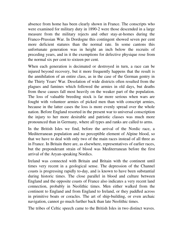absence from home has been clearly shown in France. The conscripts who were examined for military duty in 1890-2 were those descended in a large measure from the military rejects and other stay-at-homes during the Franco-Prussian War. In Dordogne this contingent showed seven per cent more deficient statures than the normal rate. In some cantons this unfortunate generation was in height an inch below the recruits of preceding years, and in it the exemptions for defective physique rose from the normal six per cent to sixteen per cent.

When each generation is decimated or destroyed in turn, a race can be injured beyond recovery, but it more frequently happens that the result is the annihilation of an entire class, as in the case of the German gentry in the Thirty Years' War. Desolation of wide districts often resulted from the plagues and famines which followed the armies in old days, but deaths from these causes fall most heavily on the weaker part of the population. The loss of valuable breeding stock is far more serious when wars are fought with volunteer armies of picked men than with conscript armies, because in the latter cases the loss is more evenly spread over the whole nation. Before England resorted in the present war to universal conscription the injury to her more desirable and patriotic classes was much more pronounced than in Germany, where all types and ranks are called to arms.

In the British Isles we find, before the arrival of the Nordic race, a Mediterranean population and no perceptible element of Alpine blood, so that we have to deal with only two of the main races instead of all three as in France. In Britain there are, as elsewhere, representatives of earlier races, but the preponderant strain of blood was Mediterranean before the first arrival of the Aryan-speaking Nordics.

Ireland was connected with Britain and Britain with the continent until times very recent in a geological sense. The depression of the Channel coasts is progressing rapidly to-day, and is known to have been substantial during historic times. The close parallel in blood and culture between England and the opposite coasts of France also indicates a very recent land connection, probably in Neolithic times. Men either walked from the continent to England and from England to Ireland, or they paddled across in primitive boats or coracles. The art of ship-building, or even archaic navigation, cannot go much further back than late Neolithic times.

The tribes of Celtic speech came to the British Isles in two distinct waves.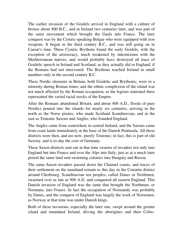The earlier invasion of the Goidels arrived in England with a culture of bronze about 800 B.C., and in Ireland two centuries later, and was part of the same movement which brought the Gauls into France. The later conquest was by the Cymric-speaking Belgae who were equipped with iron weapons. It began in the third century B.C., and was still going on in Caesar's time. These Cymric Brythons found the early Goidels, with the exception of the aristocracy, much weakened by intermixture with the Mediterranean natives, and would probably have destroyed all trace of Goidelic speech in Ireland and Scotland, as they actually did in England, if the Romans had not intervened. The Brythons reached Ireland in small numbers only in the second century B.C.

These Nordic elements in Britain, both Goidelic and Brythonic, were in a minority during Roman times, and the ethnic complexion of the island was not much affected by the Roman occupation, as the legions stationed there represented the varied racial stocks of the Empire.

After the Romans abandoned Britain, and about 400 A.D., floods of pure Nordics poured into the islands for nearly six centuries, arriving in the north as the Norse pirates, who made Scotland Scandinavian, and in the east as Teutonic Saxons and Angles, who founded England.

The Angles came from somewhere in central Jutland, and the Saxons came from coast lands immediately at the base of the Danish Peninsula. All these districts were then, and are now, purely Teutonic; in fact, this is part of old Saxony, and is to-day the core of Germany.

These Saxon districts sent out at that time swarms of invaders not only into England but into France and over the Alps into Italy, just as at a much later period the same land sent swarming colonies into Hungary and Russia.

The same Saxon invaders passed down the Channel coasts, and traces of their settlement on the mainland remain to this day in the Cotentin district around Cherbourg. Scandinavian sea peoples, called Danes or Northmen, swarmed over as late as 900 A.D. and conquered all eastern England. This Danish invasion of England was the same that brought the Northmen, or Normans, into France. In fact the occupation of Normandy was probably by Danes, and the conquest of England was largely the work of Norsemen, as Norway at that time was under Danish kings.

Both of these invasions, especially the later one, swept around the greater island and inundated Ireland, driving the aborigines and their Celtic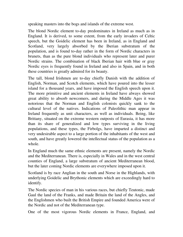speaking masters into the bogs and islands of the extreme west.

The blond Nordic element to-day predominates in Ireland as much as in England. It is derived, to some extent, from the early invaders of Celtic speech, but the Goidelic element has been in Ireland, as in England and Scotland, very largely absorbed by the Iberian substratum of the population, and is found to-day rather in the form of Nordic characters in brunets, than as the pure blond individuals who represent later and purer Nordic strains. The combination of black Iberian hair with blue or gray Nordic eyes is frequently found in Ireland and also in Spain, and in both these countries is greatly admired for its beauty.

The tall, blond Irishmen are to-day chiefly Danish with the addition of English, Norman, and Scotch elements, which have poured into the lesser island for a thousand years, and have imposed the English speech upon it. The more primitive and ancient elements in Ireland have always showed great ability to absorb newcomers, and during the Middle Ages it was notorious that the Norman and English colonists quickly sank to the cultural level of the natives. Indications of Paleolithic man appear in Ireland frequently as unit characters, as well as individuals. Being, like Brittany, situated on the extreme western outposts of Eurasia, it has more than its share of generalized and low types surviving in the living populations, and these types, the Firbolgs, have imparted a distinct and very undesirable aspect to a large portion of the inhabitants of the west and south, and have greatly lowered the intellectual status of the population as a whole.

In England much the same ethnic elements are present, namely the Nordic and the Mediterranean. There is, especially in Wales and in the west central counties of England, a large substratum of ancient Mediterranean blood, but the later coming Nordic elements are everywhere imposed upon it.

Scotland is by race Anglian in the south and Norse in the Highlands, with underlying Goidelic and Brythonic elements which are exceedingly hard to identify.

The Nordic species of man in his various races, but chiefly Teutonic, made Gaul the land of the Franks, and made Britain the land of the Angles, and the Englishmen who built the British Empire and founded America were of the Nordic and not of the Mediterranean type.

One of the most vigorous Nordic elements in France, England, and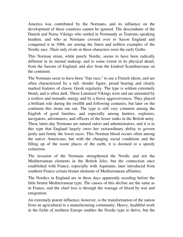America was contributed by the Normans, and its influence on the development of these countries cannot be ignored. The descendants of the Danish and Norse Vikings who settled in Normandy as Teutonic-speaking heathen, and who as Normans crossed over to Saxon England and conquered it in 1066, are among the finest and noblest examples of the Nordic race. Their only rivals in these characters were the early Goths.

This Norman strain, while purely Nordic, seems to have been radically different in its mental makeup, and to some extent in its physical detail, from the Saxons of England, and also from the kindred Scandinavians on the continent.

The Normans seem to have been "fine race," to use a French idiom, and are often characterized by a tall, slender figure, proud bearing and clearly marked features of classic Greek regularity. The type is seldom extremely blond, and is often dark. These Latinized Vikings were and are animated by a restless and nomadic energy and by a fierce aggressiveness. They played a brilliant role during the twelfth and following centuries, but later on the continent this strain ran out. The type is still very common among the English of good families, and especially among hunters, explorers, navigators, adventurers, and officers of the lesser ranks in the British army. These latter-day Normans are natural rulers and administrators, and it is to this type that England largely owes her extraordinary ability to govern justly and firmly the lower races. This Norman blood occurs often among the native Americans, but with the changing social conditions and the filling up of the waste places of the earth, it is doomed to a speedy extinction.

The invasion of the Normans strengthened the Nordic and not the Mediterranean elements in the British Isles, but the connection once established with France, especially with Aquitaine, later introduced from southern France certain brunet elements of Mediterranean affinities.

The Nordics in England are in these days apparently receding before the little brunet Mediterranean type. The causes of this decline are the same as in France, and the chief loss is through the wastage of blood by war and emigration.

An extremely potent influence, however, is the transformation of the nation from an agricultural to a manufacturing community. Heavy, healthful work in the fields of northern Europe enables the Nordic type to thrive, but the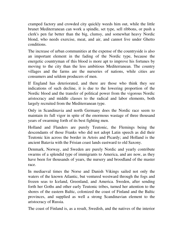cramped factory and crowded city quickly weeds him out, while the little brunet Mediterranean can work a spindle, set type, sell ribbons, or push a clerk's pen far better than the big, clumsy, and somewhat heavy Nordic blond, who needs exercise, meat, and air, and cannot live under Ghetto conditions.

The increase of urban communities at the expense of the countryside is also an important element in the fading of the Nordic type, because the energetic countryman of this blood is more apt to improve his fortunes by moving to the city than the less ambitious Mediterranean. The country villages and the farms are the nurseries of nations, while cities are consumers and seldom producers of men.

If England has deteriorated, and there are those who think they see indications of such decline, it is due to the lowering proportion of the Nordic blood and the transfer of political power from the vigorous Nordic aristocracy and middle classes to the radical and labor elements, both largely recruited from the Mediterranean type.

Only in Scandinavia and north Germany does the Nordic race seem to maintain its full vigor in spite of the enormous wastage of three thousand years of swarming forth of its best fighting men.

Holland and Flanders are purely Teutonic, the Flemings being the descendants of those Franks who did not adopt Latin speech as did their Teutonic kin across the border in Artois and Picardy; and Holland is the ancient Batavia with the Frisian coast lands eastward to old Saxony.

Denmark, Norway, and Sweden are purely Nordic and yearly contribute swarms of a splendid type of immigrants to America, and are now, as they have been for thousands of years, the nursery and broodland of the master race.

In mediaeval times the Norse and Danish Vikings sailed not only the waters of the known Atlantic, but ventured westward through the fogs and frozen seas to Iceland, Greenland, and America. Sweden, after sending forth her Goths and other early Teutonic tribes, turned her attention to the shores of the eastern Baltic, colonized the coast of Finland and the Baltic provinces, and supplied as well a strong Scandinavian element to the aristocracy of Russia.

The coast of Finland is, as a result, Swedish, and the natives of the interior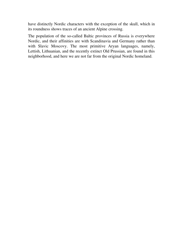have distinctly Nordic characters with the exception of the skull, which in its roundness shows traces of an ancient Alpine crossing.

The population of the so-called Baltic provinces of Russia is everywhere Nordic, and their affinities are with Scandinavia and Germany rather than with Slavic Moscovy. The most primitive Aryan languages, namely, Lettish, Lithuanian, and the recently extinct Old Prussian, are found in this neighborhood, and here we are not far from the original Nordic homeland.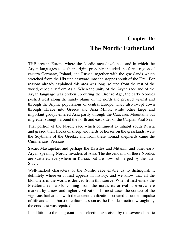### <span id="page-114-0"></span>[Chapter 16:](#page-114-0) [The Nordic Fatherland](#page-114-0)

THE area in Europe where the Nordic race developed, and in which the Aryan languages took their origin, probably included the forest region of eastern Germany, Poland, and Russia, together with the grasslands which stretched from the Ukraine eastward into the steppes south of the Ural. For reasons already explained this area was long isolated from the rest of the world, especially from Asia. When the unity of the Aryan race and of the Aryan language was broken up during the Bronze Age, the early Nordics pushed west along the sandy plains of the north and pressed against and through the Alpine populations of central Europe. They also swept down through Thrace into Greece and Asia Minor, while other large and important groups entered Asia partly through the Caucasus Mountains but in greater strength around the north and east sides of the Caspian-Aral Sea.

That portion of the Nordic race which continued to inhabit south Russia and grazed their flocks of sheep and herds of horses on the grasslands, were the Scythians of the Greeks, and from these nomad shepherds came the Cimmerians, Persians,

Sacae, Massagetae, and perhaps the Kassites and Mitanni, and other early Aryan-speaking Nordic invaders of Asia. The descendants of these Nordics are scattered everywhere in Russia, but are now submerged by the later Slavs.

Well-marked characters of the Nordic race enable us to distinguish it definitely wherever it first appears in history, and we know that all the blondness in the world is derived from this source. When it first enters the Mediterranean world coming from the north, its arrival is everywhere marked by a new and higher civilization. In most cases the contact of the vigorous barbarians with the ancient civilizations created a sudden impulse of life and an outburst of culture as soon as the first destruction wrought by the conquest was repaired.

In addition to the long continued selection exercised by the severe climatic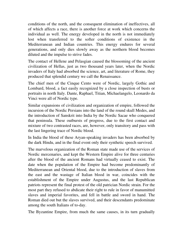conditions of the north, and the consequent elimination of ineffectives, all of which affects a race, there is another force at work which concerns the individual as well. The energy developed in the north is not immediately lost when transferred to the softer conditions of existence in the Mediterranean and Indian countries. This energy endures for several generations, and only dies slowly away as the northern blood becomes diluted and the impulse to strive fades.

The contact of Hellene and Pelasgian caused the blossoming of the ancient civilization of Hellas, just as two thousand years later, when the Nordic invaders of Italy had absorbed the science, art, and literature of Rome, they produced that splendid century we call the Renaissance.

The chief men of the Cinque Cento were of Nordic, largely Gothic and Lombard, blood, a fact easily recognized by a close inspection of busts or portraits in north Italy. Dante, Raphael, Titian, Michaelangelo, Leonardo da Vinci were all of Nordic type.

Similar expansions of civilization and organization of empire, followed the incursion of the Nordic Persians into the land of the round skull Medes, and the introduction of Sanskrit into India by the Nordic Sacae who conquered that peninsula. These outbursts of progress, due to the first contact and mixture of two contrasted races, are, however, only transitory and pass with the last lingering trace of Nordic blood.

In India the blood of these Aryan-speaking invaders has been absorbed by the dark Hindu, and in the final event only their synthetic speech survived.

The marvelous organization of the Roman state made use of the services of Nordic mercenaries, and kept the Western Empire alive for three centuries after the blood of the ancient Romans had virtually ceased to exist. The date when the population of the Empire had become predominantly of Mediterranean and Oriental blood, due to the introduction of slaves from the east and the wastage of Italian blood in war, coincides with the establishment of the Empire under Augustus, and the last Republican patriots represent the final protest of the old patrician Nordic strain. For the most part they refused to abdicate their right to rule in favor of manumitted slaves and imperial favorites, and fell in battle and sword in hand. The Roman died out but the slaves survived, and their descendants predominate among the south Italians of to-day.

The Byzantine Empire, from much the same causes, in its turn gradually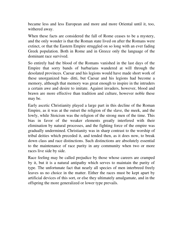became less and less European and more and more Oriental until it, too, withered away.

When these facts are considered the fall of Rome ceases to be a mystery, and the only wonder is that the Roman state lived on after the Romans were extinct, or that the Eastern Empire struggled on so long with an ever fading Greek population. Both in Rome and in Greece only the language of the dominant race survived.

So entirely had the blood of the Romans vanished in the last days of the Empire that sorry bands of barbarians wandered at will through the desolated provinces. Caesar and his legions would have made short work of these unorganized ban- ditti, but Caesar and his legions had become a memory, although that memory was great enough to inspire in the intruders a certain awe and desire to imitate. Against invaders, however, blood and brawn are more effective than tradition and culture, however noble these may be.

Early ascetic Christianity played a large part in this decline of the Roman Empire, as it was at the outset the religion of the slave, the meek, and the lowly, while Stoicism was the religion of the strong men of the time. This bias in favor of the weaker elements greatly interfered with their elimination by natural processes, and the fighting force of the empire was gradually undermined. Christianity was in sharp contrast to the worship of tribal deities which preceded it, and tended then, as it does now, to break down class and race distinctions. Such distinctions are absolutely essential to the maintenance of race purity in any community when two or more races live side by side.

Race feeling may be called prejudice by those whose careers are cramped by it, but it is a natural antipathy which serves to maintain the purity of type. The unfortunate fact that nearly all species of men interbreed freely leaves us no choice in the matter. Either the races must be kept apart by artificial devices of this sort, or else they ultimately amalgamate, and in the offspring the more generalized or lower type prevails.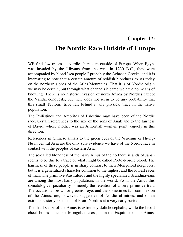#### <span id="page-117-0"></span>[Chapter 17:](#page-117-0) [The Nordic Race Outside of Europe](#page-117-0)

WE find few traces of Nordic characters outside of Europe. When Egypt was invaded by the Libyans from the west in 1230 B.C., they were accompanied by blond "sea people," probably the Achaean Greeks, and it is interesting to note that a certain amount of reddish blondness exists today on the northern slopes of the Atlas Mountains. That it is of Nordic origin we may be certain, but through what channels it came we have no means of knowing. There is no historic invasion of north Africa by Nordics except the Vandal conquests, but there does not seem to be any probability that this small Teutonic tribe left behind it any physical trace in the native population.

The Philistines and Amorites of Palestine may have been of the Nordic race. Certain references to the size of the sons of Anak and to the fairness of David, whose mother was an Amoritish woman, point vaguely in this direction.

References in Chinese annals to the green eyes of the Wu-suns or Hiung-Nu in central Asia are the only sure evidence we have of the Nordic race in contact with the peoples of eastern Asia.

The so-called blondness of the hairy Ainus of the northern islands of Japan seems to be due to a trace of what might be called Proto-Nordic blood. The hairiness of these people is in sharp contrast to their Mongoloid neighbors, but it is a generalized character common to the highest and the lowest races of man. The primitive Australoids and the highly specialized Scandinavians are among the most hairy populations in the world. So in the Ainus this somatological peculiarity is merely the retention of a very primitive trait. The occasional brown or greenish eye, and the sometimes fair complexion of the Ainus, are, however, suggestive of Nordic affinities, and of an extreme easterly extension of Proto-Nordics at a very early period.

The skull shape of the Ainus is extremely dolichocephalic, while the broad cheek bones indicate a Mongolian cross, as in the Esquimaux. The Ainus,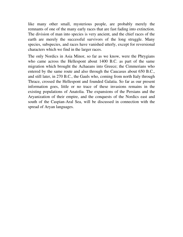like many other small, mysterious people, are probably merely the remnants of one of the many early races that are fast fading into extinction. The division of man into species is very ancient, and the chief races of the earth are merely the successful survivors of the long struggle. Many species, subspecies, and races have vanished utterly, except for reversional characters which we find in the larger races.

The only Nordics in Asia Minor, so far as we know, were the Phrygians who came across the Hellespont about 1400 B.C. as part of the same migration which brought the Achaeans into Greece; the Cimmerians who entered by the same route and also through the Caucasus about 650 B.C., and still later, in 270 B.C., the Gauls who, coming from north Italy through Thrace, crossed the Hellespont and founded Galatia. So far as our present information goes, little or no trace of these invasions remains in the existing populations of Anatolia. The expansions of the Persians and the Aryanization of their empire, and the conquests of the Nordics east and south of the Caspian-Aral Sea, will be discussed in connection with the spread of Aryan languages.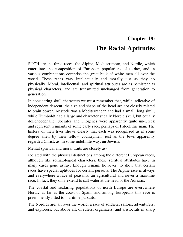#### <span id="page-119-0"></span>[Chapter 18:](#page-119-0) [The Racial Aptitudes](#page-119-0)

SUCH are the three races, the Alpine, Mediterranean, and Nordic, which enter into the composition of European populations of to-day, and in various combinations comprise the great bulk of white men all over the world. These races vary intellectually and morally just as they do physically. Moral, intellectual, and spiritual attributes are as persistent as physical characters, and are transmitted unchanged from generation to generation.

In considering skull characters we must remember that, while indicative of independent descent, the size and shape of the head are not closely related to brain power. Aristotle was a Mediterranean and had a small, long skull, while Humboldt had a large and characteristically Nordic skull, but equally dolichocephalic. Socrates and Diogenes were apparently quite un-Greek and represent remnants of some early race, perhaps of Paleolithic man. The history of their lives shows clearly that each was recognized as in some degree alien by their fellow countrymen, just as the Jews apparently regarded Christ, as, in some indefinite way, un-Jewish.

Mental spiritual and moral traits are closely as

sociated with the physical distinctions among the different European races, although like somatological characters, these spiritual attributes have in many cases gone astray. Enough remain, however, to show that certain races have special aptitudes for certain pursuits. The Alpine race is always and everywhere a race of peasants, an agricultural and never a maritime race. In fact, they only extend to salt water at the head of the Adriatic.

The coastal and seafaring populations of north Europe are everywhere Nordic as far as the coast of Spain, and among Europeans this race is preeminently fitted to maritime pursuits.

The Nordics are, all over the world, a race of soldiers, sailors, adventurers, and explorers, but above all, of rulers, organizers, and aristocrats in sharp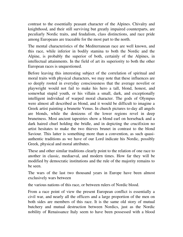contrast to the essentially peasant character of the Alpines. Chivalry and knighthood, and their still surviving but greatly impaired counterparts, are peculiarly Nordic traits, and feudalism, class distinctions, and race pride among Europeans are traceable for the most part to the north.

The mental characteristics of the Mediterranean race are well known, and this race, while inferior in bodily stamina to both the Nordic and the Alpine, is probably the superior of both, certainly of the Alpines, in intellectual attainments. In the field of art its superiority to both the other European races is unquestioned.

Before leaving this interesting subject of the correlation of spiritual and moral traits with physical characters, we may note that these influences are so deeply rooted in everyday consciousness that the average novelist or playwright would not fail to make his hero a tall, blond, honest, and somewhat stupid youth, or his villain a small, dark, and exceptionally intelligent individual of warped moral character. The gods of Olympus were almost all described as blond, and it would be difficult to imagine a Greek artist painting a brunette Venus. In church pictures to-day all angels are blonds, while the denizens of the lower regions revel in deep brunetness. Most ancient tapestries show a blond earl on horseback and a dark haired churl holding the bridle, and in depicting the crucifixion no artist hesitates to make the two thieves brunet in contrast to the blond Saviour. This latter is something more than a convention, as such quasiauthentic traditions as we have of our Lord indicate his Nordic, possibly Greek, physical and moral attributes.

These and other similar traditions clearly point to the relation of one race to another in classic, mediaeval, and modern times. How far they will be modified by democratic institutions and the rule of the majority remains to be seen.

The wars of the last two thousand years in Europe have been almost exclusively wars between

the various nations of this race, or between rulers of Nordic blood.

From a race point of view the present European conflict is essentially a civil war, and nearly all the officers and a large proportion of the men on both sides are members of this race. It is the same old story of mutual butchery and mutual destruction between Nordics, just as the Nordic nobility of Renaissance Italy seem to have been possessed with a blood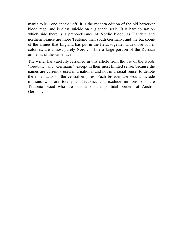mania to kill one another off. It is the modern edition of the old berserker blood rage, and is class suicide on a gigantic scale. It is hard to say on which side there is a preponderance of Nordic blood, as Flanders and northern France are more Teutonic than south Germany, and the backbone of the armies that England has put in the field, together with those of her colonies, are almost purely Nordic, while a large portion of the Russian armies is of the same race.

The writer has carefully refrained in this article from the use of the words "Teutonic" and "Germanic"' except in their most limited sense, because the names are currently used in a national and not in a racial sense, to denote the inhabitants of the central empires. Such broader use would include millions who are totally un-Teutonic, and exclude millions, of pure Teutonic blood who are outside of the political borders of Austro-Germany.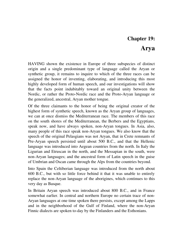# <span id="page-122-0"></span>[Chapter 19:](#page-122-0) [Arya](#page-122-0)

HAVING shown the existence in Europe of three subspecies of distinct origin and a single predominant type of language called the Aryan or synthetic group, it remains to inquire to which of the three races can be assigned the honor of inventing, elaborating, and introducing this most highly developed form of human speech, and our investigations will show that the facts point indubitably toward an original unity between the Nordic, or rather the Proto-Nordic race and the Proto-Aryan language or the generalized, ancestral, Aryan mother tongue.

Of the three claimants to the honor of being the original creator of the highest form of synthetic speech, known as the Aryan group of languages, we can at once dismiss the Mediterranean race. The members of this race on the south shores of the Mediterranean, the Berbers and the Egyptians, speak now, and have always spoken, non-Aryan tongues. In Asia, also, many people of this race speak non-Aryan tongues. We also know that the speech of the original Pelasgians was not Aryan, that in Crete remnants of Pre-Aryan speech persisted until about 500 B.C., and that the Hellenic language was introduced into Aegean countries from the north. In Italy the Ligurian and Etruscan in the north, and the Messapian in the south, were non-Aryan languages; and the ancestral form of Latin speech in the guise of Umbrian and Oscan came through the Alps from the countries beyond.

Into Spain the Celtiberian language was introduced from the north about 600 B.C., but with so little force behind it that it was unable to entirely replace the non-Aryan language of the aborigines, which continues to this very day as Basque.

In Britain Aryan speech was introduced about 800 B.C., and in France somewhat earlier. In central and northern Europe no certain trace of non-Aryan languages at one time spoken there persists, except among the Lapps and in the neighborhood of the Gulf of Finland, where the non-Aryan Finnic dialects are spoken to-day by the Finlanders and the Esthonians.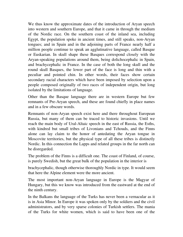We thus know the approximate dates of the introduction of Aryan speech into western and southern Europe, and that it came in through the medium of the Nordic race. On the southern coast of the inland sea, including Egypt, the population spoke in ancient times, and still speaks, non-Aryan tongues; and in Spain and in the adjoining parts of France nearly half a million people continue to speak an agglutinative language, called Basque or Euskarian. In skull shape these Basques correspond closely with the Aryan-speaking populations around them, being dolichocephalic in Spain, and brachycephalic in France. In the case of both the long skull and the round skull Basques, the lower part of the face is long and thin with a peculiar and pointed chin. In other words, their faces show certain secondary racial characters which have been imposed by selection upon a people composed originally of two races of independent origin, but long isolated by the limitations of language.

Other than the Basque language there are in western Europe but few remnants of Pre-Aryan speech, and these are found chiefly in place names and in a few obscure words.

Remnants of non-Aryan speech exist here and there throughout European Russia, but many of them can be traced to historic invasions. Until we reach the main body of Ural-Altaic speech in the east of Russia, the Esths, with kindred but small tribes of Livonians and Tchouds, and the Finns alone can lay claim to the honor of antedating the Aryan tongue in Moscovite territories, but the physical type of all these tribes is distinctly Nordic. In this connection the Lapps and related groups in the far north can be disregarded.

The problem of the Finns is a difficult one. The coast of Finland, of course, is purely Swedish, but the great bulk of the population in the interior is

brachycephalic, though otherwise thoroughly Nordic in type. It would seem that here the Alpine element were the more ancient.

The most important non-Aryan language in Europe is the Magyar of Hungary, but this we know was introduced from the eastward at the end of the ninth century.

In the Balkans the language of the Turks has never been a vernacular as it is in Asia Minor. In Europe it was spoken only by the soldiers and the civil administrators, and by very sparse colonies of Turkish settlers. The mania of the Turks for white women, which is said to have been one of the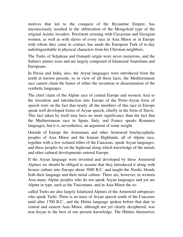motives that led to the conquest of the Byzantine Empire, has unconsciously resulted in the obliteration of the Mongoloid type of the original Asiatic invaders. Persistent crossing with Circassian and Georgian women, as well as with slaves of every race in Asia Minor or in Europe with whom they came in contact, has made the European Turk of to-day indistinguishable in physical characters from his Christian neighbors.

The Turks of Seljukian and Osmanli origin were never numerous, and the Sultan's armies were and are largely composed of Islamized Anatolians and Europeans.

In Persia and India, also, the Aryan languages were introduced from the north at known periods, so in view of all these facts, the Mediterranean race cannot claim the honor of either the invention or dissemination of the synthetic languages.

The chief claim of the Alpine race of central Europe and western Asia to the invention and introduction into Europe of the Proto-Aryan form of speech rests on the fact that nearly all the members of this race in Europe speak well developed forms of Aryan speech, chiefly in the form of Slavic. This fact taken by itself may have no more significance than the fact that the Mediterranean race in Spain, Italy, and France speaks Romance languages, but it is, nevertheless, an argument of some weight.

Outside of Europe the Armenians and other Armenoid brachycephalic peoples of Asia Minor and the Iranian Highlands, all of Alpine race, together with a few isolated tribes of the Caucasus, speak Aryan languages, and these peoples lie on the highroad along which knowledge of the metals and other cultural developments entered Europe.

If the Aryan language were invented and developed by these Armenoid Alpines we should be obliged to assume that they introduced it along with bronze culture into Europe about 3000 B.C. and taught the Nordic blonds both their language and their metal culture. There are, however, in western Asia many Alpine peoples who do not speak Aryan languages and yet are Alpine in type, such as the Turcomans, and in Asia Minor the so-

called Turks are also largely Islamized Alpines of the Armenoid subspecies who speak Turki. There is no trace of Aryan speech south of the Caucasus until after 1700 B.C., and the Hittite language spoken before that date in central and eastern Asia Minor, although not yet clearly deciphered, was non-Aryan to the best of our present knowledge. The Hittites themselves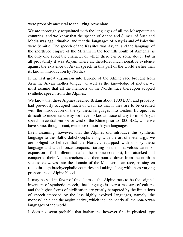were probably ancestral to the living Armenians.

We are thoroughly acquainted with the languages of all the Mesopotamian countries, and we know that the speech of Accad and Sumer, of Susa and Media was agglutinative, and that the languages of Assyria and of Palestine were Semitic. The speech of the Kassites was Aryan, and the language of the shortlived empire of the Mitanni in the foothills south of Armenia, is the only one about the character of which there can be some doubt, but in all probability it was Aryan. There is, therefore, much negative evidence against the existence of Aryan speech in this part of the world earlier than its known introduction by Nordics.

If the last great expansion into Europe of the Alpine race brought from Asia the Aryan mother tongue, as well as the knowledge of metals, we must assume that all the members of the Nordic race thereupon adopted synthetic speech from the Alpines.

We know that these Alpines reached Britain about 1800 B.C., and probably had previously occupied much of Gaul, so that if they are to be credited with the introduction of the synthetic languages into western Europe, it is difiicult to understand why we have no known trace of any form of Aryan speech in central Europe or west of the Rhine prior to 1000 B.C., while we have some, though scant, evidence of non-Aryan languages.

Even assuming, however, that the Alpines did introduce this synthetic language to the Baltic dolichocephs along with the art of metallurgy, we are obliged to believe that the Nordics, equipped with this synthetic language and with bronze weapons, starting on their marvelous career of expansion a full millennium after the Alpine conquest, first attacked and conquered their Alpine teachers and then poured down from the north in successive waves into the domain of the Mediterranean race, passing en route through brachycephalic countries and taking along with them varying proportions of Alpine blood.

It may be said in favor of this claim of the Alpine race to be the original inventors of synthetic speech, that language is ever a measure of culture, and the higher forms of civilization are greatly hampered by the limitations of speech imposed by the less highly evolved languages, namely, the monosyllabic and the agglutinative, which include nearly all the non-Aryan languages of the world.

It does not seem probable that barbarians, however fine in physical type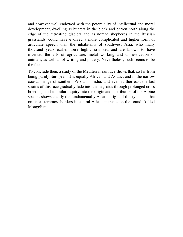and however well endowed with the potentiality of intellectual and moral development, dwelling as hunters in the bleak and barren north along the edge of the retreating glaciers and as nomad shepherds in the Russian grasslands, could have evolved a more complicated and higher form of articulate speech than the inhabitants of southwest Asia, who many thousand years earlier were highly civilized and are known to have invented the arts of agriculture, metal working and domestication of animals, as well as of writing and pottery. Nevertheless, such seems to be the fact.

To conclude then, a study of the Mediterranean race shows that, so far from being purely European, it is equally African and Asiatic, and in the narrow coastal fringe of southern Persia, in India, and even farther east the last strains of this race gradually fade into the negroids through prolonged cross breeding, and a similar inquiry into the origin and distribution of the Alpine species shows clearly the fundamentally Asiatic origin of this type, and that on its easternmost borders in central Asia it marches on the round skulled Mongolian.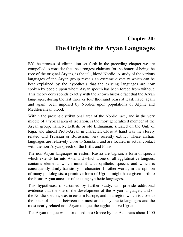# <span id="page-127-0"></span>[Chapter 20:](#page-127-0) [The Origin of the Aryan Languages](#page-127-0)

BY the process of elimination set forth in the preceding chapter we are compelled to consider that the strongest claimant for the honor of being the race of the original Aryans, is the tall, blond Nordic. A study of the various languages of the Aryan group reveals an extreme diversity which can be best explained by the hypothesis that the existing languages are now spoken by people upon whom Aryan speech has been forced from without. This theory corresponds exactly with the known historic fact that the Aryan languages, during the last three or four thousand years at least, have, again and again, been imposed by Nordics upon populations of Alpine and Mediterranean blood.

Within the present distributional area of the Nordic race, and in the very middle of a typical area of isolation, is the most generalized member of the Aryan group, namely, Lettish, or old Lithuanian, situated on the Gulf of Riga, and almost Proto-Aryan in character. Close at hand was the closely related Old Prussian or Borussian, very recently extinct. These archaic languages are relatively close to Sanskrit, and are located in actual contact with the non-Aryan speech of the Esths and Finns.

The non-Aryan languages in eastern Russia are Ugrian, a form of speech which extends far into Asia, and which alone of all agglutinative tongues, contains elements which unite it with synthetic speech, and which is consequently dimly transitory in character. In other words, in the opinion of many philologists, a primitive form of Ugrian might have given birth to the Proto-Aryan ancestor of existing synthetic languages.

This hypothesis, if sustained by further study, will provide additional evidence that the site of the development of the Aryan languages, and of the Nordic species, was in eastern Europe, and in a region which is close to the place of contact between the most archaic synthetic languages and the most nearly related non-Aryan tongue, the agglutinative Ugrian.

The Aryan tongue was introduced into Greece by the Achaeans about 1400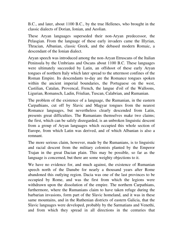B.C., and later, about 1100 B.C., by the true Hellenes, who brought in the classic dialects of Dorian, Ionian, and Aeolian.

These Aryan languages superseded their non-Aryan predecessor, the Pelasgian. From the language of these early invaders came the Illyrian, Thracian, Albanian, classic Greek, and the debased modern Romaic, a descendant of the Ionian dialect.

Aryan speech was introduced among the non-Aryan Etruscans of the Italian Peninsula by the Umbrians and Oscans about 1100 B.C. These languages were ultimately succeeded by Latin, an offshoot of these early Aryan tongues of northern Italy which later spread to the uttermost confines of the Roman Empire. Its descendants to-day are the Romance tongues spoken within the ancient imperial boundaries, the Portuguese on the west, Castilian, Catalan, Provencal, French, the langue d'oil of the Walloons, Ligurian, Romansch, Ladin, Friulian, Tuscan, Calabrian, and Rumanian.

The problem of the existence of a language, the Rumanian, in the eastern Carpathians, cut off by Slavic and Magyar tongues from the nearest Romance languages, but nevertheless clearly descended from Latin, presents great difficulties. The Rumanians themselves make two claims; the first, which can be safely disregarded, is an unbroken linguistic descent from a group of Aryan languages which occupied this whole section of Europe, from which Latin was derived, and of which Albanian is also a remnant.

The more serious claim, however, made by the Rumanians, is to linguistic and racial descent from the military colonists planted by the Emperor Trajan in the great Dacian plain. This may be possible, so far as the language is concerned, but there are some weighty objections to it.

We have no evidence for, and much against, the existence of Rumanian speech north of the Danube for nearly a thousand years after Rome abandoned this outlying region. Dacia was one of the last provinces to be occupied by Rome, and was the first from which the legions were withdrawn upon the dissolution of the empire. The northern Carpathians, furthermore, where the Rumanians claim to have taken refuge during the barbarian invasions, form part of the Slavic homeland, and it was in these same mountains, and in the Ruthenian districts of eastern Galicia, that the Slavic languages were developed, probably by the Sarmatians and Venethi, and from which they spread in all directions in the centuries that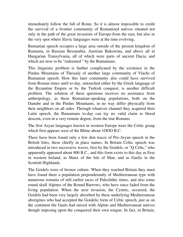immediately follow the fall of Rome. So it is almost impossible to credit the survival of a frontier community of Romanized natives situated not only in the path of the great invasions of Europe-from the east, but also in the very spot where Slavic languages were at the time evolving.

Rumanian speech occupies a large area outside of the present kingdom of Rumania, in Russian Bessarabia, Austrian Bukowina, and above all in Hungarian Transylvania, all of which were parts of ancient Dacia, and which are now to be "redeemed " by the Rumanians.

This linguistic problem is further complicated by the existence in the Pindus Mountains of Thessaly of another large community of Vlachs of Rumanian speech. How this later community also could have survived from Roman times until to-day, untouched either by the Greek language of the Byzantine Empire or by the Turkish conquest, is another difficult problem. The solution of these questions receives no assistance from anthropology, as these Rumanian-speaking populations, both on the Danube and in the Pindus Mountains, in no way differ physically from their neighbors on all sides. Through whatever channel they acquired their Latin speech, the Rumanians to-day can lay no valid claim to blood descent, even in a very remote degree, from the true Romans.

The first Aryan languages known in western Europe were the Celtic group which first appears west of the Rhine about 1OOO B.C.

There have been found only a few dim traces of Pre-Aryan speech in the British Isles, these chiefly in place names. In Britain Celtic speech was introduced in two successive waves, first by the Goidels, or "Q Celts," who apparently appeared about 800 B.C., and this form exists to this day as Erse in western Ireland, as Manx of the Isle of Man, and as Gaelic in the Scottish Highlands.

The Goidels were of bronze culture. When they reached Britain they must have found there a population preponderantly of Mediterranean type with numerous remains of still earlier races of Paleolithic times, and also some round skull Alpines of the Round Barrows, who have since faded from the living population. When the next invasion, the Cymric, occurred, the Goidels had been very largely absorbed by these underlying Mediterranean aborigines who had accepted the Goidelic form of Celtic speech, just as on the continent the Gauls had mixed with Alpine and Mediterranean natives though imposing upon the conquered their own tongue. In fact, in Britain,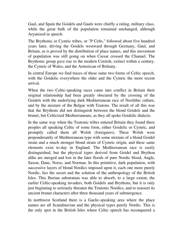Gaul, and Spain the Goidels and Gauls were chiefly a ruling, military class, while the great bulk of the population remained unchanged, although Aryanized in speech.

The Brythonic or Cymric tribes, or "P Celts," followed about five hundred years later, driving the Goidels westward through Germany, Gaul, and Britain, as is proved by the distribution of place names, and this movement of population was still going on when Csesar crossed the Channel. The Brythonic group gave rise to the modern Cornish, extinct within a century, the Cymric of Wales, and the Armorican of Brittany.

In central Europe we find traces of these same two forms of Celtic speech, with the Goidelic everywhere the older and the Cymric the more recent arrival.

When the two Celtic-speaking races came into conflict in Britain their original relationship had been greatly obscured by the crossing of the Goidels with the underlying dark Mediterranean race of Neolithic culture, and by the mixture of the Belgae with Teutons. The result of all this was that the Brythons did not distinguish between the blond Goidels and the brunet, but Celticized Mediterraneans, as they all spoke Goidelic dialects.

In the same way when the Teutonic tribes entered Britain they found there peoples all speaking Celtic of some form, either Goidelic or Cymric, and promptly called them all Welsh (foreigners). These Welsh were preponderantly of Mediterranean type with some mixture of a blond Goidel strain and a much stronger blond strain of Cymric origin, and these same elements exist to-day in England. The Mediterranean race is easily distinguished, but the physical types derived from Goidel and Brython alike are merged and lost in the later floods of pure Nordic blood, Angle, Saxon, Dane, Norse, and Norman. In this primitive, dark population, with successive layers of blond Nordics imposed upon it, each one more purely Nordic, lies the secret and the solution of the anthropology of the British Isles. This Iberian substratum was able to absorb, to a large extent, the earlier Celtic-speaking invaders, both Goidels and Brythons, but it is only just beginning to seriously threaten the Teutonic Nordics, and to reassert its ancient brunet characters after three thousand years of submergence.

In northwest Scotland there is a Gaelic-speaking area where the place names are all Scandinavian and the physical types purely Nordic. This is the only spot in the British Isles where Celtic speech has reconquered a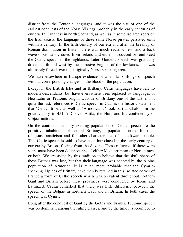district from the Teutonic languages, and it was the site of one of the earliest conquests of the Norse Vikings, probably in the early centuries of our era. In Caithness in north Scotland, as well as in some isolated spots on the Irish coasts, the language of these same Norse pirates persisted until within a century. In the fifth century of our era and after the breakup of Roman domination in Britain there was much racial unrest, and a back wave of Goidels crossed from Ireland and either introduced or reinforced the Gaelic speech in the highlands. Later, Goidelic speech was gradually driven north and west by the intrusive English of the lowlands, and was ultimately forced over this originally Norse-speaking area.

We have elsewhere in Europe evidence of a similar shiftings of speech without corresponding changes in the blood of the population.

Except in the British Isles and in Brittany, Celtic languages have left no modern descendants, but have everywhere been replaced by languages of Neo-Latin or Teutonic origin. Outside of Brittany one of the last, if not quite the last, references to Celtic speech in Gaul is the historic statement that "Celtic" tribes, as well as "Armoricans," took part at Chalons in the great victory in 451 A.D. over Attila, the Hun, and his confederacy of subject nations.

On the continent the only existing populations of Celtic speech are the primitive inhabitants of central Brittany, a population noted for their religious fanaticism and for other characteristics of a backward people. This Celtic speech is said to have been introduced in the early century of our era by Britons fleeing from the Saxons. These refugees, if there were such, must have been dolichocephs of either Mediterranean or Nordic race, or both. We are asked by this tradition to believe that the skull shape of these Britons was lost, but that their language was adopted by the Alpine population of Armorica. It is much more probable that the Cymricspeaking Alpines of Brittany have merely retained in this isolated corner of France a form of Celtic speech which was prevalent throughout northern Gaul and Britain before these provinces were conquered by Rome and Latinized. Caesar remarked that there was little difference between the speech of the Belgae in northern Gaul and in Britain. In both cases the speech was Cymric.

Long after the conquest of Gaul by the Goths and Franks, Teutonic speech was predominant among the ruling classes, and by the time it succumbed to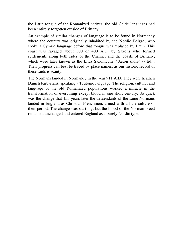the Latin tongue of the Romanized natives, the old Celtic languages had been entirely forgotten outside of Brittany.

An example of similar changes of language is to be found in Normandy where the country was originally inhabited by the Nordic Belgae, who spoke a Cymric language before that tongue was replaced by Latin. This coast was ravaged about 300 or 400 A.D. by Saxons who formed settlements along both sides of the Channel and the coasts of Brittany, which were later known as the Litus Saxonicum ["Saxon shore" -- Ed.]. Their progress can best be traced by place names, as our historic record of these raids is scanty.

The Normans landed in Normandy in the year 911 A.D. They were heathen Danish barbarians, speaking a Teutonic language. The religion, culture, and language of the old Romanized populations worked a miracle in the transformation of everything except blood in one short century. So quick was the change that 155 years later the descendants of the same Normans landed in England as Christian Frenchmen, armed with all the culture of their period. The change was startling, but the blood of the Norman breed remained unchanged and entered England as a purely Nordic type.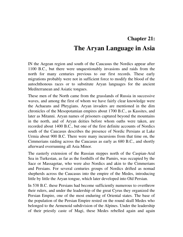# <span id="page-133-0"></span>[Chapter 21:](#page-133-0) [The Aryan Language in Asia](#page-133-0)

IN the Aegean region and south of the Caucasus the Nordics appear after 1100 B.C., but there were unquestionably invasions and raids from the north for many centuries previous to our first records. These early migrations probably were not in sufficient force to modify the blood of the autochthonous races or to substitute Aryan languages for the ancient Mediterranean and Asiatic tongues.

These men of the North came from the grasslands of Russia in successive waves, and among the first of whom we have fairly clear knowledge were the Achaeans and Phrygians. Aryan invaders are mentioned in the dim chronicles of the Mesopotamian empires about 1700 B.C., as Kassites, and later as Mitanni. Aryan names of prisoners captured beyond the mountains in the north, and of Aryan deities before whom oaths were taken, are recorded about 1400 B.C., but one of the first definite accounts of Nordics south of the Caucasus describes the presence of Nordic Persians at Lake Urmia about 900 B.C. There were many incursions from that time on, the Cimmerians raiding across the Caucasus as early as 680 B.C., and shortly afterward overrunning all Asia Minor.

The easterly extension of the Russian steppes north of the Caspian-Aral Sea in Turkestan, as far as the foothills of the Pamirs, was occupied by the Sace or Massagetae, who were also Nordics and akin to the Cimmerians and Persians. For several centuries groups of Nordics drifted as nomad shepherds across the Caucasus into the empire of the Medes, introducing little by little the Aryan tongue, which later developed into Old Persian.

In 538 B.C. these Persians had become sufficiently numerous to overthrow their rulers, and under the leadership of the great Cyrus they organized the Persian Empire, one of the most enduring of Oriental states. The base of the population of the Persian Empire rested on the round skull Medes who belonged to the Armenoid subdivision of the Alpines. Under the leadership of their priestly caste of Magi, these Medes rebelled again and again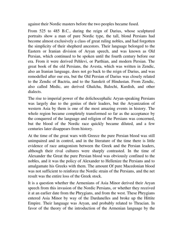against their Nordic masters before the two peoples became fused.

From 525 to 485 B.C., during the reign of Darius, whose sculptured portraits show a man of pure Nordic type, the tall, blond Persians had become almost exclusively a class of great ruling nobles, and had forgotten the simplicity of their shepherd ancestors. Their language belonged to the Eastern or Iranian division of Aryan speech, and was known as Old Persian, which continued to be spoken until the fourth century before our era. From it were derived Pehlevi, or Parthian, and modern Persian. The great book of the old Persians, the Avesta, which was written in Zendic, also an Iranian language, does not go back to the reign of Darius, and was remodelled after our era, but the Old Persian of Darius was closely related to the Zendic of Bactria, and to the Sanskrit of Hindustan. From Zendic, also called Medic, are derived Ghalcha, Balochi, Kurdish, and other dialects.

The rise to imperial power of the dolichocephalic Aryan-speaking Persians was largely due to the genius of their leaders, but the Aryanization of western Asia by them is one of the most amazing events in history. The whole region became completely transformed so far as the acceptance by the conquered of the language and religion of the Persians was concerned, but the blood of the Nordic race quickly became diluted, and a few centuries later disappears from history.

At the time of the great wars with Greece the pure Persian blood was still unimpaired and in control, and in the literature of the time there is little evidence of race antagonism between the Greek and the Persian leaders, although their rival cultures were sharply contrasted. In the time of Alexander the Great the pure Persian blood was obviously confined to the nobles, and it was the policy of Alexander to Hellenize the Persians and to amalgamate his Greeks with them. The amount Of pure Macedonian blood was not sufficient to reinforce the Nordic strain of the Persians, and the net result was the entire loss of the Greek stock.

It is a question whether the Armenians of Asia Minor derived their Aryan speech from this invasion of the Nordic Persians, or whether they received it at an earlier date from the Phrygians, and from the west. These Phrygians entered Asia Minor by way of the Dardanelles and broke up the Hittite Empire. Their language was Aryan, and probably related to Thracian. In favor of the theory of the introduction of the Armenian language by the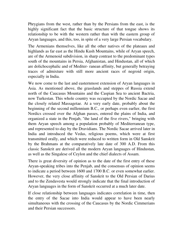Phrygians from the west, rather than by the Persians from the east, is the highly significant fact that the basic structure of that tongue shows its relationship to be with the western rather than with the eastern group of Aryan languages, and this, too, in spite of a very large Persian vocabulary.

The Armenians themselves, like all the other natives of the plateaux and highlands as far east as the Hindu Kush Mountains, while of Aryan speech, are of the Armenoid subdivision, in sharp contrast to the predominant types south of the mountains in Persia, Afghanistan, and Hindustan, all of which are dolichocephalic and of Mediter-ranean affinity, but generally betraying traces of admixture with still more ancient races of negroid origin, especially in India.

We now come to the last and easternmost extension of Aryan languages in Asia. As mentioned above, the grasslands and steppes of Russia extend north of the Caucasus Mountains and the Caspian Sea to ancient Bactria, now Turkestan. This whole country was occupied by the Nordic Sacae and the closely related Massagetae. At a very early date, probably about the beginning of the second millennium B.C., or perhaps even earlier, the first Nordics crossed over the Afghan passes, entered the plains of India, and organized a state in the Penjab, "the land of the five rivers," bringing with them Aryan speech among a population probably of Mediterranean type, and represented to-day by the Dravidians. The Nordic Sacae arrived later in India and introduced the Vedas, religious poems, which were at first transmitted orally, and which were reduced to written form in Old Sanskrit by the Brahmans at the comparatively late date of 300 A.D. From this classic Sanskrit are derived all the modern Aryan languages of Hindustan, as well as the Singalese of Ceylon and the chief dialects of Assam.

There is great diversity of opinion as to the date of the first entry of these Aryan-speaking tribes into the Penjab, and the consensus of opinion seems to indicate a period between 1600 and 1700 B.C. or even somewhat earlier. However, the very close affinity of Sanskrit to the Old Persian of Darius and to the Zendavesta would strongly indicate that the final introduction of Aryan languages in the form of Sanskrit occurred at a much later date.

If close relationship between languages indicates correlation in time, then the entry of the Sacae into India would appear to have been nearly simultaneous with the crossing of the Caucasus by the Nordic Cimmerians and their Persian successors.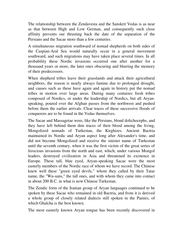The relationship between the Zendavesta and the Sanskrit Vedas is as near as that between High and Low German, and consequently such close affinity prevents our thrusting back the date of the separation of the Persians and the Sacae more than a few centuries.

A simultaneous migration southward of nomad shepherds on both sides of the Caspian-Aral Sea would naturally occur in a general movement southward, and such migrations may have taken place several times. In all probability these Nordic invasions occurred one after another for a thousand years or more, the later ones obscuring and blurring the memory of their predecessors.

When shepherd tribes leave their grasslands and attack their agricultural neighbors, the reason is nearly always famine due to prolonged drought, and causes such as these have again and again in history put the nomad tribes in motion over large areas. During many centuries fresh tribes composed of Nordics, or under the leadership of Nordics, but all Aryanspeaking, poured over the Afghan passes from the northwest and pushed before them the earlier arrivals. Clear traces of these successive floods of conquerors are to be found in the Vedas themselves.

The Sacae and Massagetae were, like the Persians, blond dolichocephs, and they have left behind them dim traces of their blood among the living, Mongolized nomads of Turkestan, the Kirghizes. Ancient Bactria maintained its Nordic and Aryan aspect long after Alexander's time, and did not become Mongolized and receive the sinister name of Turkestan until the seventh century, when it was the first victim of the great series of ferocious invasions from the north and east, which, under various Mongol leaders, destroyed civilization in Asia and threatened its existence in Europe. These tall, blue eyed, Aryan-speaking Sacae were the most easterly members of the Nordic race of whom we have record. The Chinese knew well these "green eyed devils," whom they called by their Tatar name, the "Wu-suns," the tall ones, and with whom they came into contact in about 200 B.C. in what is now Chinese Turkestan.

The Zendic form of the Iranian group of Aryan languages continued to be spoken by these Sacae who remained in old Bactria, and from it is derived a whole group of closely related dialects still spoken in the Pamirs, of which Ghalcha is the best known.

The most easterly known Aryan tongue has been recently discovered in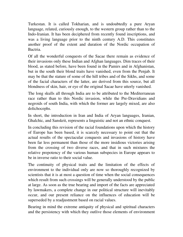Turkestan. It is called Tokharian, and is undoubtedly a pure Aryan language, related, curiously enough, to the western group rather than to the Indo-Iranian. It has been deciphered from recently found inscriptions, and was a living language prior to the ninth century A.D. This constitutes another proof of the extent and duration of the Nordic occupation of Bactria.

Of all the wonderful conquests of the Sacae there remain as evidence of their invasions only these Indian and Afghan languages. Dim traces of their blood, as stated before, have been found in the Pamirs and in Afghanistan, but in the south their blond traits have vanished, even from the Penjab. It may be that the stature of some of the hill tribes and of the Sikhs, and some of the facial characters of the latter, are derived from this source, but all blondness of skin, hair, or eye of the original Sacae have utterly vanished.

The long skulls all through India are to be attributed to the Mediterranean race rather than to this Nordic invasion, while the Pre-Dravidians and negroids of south India, with which the former are largely mixed, are also dolichocephs.

In short, the introduction in Iran and India of Aryan languages, Iranian, Ghalchic, and Sanskrit, represents a linguistic and not an ethnic conquest.

In concluding this revision of the racial foundations upon which the history of Europe has been based, it is scarcely necessary to point out that the actual results of the spectacular conquests and invasions of history have been far less permanent than those of the more insidious victories arising from the crossing of two diverse races, and that in such mixtures the relative prepotency of the various human subspecies in Europe appears to be in inverse ratio to their social value.

The continuity of physical traits and the limitation of the effects of environment to the individual only are now so thoroughly recognized by scientists that it is at most a question of time when the social consequences which result from such crossings will be generally understood by the public at large. As soon as the true bearing and import of the facts are appreciated by lawmakers, a complete change in our political structure will inevitably occur, and our present reliance on the influences of education will be superseded by a readjustment based on racial values.

Bearing in mind the extreme antiquity of physical and spiritual characters and the persistency with which they outlive those elements of environment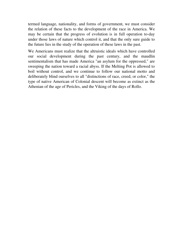termed language, nationality, and forms of government, we must consider the relation of these facts to the development of the race in America. We may be certain that the progress of evolution is in full operation to-day under those laws of nature which control it, and that the only sure guide to the future lies in the study of the operation of these laws in the past.

We Americans must realize that the altruistic ideals which have controlled our social development during the past century, and the maudlin sentimentalism that has made America "an asylum for the oppressed," are sweeping the nation toward a racial abyss. If the Melting Pot is allowed to boil without control, and we continue to follow our national motto and deliberately blind ourselves to all "distinctions of race, creed, or color," the type of native American of Colonial descent will become as extinct as the Athenian of the age of Pericles, and the Viking of the days of Rollo.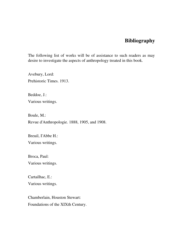#### <span id="page-139-0"></span>[Bibliography](#page-139-0)

The following list of works will be of assistance to such readers as may desire to investigate the aspects of anthropology treated in this book.

Avebury, Lord: Prehistoric Times. 1913.

Beddoe, J.:

Various writings.

Boule, M.: Revue d'Anthropologie. 1888, 1905, and 1908.

Breuil, I'Abbe H.: Various writings.

Broca, Paul: Various writings.

Cartailhac, E.: Various writings.

Chamberlain, Houston Stewart: Foundations of the XIXth Century.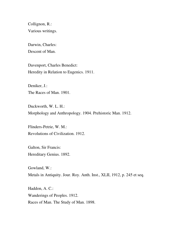Collignon, R.: Various writings.

Darwin, Charles: Descent of Man.

Davenport, Charles Benedict: Heredity in Relation to Eugenics. 1911.

Deniker, J.: The Races of Man. 1901.

Duckworth, W. L. H.: Morphology and Anthropology. 1904. Prehistoric Man. 1912.

Flinders-Petrie, W. M.: Revolutions of Civilization. 1912.

Galton, Sir Francis: Hereditary Genius. 1892.

Gowland, W.: Metals in Antiquity. Jour. Roy. Anth. Inst., XLII, 1912, p. 245 et seq.

Haddon, A. C.: Wanderings of Peoples. 1912. Races of Man. The Study of Man. 1898.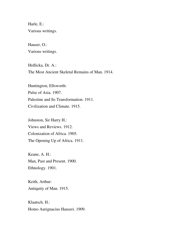Harle, E.: Various writings.

Hauser, O.: Various writings.

Hrdlicka, Dr. A.: The Most Ancient Skeletal Remains of Man. 1914.

Huntington, Ellsworth: Pulse of Asia. 1907. Palestine and Its Transformation. 1911. Civilization and Climate. 1915.

Johnston, Sir Harry H.: Views and Reviews. 1912. Colonization of Africa. 1905. The Opening Up of Africa. 1911.

Keane, A. H.: Man, Past and Present. 1900. Ethnology. 1901.

Keith, Arthur: Antiquity of Man. 1915.

Klaatsch, H.: Homo Aurignacius Hauseri. 1909.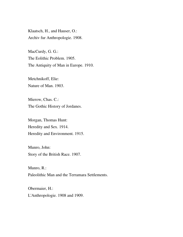Klaatsch, H., and Hauser, O.: Archiv fur Anthropologie. 1908.

MacCurdy, G. G.: The Eolithic Problem. 1905. The Antiquity of Man in Europe. 1910.

Metchnikoff, Elie: Nature of Man. 1903.

Mierow, Chas. C.: The Gothic History of Jordanes.

Morgan, Thomas Hunt: Heredity and Sex. 1914. Heredity and Environment. 1915.

Munro, John: Story of the British Race. 1907.

Munro, R.: Paleolithic Man and the Terramara Settlements.

Obermaier, H.: L'Anthropologie. 1908 and 1909.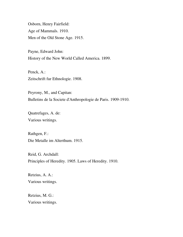Osborn, Henry Fairfield: Age of Mammals. 1910. Men of the Old Stone Age. 1915.

Payne, Edward John: History of the New World Called America. 1899.

Penck, A.: Zeitschrift fur Ethnologie. 1908.

Peyrony, M., and Capitan: Bulletins de la Societe d'Anthropologie de Paris. 1909-1910.

Quatrefages, A. de: Various writings.

Rathgen, F.: Die Metalle im Alterthum. 1915.

Reid, G. Archdall: Principles of Heredity. 1905. Laws of Heredity. 1910.

Retzius, A. A.: Various writings.

Retzius, M. G.: Various writings.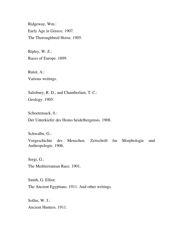Ridgeway, Wm.: Early Age in Greece. 1907. The Thoroughbred Horse. 1905.

Ripley, W. Z.: Races of Europe. 1899.

Rutot, A.: Various writings.

Salisbury, R. D., and Chamberlain, T. C.: Geology. 1905.

Schoetensack, 0.:

Der Unterkiefer des Homo heidelbergensis. 1908.

Schwalbe, G.:

Vorgeschichte des Menschen. Zeitschrift fur Morphologie und Anthropologie. 1906.

Sergi, G.: The Mediterranean Race. 1901.

Smith, G. Elliot: The Ancient Egyptians. 1911. And other writings.

Sollas, W. J.: Ancient Hunters. 1911.